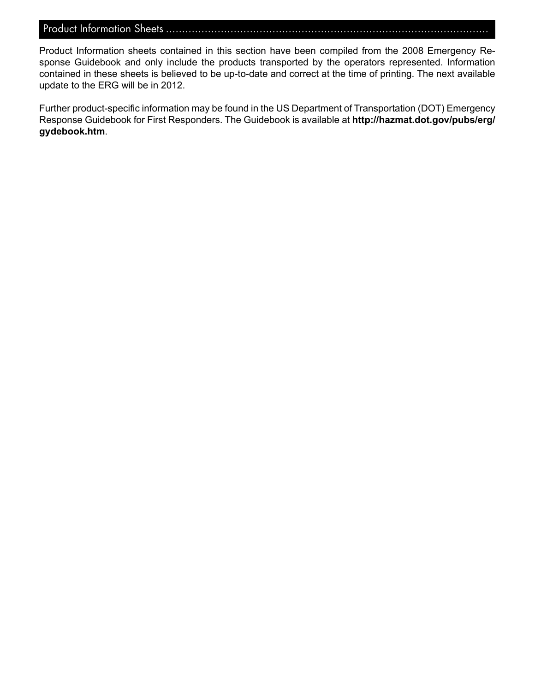## Product Information Sheets ....................................................................................................

Product Information sheets contained in this section have been compiled from the 2008 Emergency Response Guidebook and only include the products transported by the operators represented. Information contained in these sheets is believed to be up-to-date and correct at the time of printing. The next available update to the ERG will be in 2012.

Further product-specific information may be found in the US Department of Transportation (DOT) Emergency Response Guidebook for First Responders. The Guidebook is available at **http://hazmat.dot.gov/pubs/erg/ gydebook.htm**.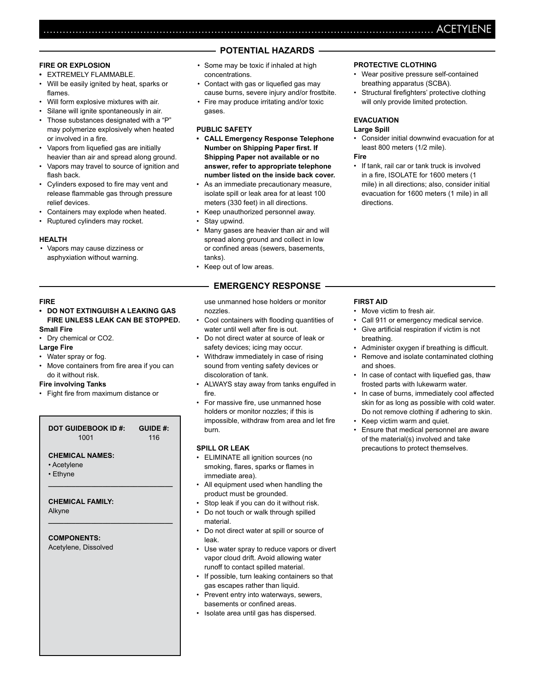## ......................................................................................................................... acetylene

## **POTENTIAL HAZARDS**

## **FIRE OR EXPLOSION**

- **•**  EXTREMELY FLAMMABLE.
- Will be easily ignited by heat, sparks or flames.
- Will form explosive mixtures with air.
- Silane will ignite spontaneously in air.
- Those substances designated with a "P" may polymerize explosively when heated or involved in a fire.
- Vapors from liquefied gas are initially heavier than air and spread along ground.
- Vapors may travel to source of ignition and flash back.
- Cylinders exposed to fire may vent and release flammable gas through pressure relief devices.
- Containers may explode when heated.
- Ruptured cylinders may rocket.

#### **health**

• Vapors may cause dizziness or asphyxiation without warning.

#### **FIRE**

#### **• DO NOT EXTINGUISH A LEAKING GAS FIRE UNLESS LEAK CAN BE STOPPED. Small Fire**

• Dry chemical or CO2.

#### **Large Fire**

- Water spray or fog.
- Move containers from fire area if you can do it without risk.

#### **Fire involving Tanks**

• Fight fire from maximum distance or

## **DOT GUIDEBOOK ID #: GUIDE #:** 1001 116

**\_\_\_\_\_\_\_\_\_\_\_\_\_\_\_\_\_\_\_\_\_\_\_\_\_\_\_\_\_\_\_\_**

**\_\_\_\_\_\_\_\_\_\_\_\_\_\_\_\_\_\_\_\_\_\_\_\_\_\_\_\_\_\_\_\_**

#### **Chemical NAMEs:**

- Acetylene
- Ethyne

#### **CHEMICAL FAMILY:**

Alkyne

## **Components:**

Acetylene, Dissolved

- Some may be toxic if inhaled at high concentrations.
- Contact with gas or liquefied gas may cause burns, severe injury and/or frostbite.
- Fire may produce irritating and/or toxic gases.

#### **PUBLIC SAFETY**

- **• CALL Emergency Response Telephone Number on Shipping Paper first. If Shipping Paper not available or no answer, refer to appropriate telephone number listed on the inside back cover.**
- As an immediate precautionary measure, isolate spill or leak area for at least 100 meters (330 feet) in all directions.
- Keep unauthorized personnel away.
- Stay upwind.
- Many gases are heavier than air and will spread along ground and collect in low or confined areas (sewers, basements, tanks).
- Keep out of low areas.

### **EMERGENCY response**

use unmanned hose holders or monitor nozzles.

- Cool containers with flooding quantities of water until well after fire is out.
- Do not direct water at source of leak or safety devices; icing may occur.
- Withdraw immediately in case of rising sound from venting safety devices or discoloration of tank.
- ALWAYS stay away from tanks engulfed in fire.
- For massive fire, use unmanned hose holders or monitor nozzles; if this is impossible, withdraw from area and let fire burn.

#### **SPILL OR LEAK**

- ELIMINATE all ignition sources (no smoking, flares, sparks or flames in immediate area).
- All equipment used when handling the product must be grounded.
- Stop leak if you can do it without risk.
- Do not touch or walk through spilled material.
- Do not direct water at spill or source of leak.
- Use water spray to reduce vapors or divert vapor cloud drift. Avoid allowing water runoff to contact spilled material.
- If possible, turn leaking containers so that gas escapes rather than liquid.
- Prevent entry into waterways, sewers, basements or confined areas.
- Isolate area until gas has dispersed.

#### **PROTECTIVE CLOTHING**

- Wear positive pressure self-contained breathing apparatus (SCBA).
- Structural firefighters' protective clothing will only provide limited protection.

#### **EVACUATION**

#### **Large Spill**

• Consider initial downwind evacuation for at least 800 meters (1/2 mile).

#### **Fire**

• If tank, rail car or tank truck is involved in a fire, ISOLATE for 1600 meters (1 mile) in all directions; also, consider initial evacuation for 1600 meters (1 mile) in all directions.

- Move victim to fresh air.
- Call 911 or emergency medical service.
- Give artificial respiration if victim is not breathing.
- Administer oxygen if breathing is difficult.
- Remove and isolate contaminated clothing and shoes.
- In case of contact with liquefied gas, thaw frosted parts with lukewarm water.
- In case of burns, immediately cool affected skin for as long as possible with cold water. Do not remove clothing if adhering to skin.
- Keep victim warm and quiet.
- Ensure that medical personnel are aware of the material(s) involved and take precautions to protect themselves.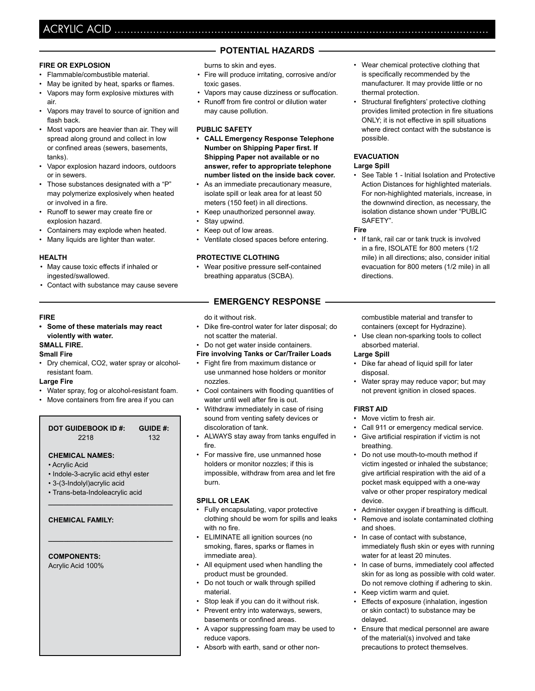#### **FIRE OR EXPLOSION**

- Flammable/combustible material.
- May be ignited by heat, sparks or flames.
- Vapors may form explosive mixtures with air.
- Vapors may travel to source of ignition and flash back.
- Most vapors are heavier than air. They will spread along ground and collect in low or confined areas (sewers, basements, tanks).
- Vapor explosion hazard indoors, outdoors or in sewers.
- Those substances designated with a "P" may polymerize explosively when heated or involved in a fire.
- Runoff to sewer may create fire or explosion hazard.
- Containers may explode when heated.
- Many liquids are lighter than water.

#### **health**

- May cause toxic effects if inhaled or ingested/swallowed.
- Contact with substance may cause severe

#### **FIRE**

**• Some of these materials may react violently with water.**

## **Small Fire.**

## **Small Fire**

• Dry chemical, CO2, water spray or alcoholresistant foam.

#### **Large Fire**

- Water spray, fog or alcohol-resistant foam.
- Move containers from fire area if you can

## **DOT GUIDEBOOK ID #: GUIDE #:** 2218 132

**\_\_\_\_\_\_\_\_\_\_\_\_\_\_\_\_\_\_\_\_\_\_\_\_\_\_\_\_\_\_\_\_**

**\_\_\_\_\_\_\_\_\_\_\_\_\_\_\_\_\_\_\_\_\_\_\_\_\_\_\_\_\_\_\_\_**

#### **Chemical NAMEs:**

- Acrylic Acid
- Indole-3-acrylic acid ethyl ester
- 3-(3-Indolyl)acrylic acid
- Trans-beta-Indoleacrylic acid

## **CHEMICAL FAMILY:**

## **Components:**

Acrylic Acid 100%

burns to skin and eyes.

- Fire will produce irritating, corrosive and/or toxic gases.
- Vapors may cause dizziness or suffocation.
- Runoff from fire control or dilution water may cause pollution.

#### **PUBLIC SAFETY**

- **• CALL Emergency Response Telephone Number on Shipping Paper first. If Shipping Paper not available or no answer, refer to appropriate telephone number listed on the inside back cover.**
- As an immediate precautionary measure, isolate spill or leak area for at least 50 meters (150 feet) in all directions.
- Keep unauthorized personnel away.
- Stay upwind.
- Keep out of low areas.
- Ventilate closed spaces before entering.

#### **PROTECTIVE CLOTHING**

• Wear positive pressure self-contained breathing apparatus (SCBA).

## **EMERGENCY response**

do it without risk.

• Dike fire-control water for later disposal; do not scatter the material.

#### • Do not get water inside containers.

- **Fire involving Tanks or Car/Trailer Loads**
- Fight fire from maximum distance or use unmanned hose holders or monitor nozzles.
- Cool containers with flooding quantities of water until well after fire is out.
- Withdraw immediately in case of rising sound from venting safety devices or discoloration of tank.
- ALWAYS stay away from tanks engulfed in fire.
- For massive fire, use unmanned hose holders or monitor nozzles; if this is impossible, withdraw from area and let fire burn.

#### **SPILL OR LEAK**

- Fully encapsulating, vapor protective clothing should be worn for spills and leaks with no fire.
- ELIMINATE all ignition sources (no smoking, flares, sparks or flames in immediate area).
- All equipment used when handling the product must be grounded.
- Do not touch or walk through spilled material.
- Stop leak if you can do it without risk.
- Prevent entry into waterways, sewers, basements or confined areas.
- A vapor suppressing foam may be used to reduce vapors.
- Absorb with earth, sand or other non-
- Wear chemical protective clothing that is specifically recommended by the manufacturer. It may provide little or no thermal protection.
- Structural firefighters' protective clothing provides limited protection in fire situations ONLY; it is not effective in spill situations where direct contact with the substance is possible.

#### **EVACUATION Large Spill**

• See Table 1 - Initial Isolation and Protective Action Distances for highlighted materials. For non-highlighted materials, increase, in the downwind direction, as necessary, the isolation distance shown under "PUBLIC SAFETY".

#### **Fire**

• If tank, rail car or tank truck is involved in a fire, ISOLATE for 800 meters (1/2 mile) in all directions; also, consider initial evacuation for 800 meters (1/2 mile) in all directions.

combustible material and transfer to containers (except for Hydrazine).

Use clean non-sparking tools to collect absorbed material.

#### **Large Spill**

- Dike far ahead of liquid spill for later disposal.
- Water spray may reduce vapor; but may not prevent ignition in closed spaces.

- Move victim to fresh air.
- Call 911 or emergency medical service.
- Give artificial respiration if victim is not breathing.
- Do not use mouth-to-mouth method if victim ingested or inhaled the substance; give artificial respiration with the aid of a pocket mask equipped with a one-way valve or other proper respiratory medical device.
- Administer oxygen if breathing is difficult.
- Remove and isolate contaminated clothing and shoes.
- In case of contact with substance, immediately flush skin or eyes with running water for at least 20 minutes.
- In case of burns, immediately cool affected skin for as long as possible with cold water. Do not remove clothing if adhering to skin.
- Keep victim warm and quiet.
- Effects of exposure (inhalation, ingestion or skin contact) to substance may be delayed.
- Ensure that medical personnel are aware of the material(s) involved and take precautions to protect themselves.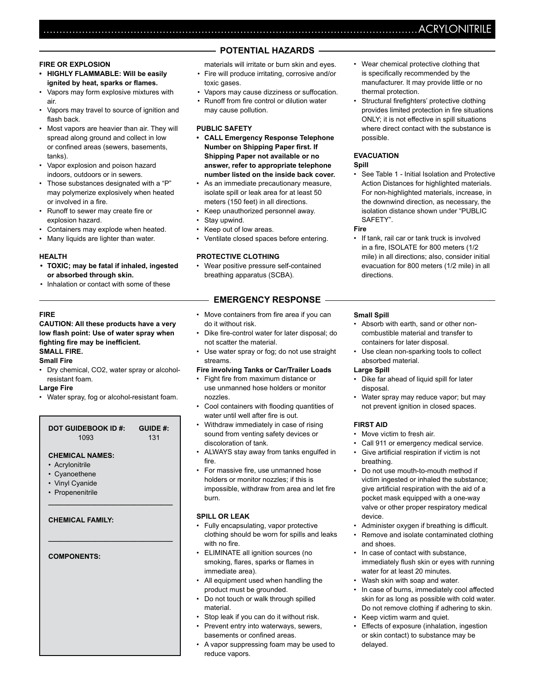# ....................................................................................................................ACRYLONITRILE

## **POTENTIAL HAZARDS**

## **FIRE OR EXPLOSION**

- **• HIGHLY FLAMMABLE: Will be easily ignited by heat, sparks or flames.**
- Vapors may form explosive mixtures with air.
- Vapors may travel to source of ignition and flash back.
- Most vapors are heavier than air. They will spread along ground and collect in low or confined areas (sewers, basements, tanks).
- Vapor explosion and poison hazard indoors, outdoors or in sewers.
- Those substances designated with a "P" may polymerize explosively when heated or involved in a fire.
- Runoff to sewer may create fire or explosion hazard.
- Containers may explode when heated.
- Many liquids are lighter than water.

#### **health**

- **• TOXIC; may be fatal if inhaled, ingested or absorbed through skin.**
- Inhalation or contact with some of these

#### **FIRE**

## **CAUTION: All these products have a very low flash point: Use of water spray when fighting fire may be inefficient. Small Fire.**

#### **Small Fire**

• Dry chemical, CO2, water spray or alcoholresistant foam.

#### **Large Fire**

• Water spray, fog or alcohol-resistant foam.

## **DOT GUIDEBOOK ID #: GUIDE #:** 1093 131

**\_\_\_\_\_\_\_\_\_\_\_\_\_\_\_\_\_\_\_\_\_\_\_\_\_\_\_\_\_\_\_\_**

**\_\_\_\_\_\_\_\_\_\_\_\_\_\_\_\_\_\_\_\_\_\_\_\_\_\_\_\_\_\_\_\_**

#### **Chemical NAMEs:**

- Acrylonitrile
- Cyanoethene
- Vinyl Cyanide
- Propenenitrile

#### **CHEMICAL FAMILY:**

## **Components:**

materials will irritate or burn skin and eyes. • Fire will produce irritating, corrosive and/or toxic gases.

- Vapors may cause dizziness or suffocation.
- Runoff from fire control or dilution water may cause pollution.

#### **PUBLIC SAFETY**

- **• CALL Emergency Response Telephone Number on Shipping Paper first. If Shipping Paper not available or no answer, refer to appropriate telephone number listed on the inside back cover.**
- As an immediate precautionary measure, isolate spill or leak area for at least 50 meters (150 feet) in all directions.
- Keep unauthorized personnel away.
- Stay upwind.
- Keep out of low areas.
- Ventilate closed spaces before entering.

#### **PROTECTIVE CLOTHING**

• Wear positive pressure self-contained breathing apparatus (SCBA).

## **EMERGENCY response**

- Move containers from fire area if you can do it without risk.
- Dike fire-control water for later disposal; do not scatter the material.
- Use water spray or fog; do not use straight streams.

#### **Fire involving Tanks or Car/Trailer Loads**

- Fight fire from maximum distance or use unmanned hose holders or monitor nozzles.
- Cool containers with flooding quantities of water until well after fire is out.
- Withdraw immediately in case of rising sound from venting safety devices or discoloration of tank.
- ALWAYS stay away from tanks engulfed in fire.
- For massive fire, use unmanned hose holders or monitor nozzles; if this is impossible, withdraw from area and let fire burn.

#### **SPILL OR LEAK**

- Fully encapsulating, vapor protective clothing should be worn for spills and leaks with no fire.
- ELIMINATE all ignition sources (no smoking, flares, sparks or flames in immediate area).
- All equipment used when handling the product must be grounded.
- Do not touch or walk through spilled material.
- Stop leak if you can do it without risk.
- Prevent entry into waterways, sewers, basements or confined areas.
- A vapor suppressing foam may be used to reduce vapors.
- Wear chemical protective clothing that is specifically recommended by the manufacturer. It may provide little or no thermal protection.
- Structural firefighters' protective clothing provides limited protection in fire situations ONLY; it is not effective in spill situations where direct contact with the substance is possible.

## **EVACUATION**

**Spill**

• See Table 1 - Initial Isolation and Protective Action Distances for highlighted materials. For non-highlighted materials, increase, in the downwind direction, as necessary, the isolation distance shown under "PUBLIC SAFETY".

#### **Fire**

• If tank, rail car or tank truck is involved in a fire, ISOLATE for 800 meters (1/2 mile) in all directions; also, consider initial evacuation for 800 meters (1/2 mile) in all directions.

#### **Small Spill**

- Absorb with earth, sand or other noncombustible material and transfer to containers for later disposal.
- Use clean non-sparking tools to collect absorbed material.

#### **Large Spill**

- Dike far ahead of liquid spill for later disposal.
- Water spray may reduce vapor; but may not prevent ignition in closed spaces.

- Move victim to fresh air.
- Call 911 or emergency medical service.
- Give artificial respiration if victim is not breathing.
- Do not use mouth-to-mouth method if victim ingested or inhaled the substance; give artificial respiration with the aid of a pocket mask equipped with a one-way valve or other proper respiratory medical device.
- Administer oxygen if breathing is difficult.
- Remove and isolate contaminated clothing and shoes.
- In case of contact with substance, immediately flush skin or eyes with running water for at least 20 minutes.
- Wash skin with soap and water.
- In case of burns, immediately cool affected skin for as long as possible with cold water. Do not remove clothing if adhering to skin. • Keep victim warm and quiet.
- Effects of exposure (inhalation, ingestion
- or skin contact) to substance may be delayed.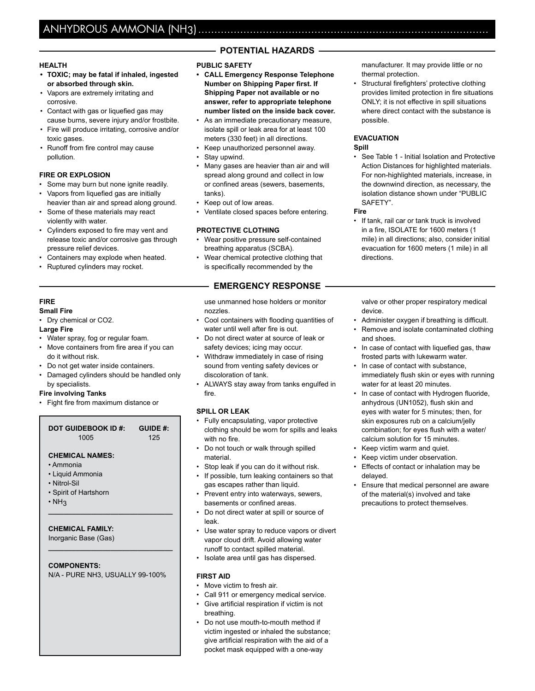## **health**

- **• TOXIC; may be fatal if inhaled, ingested or absorbed through skin.**
- Vapors are extremely irritating and corrosive.
- Contact with gas or liquefied gas may cause burns, severe injury and/or frostbite.
- Fire will produce irritating, corrosive and/or toxic gases.
- Runoff from fire control may cause pollution.

#### **FIRE OR EXPLOSION**

- Some may burn but none ignite readily.
- Vapors from liquefied gas are initially
- heavier than air and spread along ground. Some of these materials may react
- violently with water. • Cylinders exposed to fire may vent and release toxic and/or corrosive gas through
- pressure relief devices. Containers may explode when heated.
- Ruptured cylinders may rocket.

## **FIRE**

## **Small Fire**

• Dry chemical or CO2.

#### **Large Fire**

- Water spray, fog or regular foam.
- Move containers from fire area if you can do it without risk.
- Do not get water inside containers.
- Damaged cylinders should be handled only by specialists.

#### **Fire involving Tanks**

• Fight fire from maximum distance or

## **DOT GUIDEBOOK ID #: GUIDE #:** 1005 125

## **Chemical NAMEs:**

- Ammonia
- Liquid Ammonia
- Nitrol-Sil
- Spirit of Hartshorn
- $\cdot$  NH<sub>3</sub>

## **CHEMICAL FAMILY:**

Inorganic Base (Gas)

## **Components:**

N/A - Pure NH3, usually 99-100%

**\_\_\_\_\_\_\_\_\_\_\_\_\_\_\_\_\_\_\_\_\_\_\_\_\_\_\_\_\_\_\_\_**

**\_\_\_\_\_\_\_\_\_\_\_\_\_\_\_\_\_\_\_\_\_\_\_\_\_\_\_\_\_\_\_\_**

## **POTENTIAL HAZARDS**

## **PUBLIC SAFETY**

- **• CALL Emergency Response Telephone Number on Shipping Paper first. If Shipping Paper not available or no answer, refer to appropriate telephone number listed on the inside back cover.**
- As an immediate precautionary measure, isolate spill or leak area for at least 100 meters (330 feet) in all directions.
- Keep unauthorized personnel away.
- Stay upwind.
- Many gases are heavier than air and will spread along ground and collect in low or confined areas (sewers, basements, tanks).
- Keep out of low areas.
- Ventilate closed spaces before entering.

## **PROTECTIVE CLOTHING**

- Wear positive pressure self-contained breathing apparatus (SCBA).
- Wear chemical protective clothing that is specifically recommended by the

## **EMERGENCY response**

use unmanned hose holders or monitor nozzles.

- Cool containers with flooding quantities of water until well after fire is out.
- Do not direct water at source of leak or safety devices; icing may occur.
- Withdraw immediately in case of rising sound from venting safety devices or discoloration of tank.
- ALWAYS stay away from tanks engulfed in fire.

## **SPILL OR LEAK**

- Fully encapsulating, vapor protective clothing should be worn for spills and leaks with no fire.
- Do not touch or walk through spilled material.
- Stop leak if you can do it without risk.
- If possible, turn leaking containers so that gas escapes rather than liquid.
- Prevent entry into waterways, sewers, basements or confined areas.
- Do not direct water at spill or source of leak.
- Use water spray to reduce vapors or divert vapor cloud drift. Avoid allowing water runoff to contact spilled material.
- Isolate area until gas has dispersed.

## **FIRST AID**

- Move victim to fresh air.
- Call 911 or emergency medical service.
- Give artificial respiration if victim is not breathing.
- Do not use mouth-to-mouth method if victim ingested or inhaled the substance; give artificial respiration with the aid of a pocket mask equipped with a one-way

manufacturer. It may provide little or no thermal protection.

• Structural firefighters' protective clothing provides limited protection in fire situations ONLY; it is not effective in spill situations where direct contact with the substance is possible.

## **EVACUATION**

- **Spill** • See Table 1 - Initial Isolation and Protective Action Distances for highlighted materials. For non-highlighted materials, increase, in
- SAFETY". **Fire**
- If tank, rail car or tank truck is involved in a fire, ISOLATE for 1600 meters (1 mile) in all directions; also, consider initial evacuation for 1600 meters (1 mile) in all directions.

the downwind direction, as necessary, the isolation distance shown under "PUBLIC

valve or other proper respiratory medical device.

- Administer oxygen if breathing is difficult.
- Remove and isolate contaminated clothing and shoes.
- In case of contact with liquefied gas, thaw frosted parts with lukewarm water.
- In case of contact with substance, immediately flush skin or eyes with running water for at least 20 minutes.
- In case of contact with Hydrogen fluoride, anhydrous (UN1052), flush skin and eyes with water for 5 minutes; then, for skin exposures rub on a calcium/jelly combination; for eyes flush with a water/ calcium solution for 15 minutes.
- Keep victim warm and quiet.
- Keep victim under observation.
- Effects of contact or inhalation may be delayed.
- Ensure that medical personnel are aware of the material(s) involved and take precautions to protect themselves.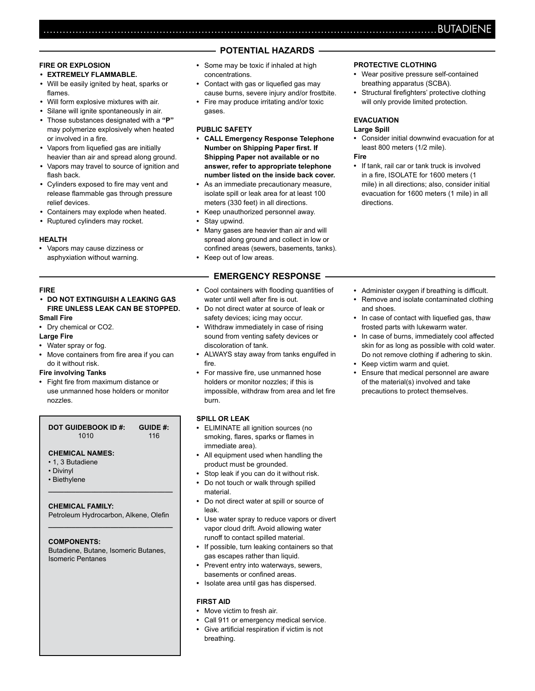## ..........................................................................................................................butadiene

## **POTENTIAL HAZARDS**

## **fire or explosion**

- **• EXTREMELY FLAMMABLE.**
- **•**  Will be easily ignited by heat, sparks or flames.
- **•**  Will form explosive mixtures with air.
- **•**  Silane will ignite spontaneously in air.
- **•**  Those substances designated with a **"P"** may polymerize explosively when heated or involved in a fire.
- **•**  Vapors from liquefied gas are initially heavier than air and spread along ground.
- **•**  Vapors may travel to source of ignition and flash back.
- Cylinders exposed to fire may vent and release flammable gas through pressure relief devices.
- **•**  Containers may explode when heated.
- **•**  Ruptured cylinders may rocket.

#### **health**

**•**  Vapors may cause dizziness or asphyxiation without warning.

#### **FIRE**

#### **• DO NOT EXTINGUISH A LEAKING GAS FIRE UNLESS LEAK CAN BE STOPPED. Small Fire**

**•**  Dry chemical or CO2.

#### **Large Fire**

- **•**  Water spray or fog.
- Move containers from fire area if you can do it without risk.

#### **Fire involving Tanks**

Fight fire from maximum distance or use unmanned hose holders or monitor nozzles.

## **DOT GUIDEBOOK ID #: GUIDE #:**<br>1010 1010 116 116

#### **Chemical NAMEs:**

- 1, 3 Butadiene
- Divinyl
- Biethylene

#### **CHEMICAL FAMILY:**

Petroleum Hydrocarbon, Alkene, Olefin **\_\_\_\_\_\_\_\_\_\_\_\_\_\_\_\_\_\_\_\_\_\_\_\_\_\_\_\_\_\_\_\_**

**\_\_\_\_\_\_\_\_\_\_\_\_\_\_\_\_\_\_\_\_\_\_\_\_\_\_\_\_\_\_\_\_**

## **Components:**

Butadiene, Butane, Isomeric Butanes, Isomeric Pentanes

- **•**  Some may be toxic if inhaled at high concentrations.
- Contact with gas or liquefied gas may cause burns, severe injury and/or frostbite.
- Fire may produce irritating and/or toxic gases.

#### **PUBLIC SAFETY**

- **• CALL Emergency Response Telephone Number on Shipping Paper first. If Shipping Paper not available or no answer, refer to appropriate telephone number listed on the inside back cover.**
- **•**  As an immediate precautionary measure, isolate spill or leak area for at least 100 meters (330 feet) in all directions.
- Keep unauthorized personnel away.
- **Stay upwind.**
- Many gases are heavier than air and will spread along ground and collect in low or confined areas (sewers, basements, tanks).
- **Keep out of low areas.**

#### **EMERGENCY response**

- **•**  Cool containers with flooding quantities of water until well after fire is out.
- Do not direct water at source of leak or safety devices; icing may occur.
- Withdraw immediately in case of rising sound from venting safety devices or discoloration of tank.
- ALWAYS stay away from tanks engulfed in fire.
- For massive fire, use unmanned hose holders or monitor nozzles; if this is impossible, withdraw from area and let fire burn.

#### **SPILL OR LEAK**

- **•**  ELIMINATE all ignition sources (no smoking, flares, sparks or flames in immediate area).
- All equipment used when handling the product must be grounded.
- Stop leak if you can do it without risk.
- Do not touch or walk through spilled material.
- **•**  Do not direct water at spill or source of leak.
- Use water spray to reduce vapors or divert vapor cloud drift. Avoid allowing water runoff to contact spilled material.
- **•**  If possible, turn leaking containers so that gas escapes rather than liquid.
- Prevent entry into waterways, sewers, basements or confined areas.
- **•**  Isolate area until gas has dispersed.

#### **FIRST AID**

- **•**  Move victim to fresh air.
- **•**  Call 911 or emergency medical service.
- Give artificial respiration if victim is not breathing.

#### **PROTECTIVE CLOTHING**

- **•**  Wear positive pressure self-contained breathing apparatus (SCBA).
- Structural firefighters' protective clothing will only provide limited protection.

#### **EVACUATION**

#### **Large Spill**

**•**  Consider initial downwind evacuation for at least 800 meters (1/2 mile).

#### **Fire**

**•**  If tank, rail car or tank truck is involved in a fire, ISOLATE for 1600 meters (1 mile) in all directions; also, consider initial evacuation for 1600 meters (1 mile) in all directions.

- **•**  Administer oxygen if breathing is difficult.
- **•**  Remove and isolate contaminated clothing and shoes.
- In case of contact with liquefied gas, thaw frosted parts with lukewarm water.
- In case of burns, immediately cool affected skin for as long as possible with cold water. Do not remove clothing if adhering to skin.
- **•**  Keep victim warm and quiet.
- Ensure that medical personnel are aware of the material(s) involved and take precautions to protect themselves.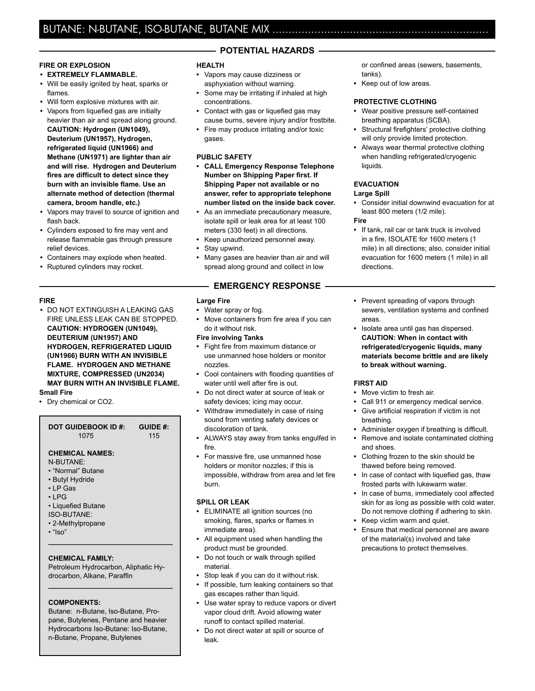## **fire or explosion**

- **• EXTREMELY FLAMMABLE.**
- **•**  Will be easily ignited by heat, sparks or flames.
- **•**  Will form explosive mixtures with air.
- **•**  Vapors from liquefied gas are initially heavier than air and spread along ground. **CAUTION: Hydrogen (UN1049), Deuterium (UN1957), Hydrogen, refrigerated liquid (UN1966) and Methane (UN1971) are lighter than air and will rise. Hydrogen and Deuterium fires are difficult to detect since they burn with an invisible flame. Use an alternate method of detection (thermal camera, broom handle, etc.)**
- **•**  Vapors may travel to source of ignition and flash back.
- Cylinders exposed to fire may vent and release flammable gas through pressure relief devices.
- **•**  Containers may explode when heated.
- **•**  Ruptured cylinders may rocket.

#### **FIRE**

- **•**  DO NOT EXTINGUISH A LEAKING GAS FIRE UNLESS LEAK CAN BE STOPPED. **CAUTION: Hydrogen (UN1049), Deuterium (UN1957) and Hydrogen, refrigerated liquid (UN1966) burn with an invisible flame. Hydrogen and Methane mixture, compressed (UN2034) may burn with an invisible flame.**
- **Small Fire**
- Dry chemical or CO2.



Petroleum Hydrocarbon, Aliphatic Hydrocarbon, Alkane, Paraffin

**\_\_\_\_\_\_\_\_\_\_\_\_\_\_\_\_\_\_\_\_\_\_\_\_\_\_\_\_\_\_\_\_**

#### **Components:**

Butane: n-Butane, Iso-Butane, Propane, Butylenes, Pentane and heavier Hydrocarbons Iso-Butane: Iso-Butane, n-Butane, Propane, Butylenes

## **POTENTIAL HAZARDS**

#### **health**

- **•**  Vapors may cause dizziness or asphyxiation without warning.
- Some may be irritating if inhaled at high concentrations.
- Contact with gas or liquefied gas may cause burns, severe injury and/or frostbite.
- Fire may produce irritating and/or toxic gases.

## **PUBLIC SAFETY**

- **• CALL Emergency Response Telephone Number on Shipping Paper first. If Shipping Paper not available or no answer, refer to appropriate telephone number listed on the inside back cover.**
- As an immediate precautionary measure, isolate spill or leak area for at least 100 meters (330 feet) in all directions.
- Keep unauthorized personnel away.
- **Stay upwind.**
- Many gases are heavier than air and will spread along ground and collect in low

## **EMERGENCY response**

#### **Large Fire**

- **•**  Water spray or fog.
- **•**  Move containers from fire area if you can do it without risk.

#### **Fire involving Tanks**

- **•**  Fight fire from maximum distance or use unmanned hose holders or monitor nozzles.
- **•**  Cool containers with flooding quantities of water until well after fire is out.
- Do not direct water at source of leak or safety devices; icing may occur.
- Withdraw immediately in case of rising sound from venting safety devices or discoloration of tank.
- **•**  ALWAYS stay away from tanks engulfed in fire.
- For massive fire, use unmanned hose holders or monitor nozzles; if this is impossible, withdraw from area and let fire burn.

## **SPILL OR LEAK**

- **•**  ELIMINATE all ignition sources (no smoking, flares, sparks or flames in immediate area).
- All equipment used when handling the product must be grounded.
- Do not touch or walk through spilled material.
- Stop leak if you can do it without risk.
- **•**  If possible, turn leaking containers so that gas escapes rather than liquid.
- Use water spray to reduce vapors or divert vapor cloud drift. Avoid allowing water runoff to contact spilled material.
- Do not direct water at spill or source of leak.

or confined areas (sewers, basements, tanks).

**Keep out of low areas.** 

### **PROTECTIVE CLOTHING**

- **•**  Wear positive pressure self-contained breathing apparatus (SCBA).
- Structural firefighters' protective clothing will only provide limited protection.
- Always wear thermal protective clothing when handling refrigerated/cryogenic liquids.

## **EVACUATION**

#### **Large Spill**

**•**  Consider initial downwind evacuation for at least 800 meters (1/2 mile).

#### **Fire**

- **•**  If tank, rail car or tank truck is involved in a fire, ISOLATE for 1600 meters (1 mile) in all directions; also, consider initial evacuation for 1600 meters (1 mile) in all directions.
- **•**  Prevent spreading of vapors through sewers, ventilation systems and confined areas.
- **Isolate area until gas has dispersed. CAUTION: When in contact with refrigerated/cryogenic liquids, many materials become brittle and are likely to break without warning.**

- **•**  Move victim to fresh air.
- Call 911 or emergency medical service. **•**  Give artificial respiration if victim is not
- breathing. Administer oxygen if breathing is difficult.
- Remove and isolate contaminated clothing and shoes.
- **•**  Clothing frozen to the skin should be thawed before being removed.
- In case of contact with liquefied gas, thaw frosted parts with lukewarm water.
- In case of burns, immediately cool affected skin for as long as possible with cold water. Do not remove clothing if adhering to skin.
- **•**  Keep victim warm and quiet.
- Ensure that medical personnel are aware of the material(s) involved and take precautions to protect themselves.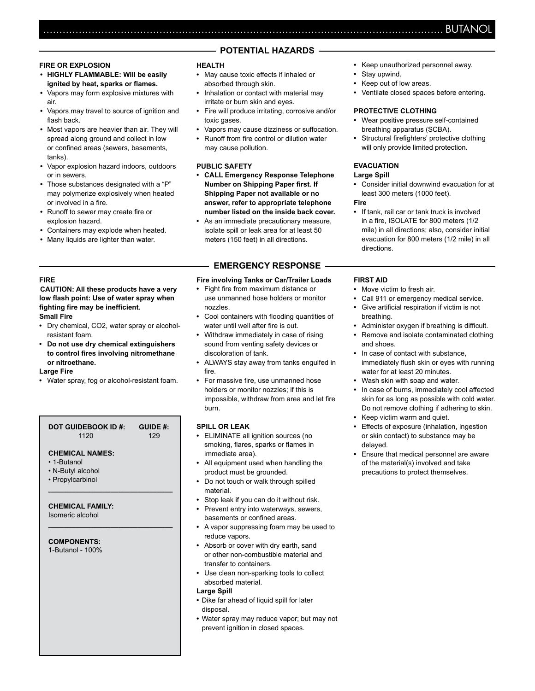## ............................................................................................................................ butaNOL

## **POTENTIAL HAZARDS**

## **fire or explosion**

- **• HIGHLY FLAMMABLE: Will be easily ignited by heat, sparks or flames.**
- **•**  Vapors may form explosive mixtures with air.
- **•**  Vapors may travel to source of ignition and flash back.
- Most vapors are heavier than air. They will spread along ground and collect in low or confined areas (sewers, basements, tanks).
- **•**  Vapor explosion hazard indoors, outdoors or in sewers.
- **•**  Those substances designated with a "P" may polymerize explosively when heated or involved in a fire.
- **Runoff to sewer may create fire or** explosion hazard.
- Containers may explode when heated.

**CAUTION: All these products have a very low flash point: Use of water spray when**

**•**  Dry chemical, CO2, water spray or alcohol-

**• Do not use dry chemical extinguishers to control fires involving nitromethane**

**•**  Water spray, fog or alcohol-resistant foam.

**DOT GUIDEBOOK ID #: GUIDE #:**<br>1120 129

**\_\_\_\_\_\_\_\_\_\_\_\_\_\_\_\_\_\_\_\_\_\_\_\_\_\_\_\_\_\_\_\_**

**\_\_\_\_\_\_\_\_\_\_\_\_\_\_\_\_\_\_\_\_\_\_\_\_\_\_\_\_\_\_\_\_**

129

**•**  Many liquids are lighter than water.

**fighting fire may be inefficient.**

**FIRE**

**Small Fire**

**Large Fire**

resistant foam.

**or nitroethane.**

## **health**

- **•**  May cause toxic effects if inhaled or absorbed through skin.
- **•**  Inhalation or contact with material may irritate or burn skin and eyes.
- **•**  Fire will produce irritating, corrosive and/or toxic gases.
- **•**  Vapors may cause dizziness or suffocation.
- **•**  Runoff from fire control or dilution water may cause pollution.

#### **PUBLIC SAFETY**

- **• CALL Emergency Response Telephone Number on Shipping Paper first. If Shipping Paper not available or no answer, refer to appropriate telephone number listed on the inside back cover.**
- As an immediate precautionary measure, isolate spill or leak area for at least 50 meters (150 feet) in all directions.

## **EMERGENCY response**

#### **Fire involving Tanks or Car/Trailer Loads**

- **•**  Fight fire from maximum distance or use unmanned hose holders or monitor nozzles.
- **•**  Cool containers with flooding quantities of water until well after fire is out.
- **•**  Withdraw immediately in case of rising sound from venting safety devices or discoloration of tank.
- **•**  ALWAYS stay away from tanks engulfed in fire.
- **•**  For massive fire, use unmanned hose holders or monitor nozzles; if this is impossible, withdraw from area and let fire burn.

#### **SPILL OR LEAK**

- **•**  ELIMINATE all ignition sources (no smoking, flares, sparks or flames in immediate area).
- **•**  All equipment used when handling the product must be grounded.
- **•**  Do not touch or walk through spilled material.
- Stop leak if you can do it without risk.
- **•**  Prevent entry into waterways, sewers, basements or confined areas.
- A vapor suppressing foam may be used to reduce vapors.
- **•**  Absorb or cover with dry earth, sand or other non-combustible material and transfer to containers.
- **•**  Use clean non-sparking tools to collect absorbed material.
- **Large Spill**
- **•** Dike far ahead of liquid spill for later disposal.
- **•** Water spray may reduce vapor; but may not prevent ignition in closed spaces.
- **•**  Keep unauthorized personnel away.
- **•**  Stay upwind.
- **•**  Keep out of low areas.
- Ventilate closed spaces before entering.

## **PROTECTIVE CLOTHING**

- **•**  Wear positive pressure self-contained breathing apparatus (SCBA).
- Structural firefighters' protective clothing will only provide limited protection.

#### **EVACUATION**

#### **Large Spill**

**•**  Consider initial downwind evacuation for at least 300 meters (1000 feet).

#### **Fire**

**•**  If tank, rail car or tank truck is involved in a fire, ISOLATE for 800 meters (1/2 mile) in all directions; also, consider initial evacuation for 800 meters (1/2 mile) in all directions.

#### **FIRST AID**

- **•**  Move victim to fresh air.
- Call 911 or emergency medical service.
- Give artificial respiration if victim is not breathing.
- Administer oxygen if breathing is difficult.
- **•**  Remove and isolate contaminated clothing and shoes.
- **•**  In case of contact with substance, immediately flush skin or eyes with running water for at least 20 minutes.
- **•**  Wash skin with soap and water.
- In case of burns, immediately cool affected skin for as long as possible with cold water. Do not remove clothing if adhering to skin.
- **•**  Keep victim warm and quiet.
- **Effects of exposure (inhalation, ingestion** or skin contact) to substance may be delayed.
- **•**  Ensure that medical personnel are aware of the material(s) involved and take precautions to protect themselves.

#### **Chemical NAMEs:** • 1-Butanol

- N-Butyl alcohol
- Propylcarbinol

#### **CHEMICAL FAMILY:**

Isomeric alcohol

#### **Components:**

1-Butanol - 100%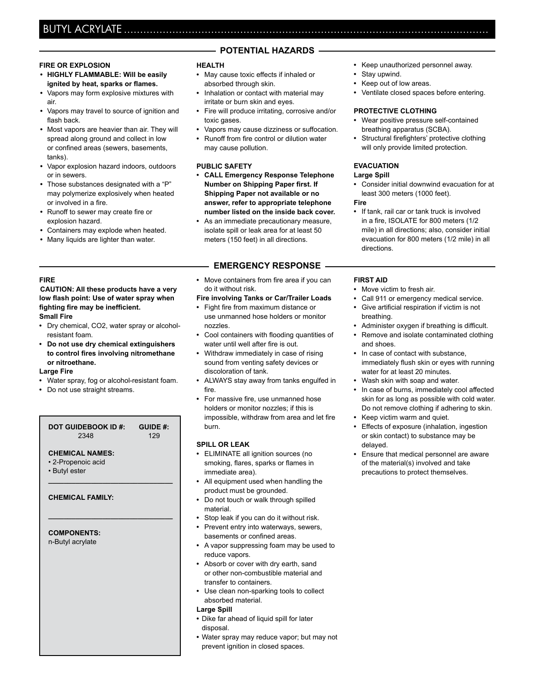butyl Acrylate .................................................................................................................

#### **fire or explosion**

- **• HIGHLY FLAMMABLE: Will be easily ignited by heat, sparks or flames.**
- **•**  Vapors may form explosive mixtures with air.
- **•**  Vapors may travel to source of ignition and flash back.
- Most vapors are heavier than air. They will spread along ground and collect in low or confined areas (sewers, basements, tanks).
- **•**  Vapor explosion hazard indoors, outdoors or in sewers.
- **•**  Those substances designated with a "P" may polymerize explosively when heated or involved in a fire.
- **Runoff to sewer may create fire or** explosion hazard.
- Containers may explode when heated.
- **•**  Many liquids are lighter than water.

#### **FIRE**

#### **CAUTION: All these products have a very low flash point: Use of water spray when fighting fire may be inefficient. Small Fire**

- **•**  Dry chemical, CO2, water spray or alcoholresistant foam.
- **• Do not use dry chemical extinguishers to control fires involving nitromethane or nitroethane.**

#### **Large Fire**

- **•**  Water spray, fog or alcohol-resistant foam.
- **•**  Do not use straight streams.

## **DOT GUIDEBOOK ID #: GUIDE #:**<br>2348 129 129

**\_\_\_\_\_\_\_\_\_\_\_\_\_\_\_\_\_\_\_\_\_\_\_\_\_\_\_\_\_\_\_\_**

**\_\_\_\_\_\_\_\_\_\_\_\_\_\_\_\_\_\_\_\_\_\_\_\_\_\_\_\_\_\_\_\_**

#### **Chemical NAMEs:**

- 2-Propenoic acid
- Butyl ester

#### **CHEMICAL FAMILY:**

#### **Components:** n-Butyl acrylate

## **POTENTIAL HAZARDS**

#### **health**

- **•**  May cause toxic effects if inhaled or absorbed through skin.
- **•**  Inhalation or contact with material may irritate or burn skin and eyes.
- **•**  Fire will produce irritating, corrosive and/or toxic gases.
- **•**  Vapors may cause dizziness or suffocation.
- **•**  Runoff from fire control or dilution water may cause pollution.

#### **PUBLIC SAFETY**

- **• CALL Emergency Response Telephone Number on Shipping Paper first. If Shipping Paper not available or no answer, refer to appropriate telephone number listed on the inside back cover.**
- As an immediate precautionary measure, isolate spill or leak area for at least 50 meters (150 feet) in all directions.

## **EMERGENCY response**

**•**  Move containers from fire area if you can do it without risk.

## **Fire involving Tanks or Car/Trailer Loads**

- **•**  Fight fire from maximum distance or use unmanned hose holders or monitor nozzles.
- **•**  Cool containers with flooding quantities of water until well after fire is out.
- Withdraw immediately in case of rising sound from venting safety devices or discoloration of tank.
- **•**  ALWAYS stay away from tanks engulfed in fire.
- **•**  For massive fire, use unmanned hose holders or monitor nozzles; if this is impossible, withdraw from area and let fire burn.

## **SPILL OR LEAK**

- **•**  ELIMINATE all ignition sources (no smoking, flares, sparks or flames in immediate area).
- **•**  All equipment used when handling the product must be grounded.
- Do not touch or walk through spilled material.
- Stop leak if you can do it without risk.
- **•**  Prevent entry into waterways, sewers, basements or confined areas.
- **•**  A vapor suppressing foam may be used to reduce vapors.
- **•**  Absorb or cover with dry earth, sand or other non-combustible material and transfer to containers.
- **•**  Use clean non-sparking tools to collect absorbed material.

#### **Large Spill**

- **•** Dike far ahead of liquid spill for later disposal.
- **•** Water spray may reduce vapor; but may not prevent ignition in closed spaces.
- **•**  Keep unauthorized personnel away.
- **•**  Stay upwind.
- **•**  Keep out of low areas.
- Ventilate closed spaces before entering.

## **PROTECTIVE CLOTHING**

- **•**  Wear positive pressure self-contained breathing apparatus (SCBA).
- Structural firefighters' protective clothing will only provide limited protection.

#### **EVACUATION**

#### **Large Spill**

**•**  Consider initial downwind evacuation for at least 300 meters (1000 feet).

#### **Fire**

**•**  If tank, rail car or tank truck is involved in a fire, ISOLATE for 800 meters (1/2 mile) in all directions; also, consider initial evacuation for 800 meters (1/2 mile) in all directions.

- **•**  Move victim to fresh air.
- Call 911 or emergency medical service.
- Give artificial respiration if victim is not breathing.
- Administer oxygen if breathing is difficult.
- Remove and isolate contaminated clothing and shoes.
- **•**  In case of contact with substance, immediately flush skin or eyes with running water for at least 20 minutes.
- **•**  Wash skin with soap and water.
- In case of burns, immediately cool affected skin for as long as possible with cold water. Do not remove clothing if adhering to skin.
- **•**  Keep victim warm and quiet.
- **Effects of exposure (inhalation, ingestion** or skin contact) to substance may be delayed.
- **•**  Ensure that medical personnel are aware of the material(s) involved and take precautions to protect themselves.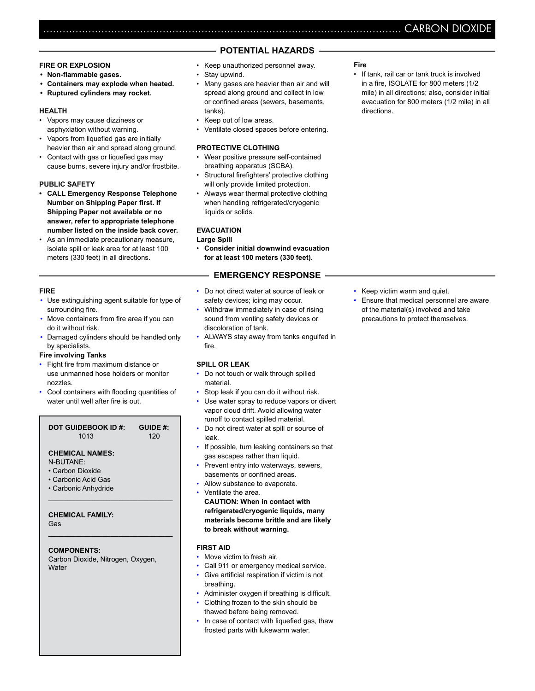## **fire or explosion**

- **• Non-flammable gases.**
- **• Containers may explode when heated.**
- **• Ruptured cylinders may rocket.**

#### **health**

- Vapors may cause dizziness or asphyxiation without warning.
- Vapors from liquefied gas are initially heavier than air and spread along ground.
- Contact with gas or liquefied gas may cause burns, severe injury and/or frostbite.

#### **PUBLIC SAFETY**

- **• CALL Emergency Response Telephone Number on Shipping Paper first. If Shipping Paper not available or no answer, refer to appropriate telephone number listed on the inside back cover.**
- As an immediate precautionary measure, isolate spill or leak area for at least 100 meters (330 feet) in all directions.

#### **FIRE**

- Use extinguishing agent suitable for type of surrounding fire.
- Move containers from fire area if you can do it without risk.
- Damaged cylinders should be handled only by specialists.

#### **Fire involving Tanks**

- Fight fire from maximum distance or use unmanned hose holders or monitor nozzles.
- Cool containers with flooding quantities of water until well after fire is out.

## **DOT GUIDEBOOK ID #: GUIDE #:**<br>1013 **120** 120

**\_\_\_\_\_\_\_\_\_\_\_\_\_\_\_\_\_\_\_\_\_\_\_\_\_\_\_\_\_\_\_\_**

**\_\_\_\_\_\_\_\_\_\_\_\_\_\_\_\_\_\_\_\_\_\_\_\_\_\_\_\_\_\_\_\_**

## **Chemical NAMEs:**

n-Butane:

- Carbon Dioxide
- Carbonic Acid Gas
- Carbonic Anhydride

## **CHEMICAL FAMILY:**

Gas

## **Components:**

Carbon Dioxide, Nitrogen, Oxygen, **Water** 

- Keep unauthorized personnel away.
- Stay upwind.
- Many gases are heavier than air and will spread along ground and collect in low or confined areas (sewers, basements, tanks).
- Keep out of low areas.
- Ventilate closed spaces before entering.

#### **PROTECTIVE CLOTHING**

- Wear positive pressure self-contained breathing apparatus (SCBA).
- Structural firefighters' protective clothing will only provide limited protection.
- Always wear thermal protective clothing when handling refrigerated/cryogenic liquids or solids.

## **EVACUATION**

#### **Large Spill**

• **Consider initial downwind evacuation for at least 100 meters (330 feet).**

## **EMERGENCY response**

- Do not direct water at source of leak or safety devices; icing may occur.
- Withdraw immediately in case of rising sound from venting safety devices or discoloration of tank.
- ALWAYS stay away from tanks engulfed in fire.

#### **SPILL OR LEAK**

- Do not touch or walk through spilled material.
- Stop leak if you can do it without risk.
- Use water spray to reduce vapors or divert vapor cloud drift. Avoid allowing water runoff to contact spilled material.
- Do not direct water at spill or source of leak.
- If possible, turn leaking containers so that gas escapes rather than liquid.
- Prevent entry into waterways, sewers, basements or confined areas.
- Allow substance to evaporate.
- Ventilate the area.
- **CAUTION: When in contact with refrigerated/cryogenic liquids, many materials become brittle and are likely to break without warning.**

#### **FIRST AID**

- Move victim to fresh air.
- Call 911 or emergency medical service.
- Give artificial respiration if victim is not breathing.
- Administer oxygen if breathing is difficult.
- Clothing frozen to the skin should be thawed before being removed.
- In case of contact with liquefied gas, thaw frosted parts with lukewarm water.

#### **Fire**

• If tank, rail car or tank truck is involved in a fire, ISOLATE for 800 meters (1/2 mile) in all directions; also, consider initial evacuation for 800 meters (1/2 mile) in all directions.

• Keep victim warm and quiet.

• Ensure that medical personnel are aware of the material(s) involved and take precautions to protect themselves.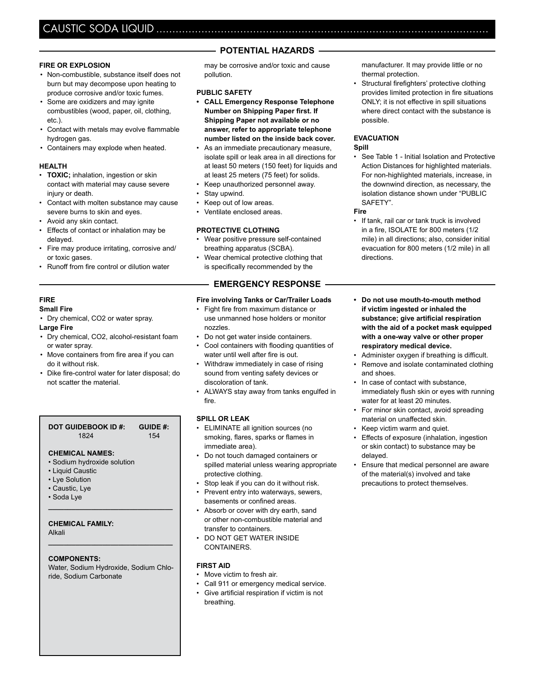#### **fire or explosion**

- Non-combustible, substance itself does not burn but may decompose upon heating to produce corrosive and/or toxic fumes.
- Some are oxidizers and may ignite combustibles (wood, paper, oil, clothing, etc.).
- Contact with metals may evolve flammable hydrogen gas.
- Containers may explode when heated.

#### **health**

- **TOXIC;** inhalation, ingestion or skin contact with material may cause severe injury or death.
- Contact with molten substance may cause severe burns to skin and eyes.
- Avoid any skin contact.
- Effects of contact or inhalation may be delayed.
- Fire may produce irritating, corrosive and/ or toxic gases.
- Runoff from fire control or dilution water

## **FIRE**

## **Small Fire**

• Dry chemical, CO2 or water spray.

## **Large Fire**

- Dry chemical, CO2, alcohol-resistant foam or water spray.
- Move containers from fire area if you can do it without risk.
- Dike fire-control water for later disposal; do not scatter the material.

## **DOT GUIDEBOOK ID #: GUIDE #:**<br>1824 154 154

#### **Chemical NAMEs:**

- Sodium hydroxide solution
- Liquid Caustic
- Lye Solution
- Caustic, Lye
- Soda Lye

## **CHEMICAL FAMILY:**

Alkali

#### **Components:**

Water, Sodium Hydroxide, Sodium Chloride, Sodium Carbonate

**\_\_\_\_\_\_\_\_\_\_\_\_\_\_\_\_\_\_\_\_\_\_\_\_\_\_\_\_\_\_\_\_**

**\_\_\_\_\_\_\_\_\_\_\_\_\_\_\_\_\_\_\_\_\_\_\_\_\_\_\_\_\_\_\_\_**

may be corrosive and/or toxic and cause pollution.

#### **PUBLIC SAFETY**

- **• CALL Emergency Response Telephone Number on Shipping Paper first. If Shipping Paper not available or no answer, refer to appropriate telephone number listed on the inside back cover.**
- As an immediate precautionary measure, isolate spill or leak area in all directions for at least 50 meters (150 feet) for liquids and at least 25 meters (75 feet) for solids.
- Keep unauthorized personnel away.
- Stay upwind.
- Keep out of low areas.
- Ventilate enclosed areas.

#### **PROTECTIVE CLOTHING**

- Wear positive pressure self-contained breathing apparatus (SCBA).
- Wear chemical protective clothing that is specifically recommended by the

## **EMERGENCY response**

#### **Fire involving Tanks or Car/Trailer Loads**

- Fight fire from maximum distance or use unmanned hose holders or monitor nozzles.
- Do not get water inside containers.
- Cool containers with flooding quantities of water until well after fire is out.
- Withdraw immediately in case of rising sound from venting safety devices or discoloration of tank.
- ALWAYS stay away from tanks engulfed in fire.

#### **SPILL OR LEAK**

- ELIMINATE all ignition sources (no smoking, flares, sparks or flames in immediate area).
- Do not touch damaged containers or spilled material unless wearing appropriate protective clothing.
- Stop leak if you can do it without risk.
- Prevent entry into waterways, sewers, basements or confined areas.
- Absorb or cover with dry earth, sand or other non-combustible material and transfer to containers.
- DO NOT GET WATER INSIDE CONTAINERS.

#### **FIRST AID**

- Move victim to fresh air.
- Call 911 or emergency medical service. • Give artificial respiration if victim is not
- breathing.

manufacturer. It may provide little or no thermal protection.

Structural firefighters' protective clothing provides limited protection in fire situations ONLY; it is not effective in spill situations where direct contact with the substance is possible.

## **EVACUATION**

- **Spill**
- See Table 1 Initial Isolation and Protective Action Distances for highlighted materials. For non-highlighted materials, increase, in the downwind direction, as necessary, the isolation distance shown under "PUBLIC SAFETY".

#### **Fire**

- If tank, rail car or tank truck is involved in a fire, ISOLATE for 800 meters (1/2 mile) in all directions; also, consider initial evacuation for 800 meters (1/2 mile) in all directions.
- **• Do not use mouth-to-mouth method if victim ingested or inhaled the substance; give artificial respiration with the aid of a pocket mask equipped with a one-way valve or other proper respiratory medical device.**
- Administer oxygen if breathing is difficult.
- Remove and isolate contaminated clothing and shoes.
- In case of contact with substance, immediately flush skin or eyes with running water for at least 20 minutes.
- For minor skin contact, avoid spreading material on unaffected skin.
- Keep victim warm and quiet.
- Effects of exposure (inhalation, ingestion or skin contact) to substance may be delayed.
- Ensure that medical personnel are aware of the material(s) involved and take precautions to protect themselves.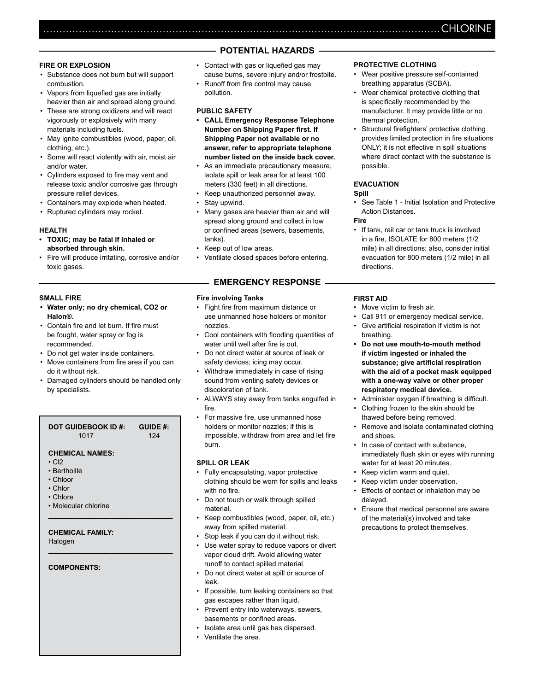## ...........................................................................................................................CHLORINE

#### **POTENTIAL HAZARDS**

## **fire or explosion**

- Substance does not burn but will support combustion.
- Vapors from liquefied gas are initially heavier than air and spread along ground.
- These are strong oxidizers and will react vigorously or explosively with many materials including fuels.
- May ignite combustibles (wood, paper, oil, clothing, etc.).
- Some will react violently with air, moist air and/or water.
- Cylinders exposed to fire may vent and release toxic and/or corrosive gas through pressure relief devices.
- Containers may explode when heated.
- Ruptured cylinders may rocket.

#### **health**

#### **• TOXIC; may be fatal if inhaled or absorbed through skin.**

• Fire will produce irritating, corrosive and/or toxic gases.

#### **small FIRE**

- **• Water only; no dry chemical, CO2 or Halon®.**
- Contain fire and let burn. If fire must be fought, water spray or fog is recommended.
- Do not get water inside containers.
- Move containers from fire area if you can do it without risk.
- Damaged cylinders should be handled only by specialists.

## **DOT GUIDEBOOK ID #: GUIDE #:**<br>1017 124 124

**\_\_\_\_\_\_\_\_\_\_\_\_\_\_\_\_\_\_\_\_\_\_\_\_\_\_\_\_\_\_\_\_**

**\_\_\_\_\_\_\_\_\_\_\_\_\_\_\_\_\_\_\_\_\_\_\_\_\_\_\_\_\_\_\_\_**

#### **Chemical NAMEs:**

- $\cdot$  Cl<sub>2</sub>
- Bertholite
- Chloor
- Chlor
- Chlore
- Molecular chlorine

## **CHEMICAL FAMILY:**

Halogen

## **Components:**

- Contact with gas or liquefied gas may cause burns, severe injury and/or frostbite.
- Runoff from fire control may cause pollution.

#### **PUBLIC SAFETY**

- **• CALL Emergency Response Telephone Number on Shipping Paper first. If Shipping Paper not available or no answer, refer to appropriate telephone number listed on the inside back cover.**
- As an immediate precautionary measure, isolate spill or leak area for at least 100 meters (330 feet) in all directions.
- Keep unauthorized personnel away.
- Stay upwind.
- Many gases are heavier than air and will spread along ground and collect in low or confined areas (sewers, basements, tanks).
- Keep out of low areas.
- Ventilate closed spaces before entering.

## **EMERGENCY response**

#### **Fire involving Tanks**

- Fight fire from maximum distance or use unmanned hose holders or monitor nozzles.
- Cool containers with flooding quantities of water until well after fire is out.
- Do not direct water at source of leak or safety devices: icing may occur.
- Withdraw immediately in case of rising sound from venting safety devices or discoloration of tank.
- ALWAYS stay away from tanks engulfed in fire.
- For massive fire, use unmanned hose holders or monitor nozzles; if this is impossible, withdraw from area and let fire burn.

#### **SPILL OR LEAK**

- Fully encapsulating, vapor protective clothing should be worn for spills and leaks with no fire.
- Do not touch or walk through spilled material.
- Keep combustibles (wood, paper, oil, etc.) away from spilled material.
- Stop leak if you can do it without risk.
- Use water spray to reduce vapors or divert vapor cloud drift. Avoid allowing water runoff to contact spilled material.
- Do not direct water at spill or source of leak.
- If possible, turn leaking containers so that gas escapes rather than liquid.
- Prevent entry into waterways, sewers, basements or confined areas.
- Isolate area until gas has dispersed.
- Ventilate the area.

#### **PROTECTIVE CLOTHING**

- Wear positive pressure self-contained breathing apparatus (SCBA).
- Wear chemical protective clothing that is specifically recommended by the manufacturer. It may provide little or no thermal protection.
- Structural firefighters' protective clothing provides limited protection in fire situations ONLY; it is not effective in spill situations where direct contact with the substance is possible.

#### **EVACUATION**

**Spill**

• See Table 1 - Initial Isolation and Protective Action Distances.

#### **Fire**

• If tank, rail car or tank truck is involved in a fire, ISOLATE for 800 meters (1/2 mile) in all directions; also, consider initial evacuation for 800 meters (1/2 mile) in all directions.

- Move victim to fresh air.
- Call 911 or emergency medical service.
- Give artificial respiration if victim is not breathing.
- **• Do not use mouth-to-mouth method if victim ingested or inhaled the substance; give artificial respiration with the aid of a pocket mask equipped with a one-way valve or other proper respiratory medical device.**
- Administer oxygen if breathing is difficult.
- Clothing frozen to the skin should be thawed before being removed.
- Remove and isolate contaminated clothing and shoes.
- In case of contact with substance, immediately flush skin or eyes with running water for at least 20 minutes.
- Keep victim warm and quiet.
- Keep victim under observation.
- Effects of contact or inhalation may be delayed.
- Ensure that medical personnel are aware of the material(s) involved and take precautions to protect themselves.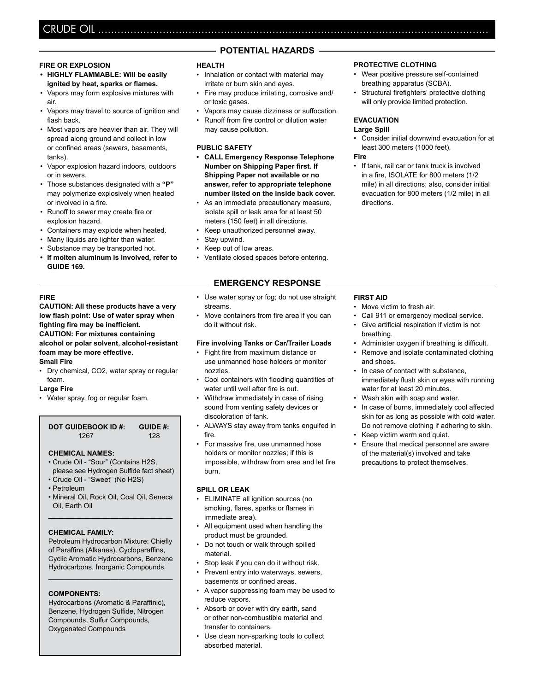# crude oil .........................................................................................................................

#### **fire or explosion**

- **• HIGHLY FLAMMABLE: Will be easily ignited by heat, sparks or flames.**
- Vapors may form explosive mixtures with air.
- Vapors may travel to source of ignition and flash back.
- Most vapors are heavier than air. They will spread along ground and collect in low or confined areas (sewers, basements, tanks).
- Vapor explosion hazard indoors, outdoors or in sewers.
- Those substances designated with a **"P"** may polymerize explosively when heated or involved in a fire.
- Runoff to sewer may create fire or explosion hazard.
- Containers may explode when heated.
- Many liquids are lighter than water.
- Substance may be transported hot.
- **• If molten aluminum is involved, refer to GUIDE 169.**

#### **FIRE**

**CAUTION: All these products have a very low flash point: Use of water spray when fighting fire may be inefficient. CAUTION: For mixtures containing alcohol or polar solvent, alcohol-resistant foam may be more effective. Small Fire**

• Dry chemical, CO2, water spray or regular foam.

#### **Large Fire**

• Water spray, fog or regular foam.

## **DOT GUIDEBOOK ID #: GUIDE #:**<br>1267<br>128 128

#### **Chemical NAMEs:**

- Crude Oil "Sour" (Contains H2S, please see Hydrogen Sulfide fact sheet)
- Crude Oil "Sweet" (No H2S)
- Petroleum
- Mineral Oil, Rock Oil, Coal Oil, Seneca Oil, Earth Oil **\_\_\_\_\_\_\_\_\_\_\_\_\_\_\_\_\_\_\_\_\_\_\_\_\_\_\_\_\_\_\_\_**

#### **CHEMICAL FAMILY:**

Petroleum Hydrocarbon Mixture: Chiefly of Paraffins (Alkanes), Cycloparaffins, Cyclic Aromatic Hydrocarbons, Benzene Hydrocarbons, Inorganic Compounds

**\_\_\_\_\_\_\_\_\_\_\_\_\_\_\_\_\_\_\_\_\_\_\_\_\_\_\_\_\_\_\_\_**

#### **Components:**

Hydrocarbons (Aromatic & Paraffinic), Benzene, Hydrogen Sulfide, Nitrogen Compounds, Sulfur Compounds, Oxygenated Compounds

## **POTENTIAL HAZARDS**

#### **health**

- Inhalation or contact with material may irritate or burn skin and eyes.
- Fire may produce irritating, corrosive and/ or toxic gases.
- Vapors may cause dizziness or suffocation.
- Runoff from fire control or dilution water may cause pollution.

#### **PUBLIC SAFETY**

- **• CALL Emergency Response Telephone Number on Shipping Paper first. If Shipping Paper not available or no answer, refer to appropriate telephone number listed on the inside back cover.**
- As an immediate precautionary measure, isolate spill or leak area for at least 50 meters (150 feet) in all directions.
- Keep unauthorized personnel away.
- Stay upwind.
- Keep out of low areas.
- Ventilate closed spaces before entering.

## **EMERGENCY response**

- Use water spray or fog; do not use straight streams.
- Move containers from fire area if you can do it without risk.

#### **Fire involving Tanks or Car/Trailer Loads**

- Fight fire from maximum distance or use unmanned hose holders or monitor nozzles.
- Cool containers with flooding quantities of water until well after fire is out.
- Withdraw immediately in case of rising sound from venting safety devices or discoloration of tank.
- ALWAYS stay away from tanks engulfed in fire.
- For massive fire, use unmanned hose holders or monitor nozzles; if this is impossible, withdraw from area and let fire burn.

#### **SPILL OR LEAK**

- ELIMINATE all ignition sources (no smoking, flares, sparks or flames in immediate area).
- All equipment used when handling the product must be grounded.
- Do not touch or walk through spilled material.
- Stop leak if you can do it without risk.
- Prevent entry into waterways, sewers, basements or confined areas.
- A vapor suppressing foam may be used to reduce vapors.
- Absorb or cover with dry earth, sand or other non-combustible material and transfer to containers.
- Use clean non-sparking tools to collect absorbed material.

#### **PROTECTIVE CLOTHING**

- Wear positive pressure self-contained breathing apparatus (SCBA).
- Structural firefighters' protective clothing will only provide limited protection.

## **EVACUATION**

#### **Large Spill**

• Consider initial downwind evacuation for at least 300 meters (1000 feet).

#### **Fire**

If tank, rail car or tank truck is involved in a fire, ISOLATE for 800 meters (1/2 mile) in all directions; also, consider initial evacuation for 800 meters (1/2 mile) in all directions.

- Move victim to fresh air.
- Call 911 or emergency medical service.
- Give artificial respiration if victim is not breathing.
- Administer oxygen if breathing is difficult.
- Remove and isolate contaminated clothing and shoes.
- In case of contact with substance, immediately flush skin or eyes with running water for at least 20 minutes.
- Wash skin with soap and water.
- In case of burns, immediately cool affected skin for as long as possible with cold water. Do not remove clothing if adhering to skin.
- Keep victim warm and quiet.
- Ensure that medical personnel are aware of the material(s) involved and take precautions to protect themselves.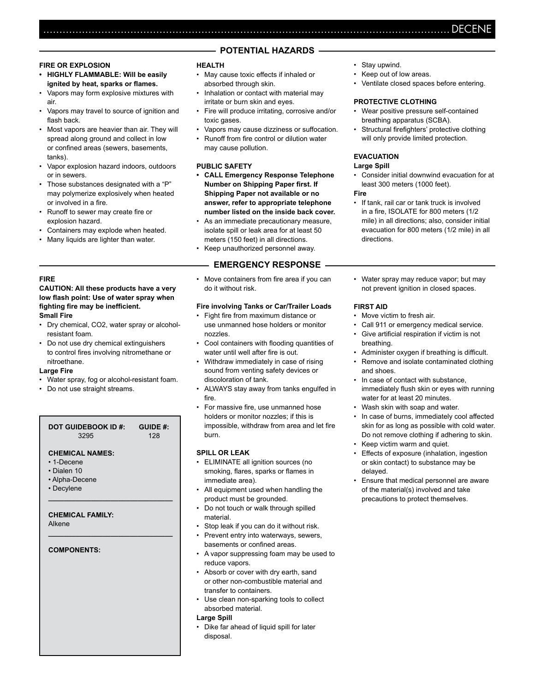## ..............................................................................................................................decene

## **POTENTIAL HAZARDS**

## **fire or explosion**

- **• HIGHLY FLAMMABLE: Will be easily ignited by heat, sparks or flames.**
- Vapors may form explosive mixtures with air.
- Vapors may travel to source of ignition and flash back.
- Most vapors are heavier than air. They will spread along ground and collect in low or confined areas (sewers, basements, tanks).
- Vapor explosion hazard indoors, outdoors or in sewers.
- Those substances designated with a "P" may polymerize explosively when heated or involved in a fire.
- Runoff to sewer may create fire or explosion hazard.
- Containers may explode when heated.
- Many liquids are lighter than water.

#### **FIRE**

## **CAUTION: All these products have a very low flash point: Use of water spray when fighting fire may be inefficient. Small Fire**

- Dry chemical, CO2, water spray or alcoholresistant foam.
- Do not use dry chemical extinguishers to control fires involving nitromethane or

#### nitroethane. **Large Fire**

- Water spray, fog or alcohol-resistant foam.
- Do not use straight streams.

## **DOT GUIDEBOOK ID #: GUIDE #:**<br>3295 128 128

**\_\_\_\_\_\_\_\_\_\_\_\_\_\_\_\_\_\_\_\_\_\_\_\_\_\_\_\_\_\_\_\_**

**\_\_\_\_\_\_\_\_\_\_\_\_\_\_\_\_\_\_\_\_\_\_\_\_\_\_\_\_\_\_\_\_**

#### **Chemical NAMEs:**

- 1-Decene
- Dialen 10
- Alpha-Decene
- Decylene

## **CHEMICAL FAMILY:**

Alkene

#### **Components:**

#### **health**

- May cause toxic effects if inhaled or absorbed through skin.
- Inhalation or contact with material may irritate or burn skin and eyes.
- Fire will produce irritating, corrosive and/or toxic gases.
- Vapors may cause dizziness or suffocation.
- Runoff from fire control or dilution water may cause pollution.

#### **PUBLIC SAFETY**

- **• CALL Emergency Response Telephone Number on Shipping Paper first. If Shipping Paper not available or no answer, refer to appropriate telephone number listed on the inside back cover.**
- As an immediate precautionary measure, isolate spill or leak area for at least 50 meters (150 feet) in all directions.
- Keep unauthorized personnel away.

## **EMERGENCY response**

• Move containers from fire area if you can do it without risk.

#### **Fire involving Tanks or Car/Trailer Loads**

- Fight fire from maximum distance or use unmanned hose holders or monitor nozzles.
- Cool containers with flooding quantities of water until well after fire is out.
- Withdraw immediately in case of rising sound from venting safety devices or discoloration of tank.
- ALWAYS stay away from tanks engulfed in fire.
- For massive fire, use unmanned hose holders or monitor nozzles; if this is impossible, withdraw from area and let fire burn.

#### **SPILL OR LEAK**

- ELIMINATE all ignition sources (no smoking, flares, sparks or flames in immediate area).
- All equipment used when handling the product must be grounded.
- Do not touch or walk through spilled material.
- Stop leak if you can do it without risk.
- Prevent entry into waterways, sewers, basements or confined areas.
- A vapor suppressing foam may be used to reduce vapors.
- Absorb or cover with dry earth, sand or other non-combustible material and transfer to containers.
- Use clean non-sparking tools to collect absorbed material.

#### **Large Spill**

• Dike far ahead of liquid spill for later disposal.

#### • Stay upwind.

- Keep out of low areas.
- Ventilate closed spaces before entering.

## **PROTECTIVE CLOTHING**

- Wear positive pressure self-contained breathing apparatus (SCBA).
- Structural firefighters' protective clothing will only provide limited protection.

## **EVACUATION**

#### **Large Spill**

• Consider initial downwind evacuation for at least 300 meters (1000 feet).

#### **Fire**

- If tank, rail car or tank truck is involved in a fire, ISOLATE for 800 meters (1/2 mile) in all directions; also, consider initial evacuation for 800 meters (1/2 mile) in all directions.
- Water spray may reduce vapor; but may not prevent ignition in closed spaces.

- Move victim to fresh air.
- Call 911 or emergency medical service.
- Give artificial respiration if victim is not breathing.
- Administer oxygen if breathing is difficult.
- Remove and isolate contaminated clothing and shoes.
- In case of contact with substance, immediately flush skin or eyes with running water for at least 20 minutes.
- Wash skin with soap and water.
- In case of burns, immediately cool affected skin for as long as possible with cold water. Do not remove clothing if adhering to skin.
- Keep victim warm and quiet.
- Effects of exposure (inhalation, ingestion or skin contact) to substance may be delayed.
- Ensure that medical personnel are aware of the material(s) involved and take precautions to protect themselves.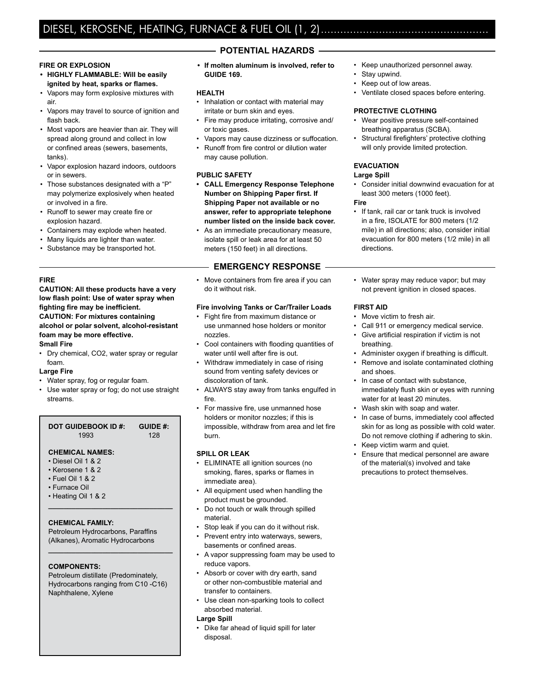## **fire or explosion**

- **• HIGHLY FLAMMABLE: Will be easily ignited by heat, sparks or flames.**
- Vapors may form explosive mixtures with air.
- Vapors may travel to source of ignition and flash back.
- Most vapors are heavier than air. They will spread along ground and collect in low or confined areas (sewers, basements, tanks).
- Vapor explosion hazard indoors, outdoors or in sewers.
- Those substances designated with a "P" may polymerize explosively when heated or involved in a fire.
- Runoff to sewer may create fire or explosion hazard.
- Containers may explode when heated.
- Many liquids are lighter than water.
- Substance may be transported hot.

#### **FIRE**

**CAUTION: All these products have a very low flash point: Use of water spray when fighting fire may be inefficient. CAUTION: For mixtures containing alcohol or polar solvent, alcohol-resistant foam may be more effective. Small Fire**

• Dry chemical, CO2, water spray or regular foam.

#### **Large Fire**

- Water spray, fog or regular foam.
- Use water spray or fog; do not use straight streams.

#### **DOT GUIDEBOOK ID #: GUIDE #:** 1993 128

## **Chemical NAMEs:**

- Diesel Oil 1 & 2
- Kerosene 1 & 2
- Fuel Oil 1 & 2
- Furnace Oil
- Heating Oil 1 & 2

#### **CHEMICAL FAMILY:**

Petroleum Hydrocarbons, Paraffins (Alkanes), Aromatic Hydrocarbons

**\_\_\_\_\_\_\_\_\_\_\_\_\_\_\_\_\_\_\_\_\_\_\_\_\_\_\_\_\_\_\_\_**

**\_\_\_\_\_\_\_\_\_\_\_\_\_\_\_\_\_\_\_\_\_\_\_\_\_\_\_\_\_\_\_\_**

### **Components:**

Petroleum distillate (Predominately, Hydrocarbons ranging from C10 -C16) Naphthalene, Xylene

- **POTENTIAL HAZARDS**
- **• If molten aluminum is involved, refer to GUIDE 169.**

## **health**

- Inhalation or contact with material may irritate or burn skin and eyes.
- Fire may produce irritating, corrosive and/ or toxic gases.
- Vapors may cause dizziness or suffocation.
- Runoff from fire control or dilution water may cause pollution.

#### **PUBLIC SAFETY**

- **• CALL Emergency Response Telephone Number on Shipping Paper first. If Shipping Paper not available or no answer, refer to appropriate telephone number listed on the inside back cover.**
- As an immediate precautionary measure, isolate spill or leak area for at least 50 meters (150 feet) in all directions.

## **EMERGENCY response**

• Move containers from fire area if you can do it without risk.

#### **Fire involving Tanks or Car/Trailer Loads**

- Fight fire from maximum distance or use unmanned hose holders or monitor nozzles.
- Cool containers with flooding quantities of water until well after fire is out.
- Withdraw immediately in case of rising sound from venting safety devices or discoloration of tank.
- ALWAYS stay away from tanks engulfed in fire.
- For massive fire, use unmanned hose holders or monitor nozzles; if this is impossible, withdraw from area and let fire burn.

#### **SPILL OR LEAK**

- ELIMINATE all ignition sources (no smoking, flares, sparks or flames in immediate area).
- All equipment used when handling the product must be grounded.
- Do not touch or walk through spilled material.
- Stop leak if you can do it without risk.
- Prevent entry into waterways, sewers, basements or confined areas.
- A vapor suppressing foam may be used to reduce vapors.
- Absorb or cover with dry earth, sand or other non-combustible material and transfer to containers.
- Use clean non-sparking tools to collect absorbed material.

#### **Large Spill**

• Dike far ahead of liquid spill for later disposal.

- Keep unauthorized personnel away.
- Stav upwind.
- Keep out of low areas.
- Ventilate closed spaces before entering.

## **PROTECTIVE CLOTHING**

- Wear positive pressure self-contained breathing apparatus (SCBA).
- Structural firefighters' protective clothing will only provide limited protection.

## **EVACUATION**

#### **Large Spill**

• Consider initial downwind evacuation for at least 300 meters (1000 feet).

#### **Fire**

- If tank, rail car or tank truck is involved in a fire, ISOLATE for 800 meters (1/2 mile) in all directions; also, consider initial evacuation for 800 meters (1/2 mile) in all directions.
- Water spray may reduce vapor; but may not prevent ignition in closed spaces.

- Move victim to fresh air.
- Call 911 or emergency medical service.
- Give artificial respiration if victim is not breathing.
- Administer oxygen if breathing is difficult.
- Remove and isolate contaminated clothing and shoes.
- In case of contact with substance, immediately flush skin or eyes with running water for at least 20 minutes.
- Wash skin with soap and water.
- In case of burns, immediately cool affected skin for as long as possible with cold water. Do not remove clothing if adhering to skin.
- Keep victim warm and quiet.
- Ensure that medical personnel are aware of the material(s) involved and take precautions to protect themselves.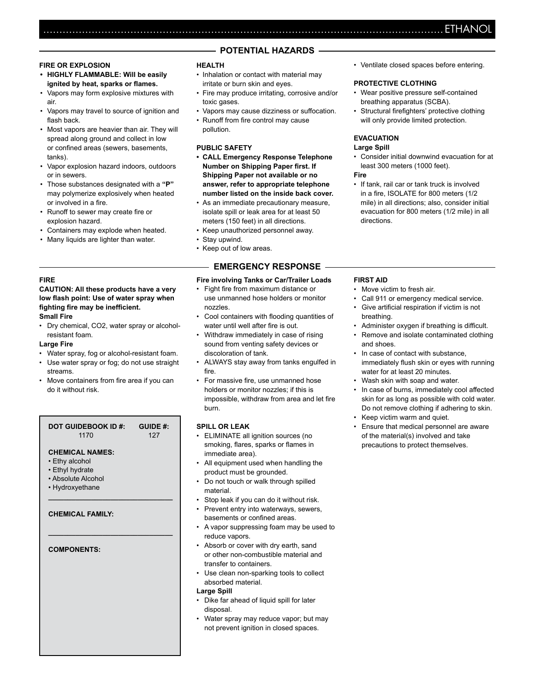## ............................................................................................................................ETHANOL

## **POTENTIAL HAZARDS**

## **fire or explosion**

- **• HIGHLY FLAMMABLE: Will be easily ignited by heat, sparks or flames.**
- Vapors may form explosive mixtures with air.
- Vapors may travel to source of ignition and flash back.
- Most vapors are heavier than air. They will spread along ground and collect in low or confined areas (sewers, basements, tanks).
- Vapor explosion hazard indoors, outdoors or in sewers.
- Those substances designated with a **"P"** may polymerize explosively when heated or involved in a fire.
- Runoff to sewer may create fire or explosion hazard.
- Containers may explode when heated.
- Many liquids are lighter than water.

#### **FIRE**

#### **CAUTION: All these products have a very low flash point: Use of water spray when fighting fire may be inefficient. Small Fire**

• Dry chemical, CO2, water spray or alcoholresistant foam.

#### **Large Fire**

- Water spray, fog or alcohol-resistant foam.
- Use water spray or fog; do not use straight streams.
- Move containers from fire area if you can do it without risk.

#### **DOT GUIDEBOOK ID #: GUIDE #:** 1170 127

**\_\_\_\_\_\_\_\_\_\_\_\_\_\_\_\_\_\_\_\_\_\_\_\_\_\_\_\_\_\_\_\_**

**\_\_\_\_\_\_\_\_\_\_\_\_\_\_\_\_\_\_\_\_\_\_\_\_\_\_\_\_\_\_\_\_**

**Chemical NAMEs:**

- Ethy alcohol
- Ethyl hydrate
- Absolute Alcohol
- Hydroxyethane

## **CHEMICAL FAMILY:**

## **Components:**

#### **health**

- Inhalation or contact with material may irritate or burn skin and eyes.
- Fire may produce irritating, corrosive and/or toxic gases.
- Vapors may cause dizziness or suffocation.
- Runoff from fire control may cause pollution.

#### **PUBLIC SAFETY**

- **• CALL Emergency Response Telephone Number on Shipping Paper first. If Shipping Paper not available or no answer, refer to appropriate telephone number listed on the inside back cover.**
- As an immediate precautionary measure, isolate spill or leak area for at least 50 meters (150 feet) in all directions.
- Keep unauthorized personnel away.
- Stay upwind.
- Keep out of low areas.

## **EMERGENCY response**

#### **Fire involving Tanks or Car/Trailer Loads**

- Fight fire from maximum distance or use unmanned hose holders or monitor nozzles.
- Cool containers with flooding quantities of water until well after fire is out.
- Withdraw immediately in case of rising sound from venting safety devices or discoloration of tank.
- ALWAYS stay away from tanks engulfed in fire.
- For massive fire, use unmanned hose holders or monitor nozzles; if this is impossible, withdraw from area and let fire burn.

### **SPILL OR LEAK**

- ELIMINATE all ignition sources (no smoking, flares, sparks or flames in immediate area).
- All equipment used when handling the product must be grounded.
- Do not touch or walk through spilled material.
- Stop leak if you can do it without risk.
- Prevent entry into waterways, sewers, basements or confined areas.
- A vapor suppressing foam may be used to reduce vapors.
- Absorb or cover with dry earth, sand or other non-combustible material and transfer to containers.
- Use clean non-sparking tools to collect absorbed material.
- **Large Spill**
- Dike far ahead of liquid spill for later disposal.
- Water spray may reduce vapor; but may not prevent ignition in closed spaces.

• Ventilate closed spaces before entering.

#### **PROTECTIVE CLOTHING**

- Wear positive pressure self-contained breathing apparatus (SCBA).
- Structural firefighters' protective clothing will only provide limited protection.

#### **EVACUATION**

#### **Large Spill**

• Consider initial downwind evacuation for at least 300 meters (1000 feet).

#### **Fire**

• If tank, rail car or tank truck is involved in a fire, ISOLATE for 800 meters (1/2 mile) in all directions; also, consider initial evacuation for 800 meters (1/2 mile) in all directions.

- Move victim to fresh air.
- Call 911 or emergency medical service.
- Give artificial respiration if victim is not breathing.
- Administer oxygen if breathing is difficult.
- Remove and isolate contaminated clothing and shoes.
- In case of contact with substance, immediately flush skin or eyes with running water for at least 20 minutes.
- Wash skin with soap and water.
- In case of burns, immediately cool affected skin for as long as possible with cold water. Do not remove clothing if adhering to skin.
- Keep victim warm and quiet.
- Ensure that medical personnel are aware of the material(s) involved and take precautions to protect themselves.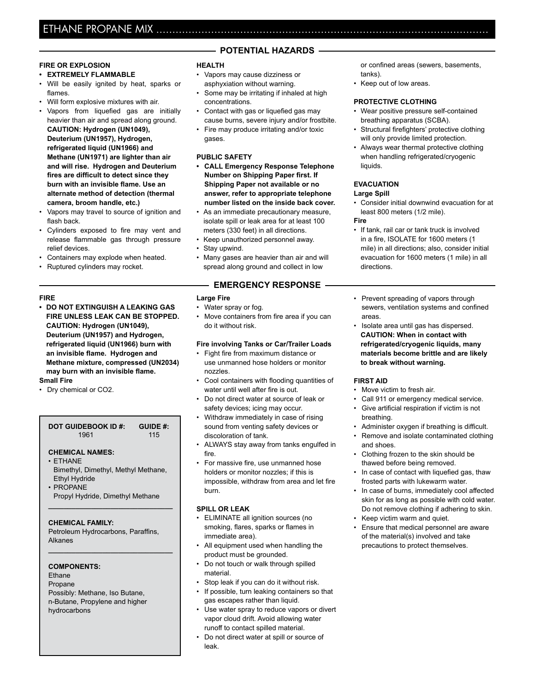ETHANE PROPANE MIX .......................................................................................................

## **POTENTIAL HAZARDS**

## **fire or explosion**

- **• EXTREMELY FLAMMABLE**
- Will be easily ignited by heat, sparks or flames.
- Will form explosive mixtures with air.
- Vapors from liquefied gas are initially heavier than air and spread along ground. **CAUTION: Hydrogen (UN1049), Deuterium (UN1957), Hydrogen, refrigerated liquid (UN1966) and Methane (UN1971) are lighter than air and will rise. Hydrogen and Deuterium fires are difficult to detect since they burn with an invisible flame. Use an alternate method of detection (thermal camera, broom handle, etc.)**
- Vapors may travel to source of ignition and flash back.
- Cylinders exposed to fire may vent and release flammable gas through pressure relief devices.
- Containers may explode when heated.
- Ruptured cylinders may rocket.

#### **FIRE**

- **• DO NOT EXTINGUISH A LEAKING GAS FIRE UNLESS LEAK CAN BE STOPPED. CAUTION: Hydrogen (UN1049), Deuterium (UN1957) and Hydrogen, refrigerated liquid (UN1966) burn with an invisible flame. Hydrogen and Methane mixture, compressed (UN2034) may burn with an invisible flame. Small Fire**
- Dry chemical or CO2.

## **DOT GUIDEBOOK ID #: GUIDE #:** 1961 115

#### **Chemical NAMEs:**

- Ethane Bimethyl, Dimethyl, Methyl Methane, Ethyl Hydride
- Propane Propyl Hydride, Dimethyl Methane

**\_\_\_\_\_\_\_\_\_\_\_\_\_\_\_\_\_\_\_\_\_\_\_\_\_\_\_\_\_\_\_\_**

**\_\_\_\_\_\_\_\_\_\_\_\_\_\_\_\_\_\_\_\_\_\_\_\_\_\_\_\_\_\_\_\_**

#### **CHEMICAL FAMILY:**

Petroleum Hydrocarbons, Paraffins, Alkanes

### **Components:**

Ethane Propane Possibly: Methane, Iso Butane, n-Butane, Propylene and higher hydrocarbons

## **health**

- Vapors may cause dizziness or asphyxiation without warning.
- Some may be irritating if inhaled at high concentrations.
- Contact with gas or liquefied gas may cause burns, severe injury and/or frostbite.
- Fire may produce irritating and/or toxic gases.

### **PUBLIC SAFETY**

- **• CALL Emergency Response Telephone Number on Shipping Paper first. If Shipping Paper not available or no answer, refer to appropriate telephone number listed on the inside back cover.**
- As an immediate precautionary measure, isolate spill or leak area for at least 100 meters (330 feet) in all directions.
- Keep unauthorized personnel away.
- Stay upwind.
- Many gases are heavier than air and will spread along ground and collect in low

## **EMERGENCY response**

#### **Large Fire**

- Water spray or fog.
- Move containers from fire area if you can do it without risk.

## **Fire involving Tanks or Car/Trailer Loads**

- Fight fire from maximum distance or use unmanned hose holders or monitor nozzles.
- Cool containers with flooding quantities of water until well after fire is out.
- Do not direct water at source of leak or safety devices; icing may occur.
- Withdraw immediately in case of rising sound from venting safety devices or discoloration of tank.
- ALWAYS stay away from tanks engulfed in fire.
- For massive fire, use unmanned hose holders or monitor nozzles; if this is impossible, withdraw from area and let fire burn.

#### **SPILL OR LEAK**

- ELIMINATE all ignition sources (no smoking, flares, sparks or flames in immediate area).
- All equipment used when handling the product must be grounded.
- Do not touch or walk through spilled material.
- Stop leak if you can do it without risk.
- If possible, turn leaking containers so that gas escapes rather than liquid.
- Use water spray to reduce vapors or divert vapor cloud drift. Avoid allowing water runoff to contact spilled material.
- Do not direct water at spill or source of leak.

or confined areas (sewers, basements, tanks).

Keep out of low areas.

#### **PROTECTIVE CLOTHING**

- Wear positive pressure self-contained breathing apparatus (SCBA).
- Structural firefighters' protective clothing will only provide limited protection.
- Always wear thermal protective clothing when handling refrigerated/cryogenic liquids.

#### **EVACUATION**

#### **Large Spill**

• Consider initial downwind evacuation for at least 800 meters (1/2 mile).

#### **Fire**

- If tank, rail car or tank truck is involved in a fire, ISOLATE for 1600 meters (1 mile) in all directions; also, consider initial evacuation for 1600 meters (1 mile) in all directions.
- Prevent spreading of vapors through sewers, ventilation systems and confined areas.
- Isolate area until gas has dispersed. **CAUTION: When in contact with refrigerated/cryogenic liquids, many materials become brittle and are likely to break without warning.**

- Move victim to fresh air.
- Call 911 or emergency medical service.
- Give artificial respiration if victim is not breathing.
- Administer oxygen if breathing is difficult.
- Remove and isolate contaminated clothing and shoes.
- Clothing frozen to the skin should be thawed before being removed.
- In case of contact with liquefied gas, thaw frosted parts with lukewarm water.
- In case of burns, immediately cool affected skin for as long as possible with cold water. Do not remove clothing if adhering to skin.
- Keep victim warm and quiet.
- Ensure that medical personnel are aware of the material(s) involved and take precautions to protect themselves.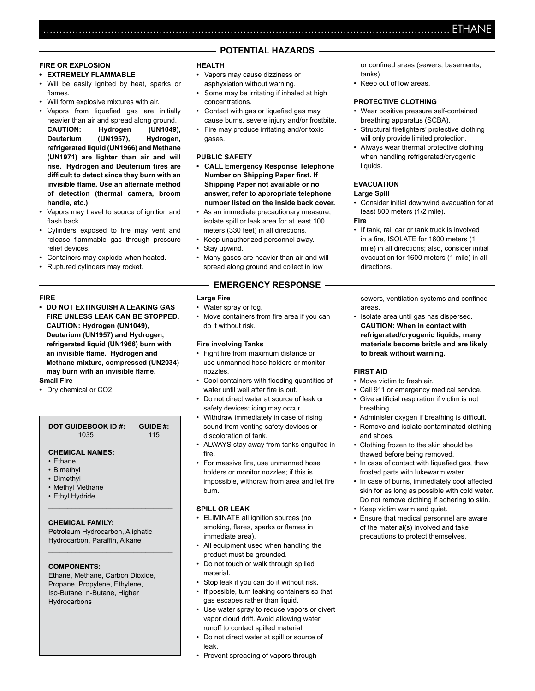## .............................................................................................................................. ETHANE

## **POTENTIAL HAZARDS**

## **fire or explosion**

- **• EXTREMELY FLAMMABLE**
- Will be easily ignited by heat, sparks or flames.
- Will form explosive mixtures with air.
- Vapors from liquefied gas are initially heavier than air and spread along ground. **CAUTION: Hydrogen (UN1049), Deuterium (UN1957), Hydrogen, refrigerated liquid (UN1966) and Methane (UN1971) are lighter than air and will rise. Hydrogen and Deuterium fires are difficult to detect since they burn with an invisible flame. Use an alternate method of detection (thermal camera, broom handle, etc.)**
- Vapors may travel to source of ignition and flash back.
- Cylinders exposed to fire may vent and release flammable gas through pressure relief devices.
- Containers may explode when heated.
- Ruptured cylinders may rocket.

#### **FIRE**

- **• DO NOT EXTINGUISH A LEAKING GAS FIRE UNLESS LEAK CAN BE STOPPED. CAUTION: Hydrogen (UN1049), Deuterium (UN1957) and Hydrogen, refrigerated liquid (UN1966) burn with an invisible flame. Hydrogen and Methane mixture, compressed (UN2034) may burn with an invisible flame. Small Fire**
- Dry chemical or CO2.

#### **DOT GUIDEBOOK ID #: GUIDE #:** 1035 115

#### **Chemical NAMEs:**

- Ethane
- Bimethyl
- Dimethyl
- Methyl Methane
- Ethyl Hydride

#### **CHEMICAL FAMILY:**

Petroleum Hydrocarbon, Aliphatic Hydrocarbon, Paraffin, Alkane

**\_\_\_\_\_\_\_\_\_\_\_\_\_\_\_\_\_\_\_\_\_\_\_\_\_\_\_\_\_\_\_\_**

**\_\_\_\_\_\_\_\_\_\_\_\_\_\_\_\_\_\_\_\_\_\_\_\_\_\_\_\_\_\_\_\_**

#### **Components:**

Ethane, Methane, Carbon Dioxide, Propane, Propylene, Ethylene, Iso-Butane, n-Butane, Higher **Hydrocarbons** 

#### **health**

- Vapors may cause dizziness or asphyxiation without warning.
- Some may be irritating if inhaled at high concentrations.
- Contact with gas or liquefied gas may cause burns, severe injury and/or frostbite.
- Fire may produce irritating and/or toxic gases.

#### **PUBLIC SAFETY**

- **• CALL Emergency Response Telephone Number on Shipping Paper first. If Shipping Paper not available or no answer, refer to appropriate telephone number listed on the inside back cover.**
- As an immediate precautionary measure, isolate spill or leak area for at least 100 meters (330 feet) in all directions.
- Keep unauthorized personnel away.
- Stay upwind.
- Many gases are heavier than air and will spread along ground and collect in low

#### **EMERGENCY response**

#### **Large Fire**

- Water spray or fog.
- Move containers from fire area if you can do it without risk.

#### **Fire involving Tanks**

- Fight fire from maximum distance or use unmanned hose holders or monitor nozzles.
- Cool containers with flooding quantities of water until well after fire is out.
- Do not direct water at source of leak or safety devices; icing may occur.
- Withdraw immediately in case of rising sound from venting safety devices or discoloration of tank.
- ALWAYS stay away from tanks engulfed in fire.
- For massive fire, use unmanned hose holders or monitor nozzles; if this is impossible, withdraw from area and let fire burn.

#### **SPILL OR LEAK**

- ELIMINATE all ignition sources (no smoking, flares, sparks or flames in immediate area).
- All equipment used when handling the product must be grounded.
- Do not touch or walk through spilled material.
- Stop leak if you can do it without risk.
- If possible, turn leaking containers so that gas escapes rather than liquid.
- Use water spray to reduce vapors or divert vapor cloud drift. Avoid allowing water runoff to contact spilled material.
- Do not direct water at spill or source of leak.
- Prevent spreading of vapors through

or confined areas (sewers, basements, tanks).

Keep out of low areas.

#### **PROTECTIVE CLOTHING**

- Wear positive pressure self-contained breathing apparatus (SCBA).
- Structural firefighters' protective clothing will only provide limited protection.
- Always wear thermal protective clothing when handling refrigerated/cryogenic liquids.

#### **EVACUATION**

#### **Large Spill**

• Consider initial downwind evacuation for at least 800 meters (1/2 mile).

#### **Fire**

• If tank, rail car or tank truck is involved in a fire, ISOLATE for 1600 meters (1 mile) in all directions; also, consider initial evacuation for 1600 meters (1 mile) in all directions.

sewers, ventilation systems and confined areas.

• Isolate area until gas has dispersed. **CAUTION: When in contact with refrigerated/cryogenic liquids, many materials become brittle and are likely to break without warning.**

- Move victim to fresh air.
- Call 911 or emergency medical service.
- Give artificial respiration if victim is not breathing.
- Administer oxygen if breathing is difficult.
- Remove and isolate contaminated clothing and shoes.
- Clothing frozen to the skin should be thawed before being removed.
- In case of contact with liquefied gas, thaw frosted parts with lukewarm water.
- In case of burns, immediately cool affected skin for as long as possible with cold water. Do not remove clothing if adhering to skin.
- Keep victim warm and quiet.
- Ensure that medical personnel are aware of the material(s) involved and take precautions to protect themselves.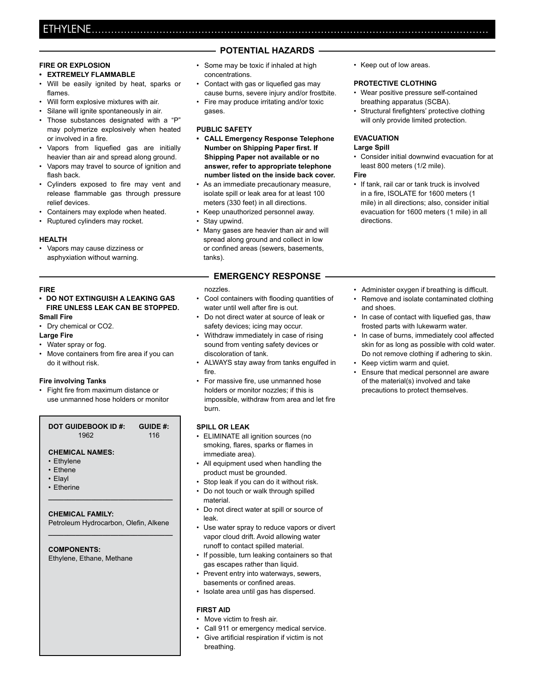ETHYLENE...........................................................................................................................

## **POTENTIAL HAZARDS**

## **fire or explosion**

#### **• EXTREMELY FLAMMABLE**

- Will be easily ignited by heat, sparks or flames.
- Will form explosive mixtures with air.
- Silane will ignite spontaneously in air.
- Those substances designated with a "P" may polymerize explosively when heated or involved in a fire.
- Vapors from liquefied gas are initially heavier than air and spread along ground.
- Vapors may travel to source of ignition and flash back.
- Cylinders exposed to fire may vent and release flammable gas through pressure relief devices.
- Containers may explode when heated.
- Ruptured cylinders may rocket.

#### **health**

• Vapors may cause dizziness or asphyxiation without warning.

#### **FIRE**

#### **• DO NOT EXTINGUISH A LEAKING GAS FIRE UNLESS LEAK CAN BE STOPPED. Small Fire**

• Dry chemical or CO2.

## **Large Fire**

- Water spray or fog.
- Move containers from fire area if you can do it without risk.

#### **Fire involving Tanks**

• Fight fire from maximum distance or use unmanned hose holders or monitor

| DOT GUIDEBOOK ID #:    | GUIDE #: |
|------------------------|----------|
| 1962                   | 116      |
| <b>CHEMICAL NAMES:</b> |          |

- Ethylene
- Ethene
- Elayl
- Etherine

#### **CHEMICAL FAMILY:**

Petroleum Hydrocarbon, Olefin, Alkene **\_\_\_\_\_\_\_\_\_\_\_\_\_\_\_\_\_\_\_\_\_\_\_\_\_\_\_\_\_\_\_\_**

**\_\_\_\_\_\_\_\_\_\_\_\_\_\_\_\_\_\_\_\_\_\_\_\_\_\_\_\_\_\_\_\_**

#### **Components:** Ethylene, Ethane, Methane

- Some may be toxic if inhaled at high concentrations.
- Contact with gas or liquefied gas may cause burns, severe injury and/or frostbite.
- Fire may produce irritating and/or toxic gases.

#### **PUBLIC SAFETY**

- **• CALL Emergency Response Telephone Number on Shipping Paper first. If Shipping Paper not available or no answer, refer to appropriate telephone number listed on the inside back cover.**
- As an immediate precautionary measure, isolate spill or leak area for at least 100 meters (330 feet) in all directions.
- Keep unauthorized personnel away.
- Stay upwind.
- Many gases are heavier than air and will spread along ground and collect in low or confined areas (sewers, basements, tanks).

## **EMERGENCY response**

#### nozzles.

- Cool containers with flooding quantities of water until well after fire is out.
- Do not direct water at source of leak or safety devices; icing may occur.
- Withdraw immediately in case of rising sound from venting safety devices or discoloration of tank.
- ALWAYS stay away from tanks engulfed in fire.
- For massive fire, use unmanned hose holders or monitor nozzles; if this is impossible, withdraw from area and let fire burn.

#### **SPILL OR LEAK**

- ELIMINATE all ignition sources (no smoking, flares, sparks or flames in immediate area).
- All equipment used when handling the product must be grounded.
- Stop leak if you can do it without risk.
- Do not touch or walk through spilled material.
- Do not direct water at spill or source of leak.
- Use water spray to reduce vapors or divert vapor cloud drift. Avoid allowing water runoff to contact spilled material.
- If possible, turn leaking containers so that gas escapes rather than liquid.
- Prevent entry into waterways, sewers, basements or confined areas.
- Isolate area until gas has dispersed.

#### **FIRST AID**

- Move victim to fresh air.
- Call 911 or emergency medical service.
- Give artificial respiration if victim is not breathing.

• Keep out of low areas.

## **PROTECTIVE CLOTHING**

- Wear positive pressure self-contained breathing apparatus (SCBA).
- Structural firefighters' protective clothing will only provide limited protection.

#### **EVACUATION**

#### **Large Spill**

• Consider initial downwind evacuation for at least 800 meters (1/2 mile).

#### **Fire**

- If tank, rail car or tank truck is involved in a fire, ISOLATE for 1600 meters (1 mile) in all directions; also, consider initial evacuation for 1600 meters (1 mile) in all directions.
- Administer oxygen if breathing is difficult.
- Remove and isolate contaminated clothing and shoes.
- In case of contact with liquefied gas, thaw frosted parts with lukewarm water.
- In case of burns, immediately cool affected skin for as long as possible with cold water. Do not remove clothing if adhering to skin.
- Keep victim warm and quiet.
- Ensure that medical personnel are aware of the material(s) involved and take precautions to protect themselves.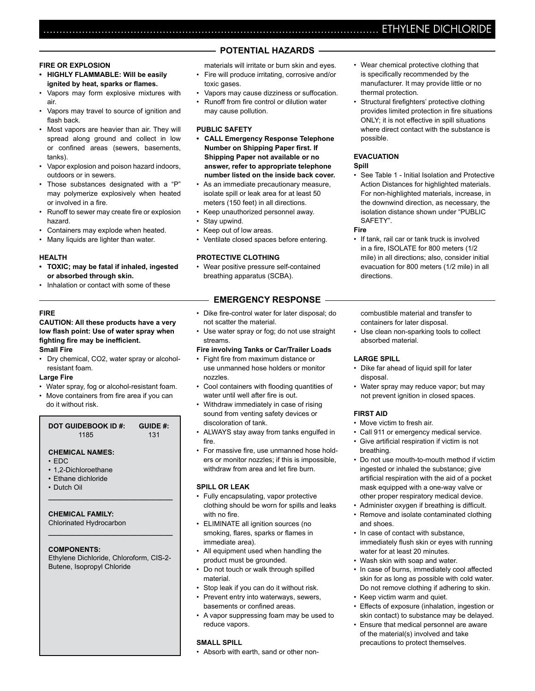# ........................................................................................................ ETHYLENE DICHLORIDE

## **POTENTIAL HAZARDS**

#### **fire or explosion**

- **• HIGHLY FLAMMABLE: Will be easily ignited by heat, sparks or flames.**
- Vapors may form explosive mixtures with air.
- Vapors may travel to source of ignition and flash back.
- Most vapors are heavier than air. They will spread along ground and collect in low or confined areas (sewers, basements, tanks).
- Vapor explosion and poison hazard indoors, outdoors or in sewers.
- Those substances designated with a "P" may polymerize explosively when heated or involved in a fire.
- Runoff to sewer may create fire or explosion hazard.
- Containers may explode when heated.
- Many liquids are lighter than water.

#### **health**

- **• TOXIC; may be fatal if inhaled, ingested or absorbed through skin.**
- Inhalation or contact with some of these

#### **FIRE**

#### **CAUTION: All these products have a very low flash point: Use of water spray when fighting fire may be inefficient. Small Fire**

• Dry chemical, CO2, water spray or alcoholresistant foam.

#### **Large Fire**

- Water spray, fog or alcohol-resistant foam.
- Move containers from fire area if you can do it without risk.

| DOT GUIDEBOOK ID #:    | <b>GUIDE #:</b> |
|------------------------|-----------------|
| 1185                   | 131             |
| <b>CHEMICAL NAMES:</b> |                 |

- EDC
- 1,2-Dichloroethane
- Ethane dichloride
- Dutch Oil

### **CHEMICAL FAMILY:**

Chlorinated Hydrocarbon

#### **Components:**

Ethylene Dichloride, Chloroform, CIS-2- Butene, Isopropyl Chloride

**\_\_\_\_\_\_\_\_\_\_\_\_\_\_\_\_\_\_\_\_\_\_\_\_\_\_\_\_\_\_\_\_**

**\_\_\_\_\_\_\_\_\_\_\_\_\_\_\_\_\_\_\_\_\_\_\_\_\_\_\_\_\_\_\_\_**

materials will irritate or burn skin and eyes. • Fire will produce irritating, corrosive and/or

- toxic gases.
- Vapors may cause dizziness or suffocation.
- Runoff from fire control or dilution water may cause pollution.

#### **PUBLIC SAFETY**

- **• CALL Emergency Response Telephone Number on Shipping Paper first. If Shipping Paper not available or no answer, refer to appropriate telephone number listed on the inside back cover.**
- As an immediate precautionary measure, isolate spill or leak area for at least 50 meters (150 feet) in all directions.
- Keep unauthorized personnel away.
- Stay upwind.
- Keep out of low areas.
- Ventilate closed spaces before entering.

## **PROTECTIVE CLOTHING**

• Wear positive pressure self-contained breathing apparatus (SCBA).

## **EMERGENCY response**

- Dike fire-control water for later disposal; do not scatter the material.
- Use water spray or fog; do not use straight streams.

#### **Fire involving Tanks or Car/Trailer Loads**

- Fight fire from maximum distance or use unmanned hose holders or monitor nozzles.
- Cool containers with flooding quantities of water until well after fire is out.
- Withdraw immediately in case of rising sound from venting safety devices or discoloration of tank.
- ALWAYS stay away from tanks engulfed in fire.
- For massive fire, use unmanned hose holders or monitor nozzles; if this is impossible, withdraw from area and let fire burn.

#### **SPILL OR LEAK**

- Fully encapsulating, vapor protective clothing should be worn for spills and leaks with no fire.
- ELIMINATE all ignition sources (no smoking, flares, sparks or flames in immediate area).
- All equipment used when handling the product must be grounded.
- Do not touch or walk through spilled material.
- Stop leak if you can do it without risk.
- Prevent entry into waterways, sewers, basements or confined areas.
- A vapor suppressing foam may be used to reduce vapors.

#### **SMALL SPILl**

• Absorb with earth, sand or other non-

- Wear chemical protective clothing that is specifically recommended by the manufacturer. It may provide little or no thermal protection.
- Structural firefighters' protective clothing provides limited protection in fire situations ONLY; it is not effective in spill situations where direct contact with the substance is possible.

## **EVACUATION**

**Spill**

• See Table 1 - Initial Isolation and Protective Action Distances for highlighted materials. For non-highlighted materials, increase, in the downwind direction, as necessary, the isolation distance shown under "PUBLIC SAFETY".

#### **Fire**

• If tank, rail car or tank truck is involved in a fire, ISOLATE for 800 meters (1/2 mile) in all directions; also, consider initial evacuation for 800 meters (1/2 mile) in all directions.

combustible material and transfer to containers for later disposal.

Use clean non-sparking tools to collect absorbed material.

#### **LARGE SPILl**

- Dike far ahead of liquid spill for later disposal.
- Water spray may reduce vapor; but may not prevent ignition in closed spaces.

- Move victim to fresh air.
- Call 911 or emergency medical service. • Give artificial respiration if victim is not
- breathing.
- Do not use mouth-to-mouth method if victim ingested or inhaled the substance; give artificial respiration with the aid of a pocket mask equipped with a one-way valve or other proper respiratory medical device.
- Administer oxygen if breathing is difficult.
- Remove and isolate contaminated clothing and shoes.
- In case of contact with substance, immediately flush skin or eyes with running water for at least 20 minutes.
- Wash skin with soap and water.
- In case of burns, immediately cool affected skin for as long as possible with cold water. Do not remove clothing if adhering to skin.
- Keep victim warm and quiet.
- Effects of exposure (inhalation, ingestion or skin contact) to substance may be delayed.
- Ensure that medical personnel are aware of the material(s) involved and take precautions to protect themselves.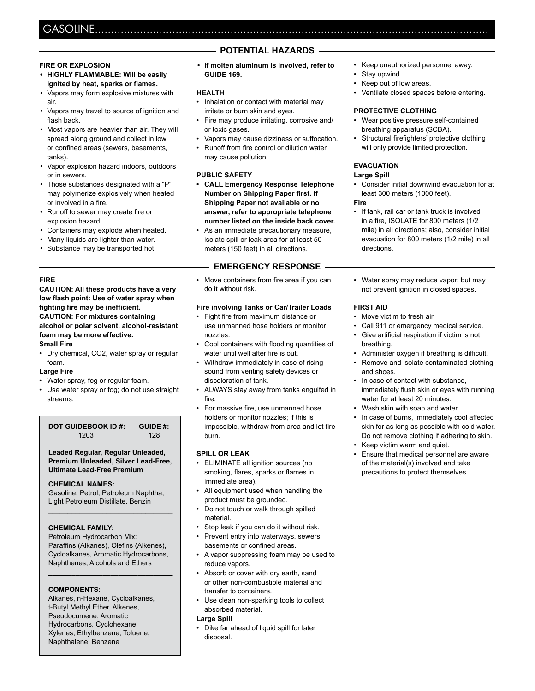# GASOLINE..........................................................................................................................

#### **fire or explosion**

- **• HIGHLY FLAMMABLE: Will be easily ignited by heat, sparks or flames.**
- Vapors may form explosive mixtures with air.
- Vapors may travel to source of ignition and flash back.
- Most vapors are heavier than air. They will spread along ground and collect in low or confined areas (sewers, basements, tanks).
- Vapor explosion hazard indoors, outdoors or in sewers.
- Those substances designated with a "P" may polymerize explosively when heated or involved in a fire.
- Runoff to sewer may create fire or explosion hazard.
- Containers may explode when heated.
- Many liquids are lighter than water.
- Substance may be transported hot.

#### **FIRE**

**CAUTION: All these products have a very low flash point: Use of water spray when fighting fire may be inefficient. CAUTION: For mixtures containing alcohol or polar solvent, alcohol-resistant foam may be more effective. Small Fire**

• Dry chemical, CO2, water spray or regular foam.

#### **Large Fire**

- Water spray, fog or regular foam.
- Use water spray or fog; do not use straight streams.

## **DOT GUIDEBOOK ID #: GUIDE #:** 1203 128

#### **Leaded Regular, Regular Unleaded, Premium Unleaded, Silver Lead-Free, Ultimate Lead-Free Premium**

#### **Chemical NAMEs:**

Gasoline, Petrol, Petroleum Naphtha, Light Petroleum Distillate, Benzin

**\_\_\_\_\_\_\_\_\_\_\_\_\_\_\_\_\_\_\_\_\_\_\_\_\_\_\_\_\_\_\_\_**

#### **CHEMICAL FAMILY:**

Petroleum Hydrocarbon Mix: Paraffins (Alkanes), Olefins (Alkenes), Cycloalkanes, Aromatic Hydrocarbons, Naphthenes, Alcohols and Ethers

**\_\_\_\_\_\_\_\_\_\_\_\_\_\_\_\_\_\_\_\_\_\_\_\_\_\_\_\_\_\_\_\_**

#### **Components:**

Alkanes, n-Hexane, Cycloalkanes, t-Butyl Methyl Ether, Alkenes, Pseudocumene, Aromatic Hydrocarbons, Cyclohexane, Xylenes, Ethylbenzene, Toluene, Naphthalene, Benzene

**• If molten aluminum is involved, refer to GUIDE 169.**

**POTENTIAL HAZARDS**

#### **health**

- Inhalation or contact with material may irritate or burn skin and eyes.
- Fire may produce irritating, corrosive and/ or toxic gases.
- Vapors may cause dizziness or suffocation.
- Runoff from fire control or dilution water may cause pollution.

#### **PUBLIC SAFETY**

- **• CALL Emergency Response Telephone Number on Shipping Paper first. If Shipping Paper not available or no answer, refer to appropriate telephone number listed on the inside back cover.**
- As an immediate precautionary measure, isolate spill or leak area for at least 50 meters (150 feet) in all directions.

## **EMERGENCY response**

• Move containers from fire area if you can do it without risk.

#### **Fire involving Tanks or Car/Trailer Loads**

- Fight fire from maximum distance or use unmanned hose holders or monitor nozzles.
- Cool containers with flooding quantities of water until well after fire is out.
- Withdraw immediately in case of rising sound from venting safety devices or discoloration of tank.
- ALWAYS stay away from tanks engulfed in fire.
- For massive fire, use unmanned hose holders or monitor nozzles; if this is impossible, withdraw from area and let fire burn.

#### **SPILL OR LEAK**

- ELIMINATE all ignition sources (no smoking, flares, sparks or flames in immediate area).
- All equipment used when handling the product must be grounded.
- Do not touch or walk through spilled material.
- Stop leak if you can do it without risk.
- Prevent entry into waterways, sewers, basements or confined areas.
- A vapor suppressing foam may be used to reduce vapors.
- Absorb or cover with dry earth, sand or other non-combustible material and transfer to containers.
- Use clean non-sparking tools to collect absorbed material.

#### **Large Spill**

• Dike far ahead of liquid spill for later disposal.

- Keep unauthorized personnel away.
- Stav upwind.
- Keep out of low areas.
- Ventilate closed spaces before entering.

## **PROTECTIVE CLOTHING**

- Wear positive pressure self-contained breathing apparatus (SCBA).
- Structural firefighters' protective clothing will only provide limited protection.

## **EVACUATION**

#### **Large Spill**

• Consider initial downwind evacuation for at least 300 meters (1000 feet).

#### **Fire**

- If tank, rail car or tank truck is involved in a fire, ISOLATE for 800 meters (1/2 mile) in all directions; also, consider initial evacuation for 800 meters (1/2 mile) in all directions.
- Water spray may reduce vapor; but may not prevent ignition in closed spaces.

- Move victim to fresh air.
- Call 911 or emergency medical service.
- Give artificial respiration if victim is not breathing.
- Administer oxygen if breathing is difficult.
- Remove and isolate contaminated clothing and shoes.
- In case of contact with substance, immediately flush skin or eyes with running water for at least 20 minutes.
- Wash skin with soap and water.
- In case of burns, immediately cool affected skin for as long as possible with cold water. Do not remove clothing if adhering to skin.
- Keep victim warm and quiet.
- Ensure that medical personnel are aware of the material(s) involved and take precautions to protect themselves.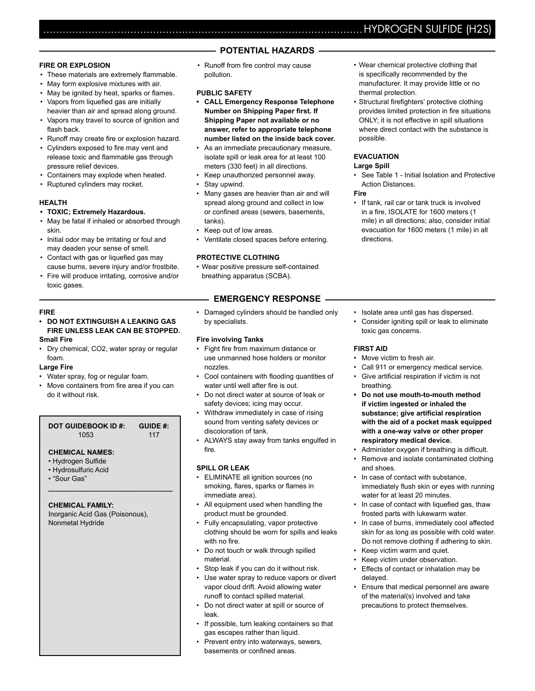## ...................................................................................................HYDROGEN SULFIDE (H2S)

## **POTENTIAL HAZARDS**

## **fire or explosion**

- These materials are extremely flammable.
- May form explosive mixtures with air.
- May be ignited by heat, sparks or flames. • Vapors from liquefied gas are initially
- heavier than air and spread along ground. • Vapors may travel to source of ignition and
- flash back.
- Runoff may create fire or explosion hazard.
- Cylinders exposed to fire may vent and release toxic and flammable gas through pressure relief devices.
- Containers may explode when heated.
- Ruptured cylinders may rocket.

#### **health**

#### **• TOXIC; Extremely Hazardous.**

- May be fatal if inhaled or absorbed through skin.
- Initial odor may be irritating or foul and may deaden your sense of smell.
- Contact with gas or liquefied gas may cause burns, severe injury and/or frostbite.
- Fire will produce irritating, corrosive and/or toxic gases.

#### **FIRE**

#### **• DO NOT EXTINGUISH A LEAKING GAS FIRE UNLESS LEAK CAN BE STOPPED. Small Fire**

• Dry chemical, CO2, water spray or regular foam.

#### **Large Fire**

- Water spray, fog or regular foam.
- Move containers from fire area if you can do it without risk.

| DOT GUIDEBOOK ID #:<br>1053                                                          | <b>GUIDE #:</b><br>117 |
|--------------------------------------------------------------------------------------|------------------------|
| <b>CHEMICAL NAMES:</b><br>• Hydrogen Sulfide<br>• Hydrosulfuric Acid<br>• "Sour Gas" |                        |
| <b>CHEMICAL FAMILY:</b><br>Inorganic Acid Gas (Poisonous),<br>Nonmetal Hydride       |                        |

• Runoff from fire control may cause pollution.

#### **PUBLIC SAFETY**

- **• CALL Emergency Response Telephone Number on Shipping Paper first. If Shipping Paper not available or no answer, refer to appropriate telephone number listed on the inside back cover.**
- As an immediate precautionary measure, isolate spill or leak area for at least 100 meters (330 feet) in all directions.
- Keep unauthorized personnel away.
- Stay upwind.
- Many gases are heavier than air and will spread along ground and collect in low or confined areas (sewers, basements, tanks).
- Keep out of low areas.
- Ventilate closed spaces before entering.

## **PROTECTIVE CLOTHING**

• Wear positive pressure self-contained breathing apparatus (SCBA).

## **EMERGENCY response**

• Damaged cylinders should be handled only by specialists.

#### **Fire involving Tanks**

- Fight fire from maximum distance or use unmanned hose holders or monitor nozzles.
- Cool containers with flooding quantities of water until well after fire is out.
- Do not direct water at source of leak or safety devices; icing may occur.
- Withdraw immediately in case of rising sound from venting safety devices or discoloration of tank.
- ALWAYS stay away from tanks engulfed in fire.

#### **SPILL OR LEAK**

- ELIMINATE all ignition sources (no smoking, flares, sparks or flames in immediate area).
- All equipment used when handling the product must be grounded.
- Fully encapsulating, vapor protective clothing should be worn for spills and leaks with no fire.
- Do not touch or walk through spilled material.
- Stop leak if you can do it without risk.
- Use water spray to reduce vapors or divert vapor cloud drift. Avoid allowing water runoff to contact spilled material.
- Do not direct water at spill or source of leak.
- If possible, turn leaking containers so that gas escapes rather than liquid.
- Prevent entry into waterways, sewers, basements or confined areas.
- Wear chemical protective clothing that is specifically recommended by the manufacturer. It may provide little or no thermal protection.
- Structural firefighters' protective clothing provides limited protection in fire situations ONLY; it is not effective in spill situations where direct contact with the substance is possible.

#### **EVACUATION Large Spill**

• See Table 1 - Initial Isolation and Protective Action Distances.

#### **Fire**

- If tank, rail car or tank truck is involved in a fire, ISOLATE for 1600 meters (1 mile) in all directions; also, consider initial evacuation for 1600 meters (1 mile) in all directions.
- Isolate area until gas has dispersed.
- Consider igniting spill or leak to eliminate toxic gas concerns.

- Move victim to fresh air.
- Call 911 or emergency medical service.
- Give artificial respiration if victim is not breathing.
- **• Do not use mouth-to-mouth method if victim ingested or inhaled the substance; give artificial respiration with the aid of a pocket mask equipped with a one-way valve or other proper respiratory medical device.**
- Administer oxygen if breathing is difficult.
- Remove and isolate contaminated clothing and shoes.
- In case of contact with substance. immediately flush skin or eyes with running water for at least 20 minutes.
- In case of contact with liquefied gas, thaw frosted parts with lukewarm water.
- In case of burns, immediately cool affected skin for as long as possible with cold water. Do not remove clothing if adhering to skin.
- Keep victim warm and quiet.
- Keep victim under observation. • Effects of contact or inhalation may be
- delayed.
- Ensure that medical personnel are aware of the material(s) involved and take precautions to protect themselves.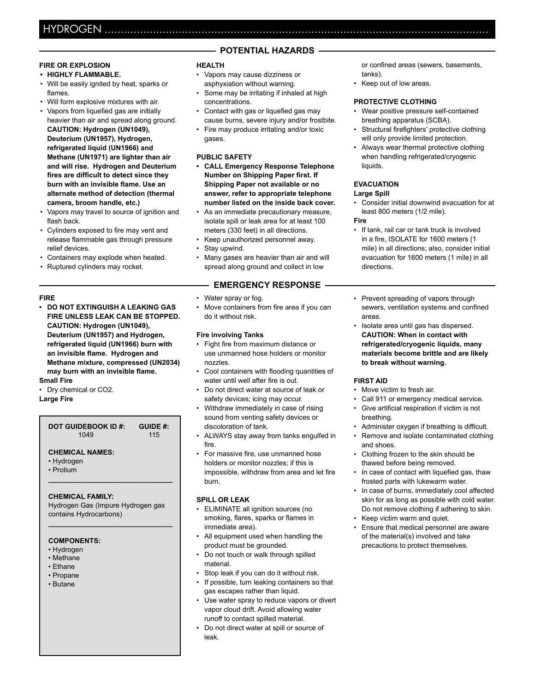## **fire or explosion**

- **• HIGHLY FLAMMABLE.**
- Will be easily ignited by heat, sparks or flames.
- Will form explosive mixtures with air.
- Vapors from liquefied gas are initially heavier than air and spread along ground. **CAUTION: Hydrogen (UN1049), Deuterium (UN1957), Hydrogen, refrigerated liquid (UN1966) and Methane (UN1971) are lighter than air and will rise. Hydrogen and Deuterium fires are difficult to detect since they burn with an invisible flame. Use an alternate method of detection (thermal camera, broom handle, etc.)**
- Vapors may travel to source of ignition and flash back.
- Cylinders exposed to fire may vent and release flammable gas through pressure relief devices.
- Containers may explode when heated.
- Ruptured cylinders may rocket.

#### **FIRE**

**• DO NOT EXTINGUISH A LEAKING GAS FIRE UNLESS LEAK CAN BE STOPPED. CAUTION: Hydrogen (UN1049), Deuterium (UN1957) and Hydrogen, refrigerated liquid (UN1966) burn with an invisible flame. Hydrogen and Methane mixture, compressed (UN2034) may burn with an invisible flame. Small Fire**

• Dry chemical or CO2. **Large Fire**

## **DOT GUIDEBOOK ID #: GUIDE #:** 1049 115

## **Chemical NAMEs:**

- Hydrogen
- Protium

#### **CHEMICAL FAMILY:**

Hydrogen Gas (Impure Hydrogen gas contains Hydrocarbons) **\_\_\_\_\_\_\_\_\_\_\_\_\_\_\_\_\_\_\_\_\_\_\_\_\_\_\_\_\_\_\_\_**

**\_\_\_\_\_\_\_\_\_\_\_\_\_\_\_\_\_\_\_\_\_\_\_\_\_\_\_\_\_\_\_\_**

#### **Components:**

- Hydrogen
- Methane
- Ethane
- Propane
- Butane

## **health**

- Vapors may cause dizziness or asphyxiation without warning.
- Some may be irritating if inhaled at high concentrations.
- Contact with gas or liquefied gas may cause burns, severe injury and/or frostbite.
- Fire may produce irritating and/or toxic gases.

## **PUBLIC SAFETY**

- **• CALL Emergency Response Telephone Number on Shipping Paper first. If Shipping Paper not available or no answer, refer to appropriate telephone number listed on the inside back cover.**
- As an immediate precautionary measure, isolate spill or leak area for at least 100 meters (330 feet) in all directions.
- Keep unauthorized personnel away.
- Stay upwind.
- Many gases are heavier than air and will spread along ground and collect in low

## **EMERGENCY response**

- Water spray or fog.
- Move containers from fire area if you can do it without risk.

#### **Fire involving Tanks**

- Fight fire from maximum distance or use unmanned hose holders or monitor nozzles.
- Cool containers with flooding quantities of water until well after fire is out.
- Do not direct water at source of leak or safety devices; icing may occur.
- Withdraw immediately in case of rising sound from venting safety devices or discoloration of tank.
- ALWAYS stay away from tanks engulfed in fire.
- For massive fire, use unmanned hose holders or monitor nozzles; if this is impossible, withdraw from area and let fire burn.

#### **SPILL OR LEAK**

- ELIMINATE all ignition sources (no smoking, flares, sparks or flames in immediate area).
- All equipment used when handling the product must be grounded.
- Do not touch or walk through spilled material.
- Stop leak if you can do it without risk.
- If possible, turn leaking containers so that gas escapes rather than liquid.
- Use water spray to reduce vapors or divert vapor cloud drift. Avoid allowing water runoff to contact spilled material.
- Do not direct water at spill or source of leak.

or confined areas (sewers, basements, tanks).

Keep out of low areas.

#### **PROTECTIVE CLOTHING**

- Wear positive pressure self-contained breathing apparatus (SCBA).
- Structural firefighters' protective clothing will only provide limited protection.
- Always wear thermal protective clothing when handling refrigerated/cryogenic liquids.

#### **EVACUATION**

#### **Large Spill**

• Consider initial downwind evacuation for at least 800 meters (1/2 mile).

#### **Fire**

- If tank, rail car or tank truck is involved in a fire, ISOLATE for 1600 meters (1 mile) in all directions; also, consider initial evacuation for 1600 meters (1 mile) in all directions.
- Prevent spreading of vapors through sewers, ventilation systems and confined areas.
- Isolate area until gas has dispersed. **CAUTION: When in contact with refrigerated/cryogenic liquids, many materials become brittle and are likely to break without warning.**

- Move victim to fresh air.
- Call 911 or emergency medical service.
- Give artificial respiration if victim is not breathing.
- Administer oxygen if breathing is difficult.
- Remove and isolate contaminated clothing and shoes.
- Clothing frozen to the skin should be thawed before being removed.
- In case of contact with liquefied gas, thaw frosted parts with lukewarm water.
- In case of burns, immediately cool affected skin for as long as possible with cold water. Do not remove clothing if adhering to skin.
- Keep victim warm and quiet.
- Ensure that medical personnel are aware of the material(s) involved and take precautions to protect themselves.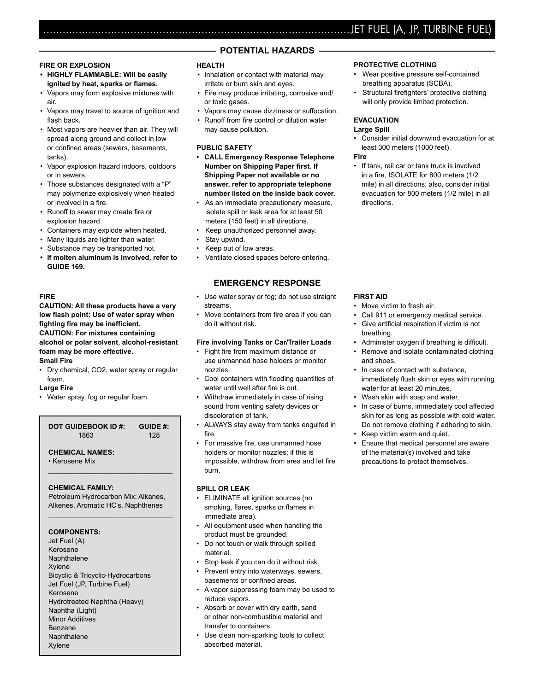## ...............................................................................................JET FUEL (A, JP, TURBINE FUEL)

## **POTENTIAL HAZARDS**

## **fire or explosion**

- **• HIGHLY FLAMMABLE: Will be easily ignited by heat, sparks or flames.**
- Vapors may form explosive mixtures with air.
- Vapors may travel to source of ignition and flash back.
- Most vapors are heavier than air. They will spread along ground and collect in low or confined areas (sewers, basements, tanks).
- Vapor explosion hazard indoors, outdoors or in sewers.
- Those substances designated with a "P" may polymerize explosively when heated or involved in a fire.
- Runoff to sewer may create fire or explosion hazard.
- Containers may explode when heated.
- Many liquids are lighter than water.
- Substance may be transported hot.
- **• If molten aluminum is involved, refer to GUIDE 169.**

#### **FIRE**

#### **CAUTION: All these products have a very low flash point: Use of water spray when fighting fire may be inefficient. CAUTION: For mixtures containing alcohol or polar solvent, alcohol-resistant foam may be more effective. Small Fire**

• Dry chemical, CO2, water spray or regular foam.

#### **Large Fire**

• Water spray, fog or regular foam.

#### **DOT GUIDEBOOK ID #: GUIDE #:** 1863 128

#### **Chemical NAMEs:**

• Kerosene Mix

#### **CHEMICAL FAMILY:**

Petroleum Hydrocarbon Mix: Alkanes, Alkenes, Aromatic HC's, Naphthenes

**\_\_\_\_\_\_\_\_\_\_\_\_\_\_\_\_\_\_\_\_\_\_\_\_\_\_\_\_\_\_\_\_**

**\_\_\_\_\_\_\_\_\_\_\_\_\_\_\_\_\_\_\_\_\_\_\_\_\_\_\_\_\_\_\_\_**

#### **Components:**

Jet Fuel (A) Kerosene Naphthalene Xylene Bicyclic & Tricyclic-Hydrocarbons Jet Fuel (JP, Turbine Fuel) Kerosene Hydrotreated Naphtha (Heavy) Naphtha (Light) Minor Additives Benzene Naphthalene Xylene

#### **health**

- Inhalation or contact with material may irritate or burn skin and eyes.
- Fire may produce irritating, corrosive and/ or toxic gases.
- Vapors may cause dizziness or suffocation.
- Runoff from fire control or dilution water may cause pollution.

## **PUBLIC SAFETY**

- **• CALL Emergency Response Telephone Number on Shipping Paper first. If Shipping Paper not available or no answer, refer to appropriate telephone number listed on the inside back cover.**
- As an immediate precautionary measure, isolate spill or leak area for at least 50 meters (150 feet) in all directions.
- Keep unauthorized personnel away.
- Stay upwind.
- Keep out of low areas.
- Ventilate closed spaces before entering.

## **EMERGENCY response**

- Use water spray or fog; do not use straight streams.
- Move containers from fire area if you can do it without risk.

#### **Fire involving Tanks or Car/Trailer Loads**

- Fight fire from maximum distance or use unmanned hose holders or monitor nozzles.
- Cool containers with flooding quantities of water until well after fire is out.
- Withdraw immediately in case of rising sound from venting safety devices or discoloration of tank.
- ALWAYS stay away from tanks engulfed in fire.
- For massive fire, use unmanned hose holders or monitor nozzles; if this is impossible, withdraw from area and let fire burn.

#### **SPILL OR LEAK**

- ELIMINATE all ignition sources (no smoking, flares, sparks or flames in immediate area).
- All equipment used when handling the product must be grounded.
- Do not touch or walk through spilled material.
- Stop leak if you can do it without risk.
- Prevent entry into waterways, sewers,
- basements or confined areas.
- A vapor suppressing foam may be used to reduce vapors.
- Absorb or cover with dry earth, sand or other non-combustible material and transfer to containers.
- Use clean non-sparking tools to collect absorbed material.

#### **PROTECTIVE CLOTHING**

- Wear positive pressure self-contained breathing apparatus (SCBA).
- Structural firefighters' protective clothing will only provide limited protection.

## **EVACUATION**

#### **Large Spill**

• Consider initial downwind evacuation for at least 300 meters (1000 feet).

#### **Fire**

If tank, rail car or tank truck is involved in a fire, ISOLATE for 800 meters (1/2 mile) in all directions; also, consider initial evacuation for 800 meters (1/2 mile) in all directions.

- Move victim to fresh air.
- Call 911 or emergency medical service.
- Give artificial respiration if victim is not breathing.
- Administer oxygen if breathing is difficult.
- Remove and isolate contaminated clothing and shoes.
- In case of contact with substance, immediately flush skin or eyes with running water for at least 20 minutes.
- Wash skin with soap and water.
- In case of burns, immediately cool affected skin for as long as possible with cold water. Do not remove clothing if adhering to skin.
- Keep victim warm and quiet.
- Ensure that medical personnel are aware of the material(s) involved and take precautions to protect themselves.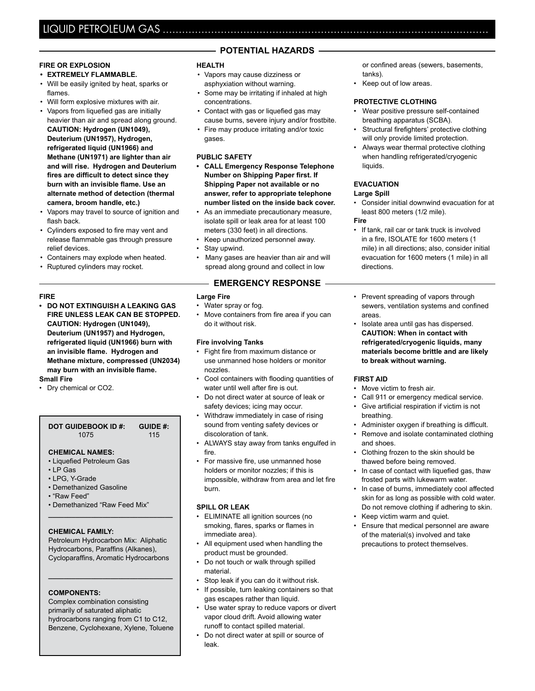## **fire or explosion**

- **• EXTREMELY FLAMMABLE.**
- Will be easily ignited by heat, sparks or flames.
- Will form explosive mixtures with air.
- Vapors from liquefied gas are initially heavier than air and spread along ground. **CAUTION: Hydrogen (UN1049), Deuterium (UN1957), Hydrogen, refrigerated liquid (UN1966) and Methane (UN1971) are lighter than air and will rise. Hydrogen and Deuterium fires are difficult to detect since they burn with an invisible flame. Use an alternate method of detection (thermal camera, broom handle, etc.)**
- Vapors may travel to source of ignition and flash back.
- Cylinders exposed to fire may vent and release flammable gas through pressure relief devices.
- Containers may explode when heated.
- Ruptured cylinders may rocket.

#### **FIRE**

**• DO NOT EXTINGUISH A LEAKING GAS FIRE UNLESS LEAK CAN BE STOPPED. CAUTION: Hydrogen (UN1049), Deuterium (UN1957) and Hydrogen, refrigerated liquid (UN1966) burn with an invisible flame. Hydrogen and Methane mixture, compressed (UN2034) may burn with an invisible flame.**

#### **Small Fire**

• Dry chemical or CO2.

#### **DOT GUIDEBOOK ID #: GUIDE #:** 1075 115

#### **Chemical NAMEs:**

- Liquefied Petroleum Gas
- LP Gas
- LPG, Y-Grade
- Demethanized Gasoline
- "Raw Feed"
- Demethanized "Raw Feed Mix"

#### **CHEMICAL FAMILY:**

Petroleum Hydrocarbon Mix: Aliphatic Hydrocarbons, Paraffins (Alkanes), Cycloparaffins, Aromatic Hydrocarbons

**\_\_\_\_\_\_\_\_\_\_\_\_\_\_\_\_\_\_\_\_\_\_\_\_\_\_\_\_\_\_\_\_**

**\_\_\_\_\_\_\_\_\_\_\_\_\_\_\_\_\_\_\_\_\_\_\_\_\_\_\_\_\_\_\_\_**

#### **Components:**

Complex combination consisting primarily of saturated aliphatic hydrocarbons ranging from C1 to C12, Benzene, Cyclohexane, Xylene, Toluene

## **health**

- Vapors may cause dizziness or asphyxiation without warning.
- Some may be irritating if inhaled at high concentrations.
- Contact with gas or liquefied gas may cause burns, severe injury and/or frostbite.
- Fire may produce irritating and/or toxic gases.

## **PUBLIC SAFETY**

- **• CALL Emergency Response Telephone Number on Shipping Paper first. If Shipping Paper not available or no answer, refer to appropriate telephone number listed on the inside back cover.**
- As an immediate precautionary measure, isolate spill or leak area for at least 100 meters (330 feet) in all directions.
- Keep unauthorized personnel away.
- Stay upwind.
- Many gases are heavier than air and will spread along ground and collect in low

## **EMERGENCY response**

#### **Large Fire**

- Water spray or fog.
- Move containers from fire area if you can do it without risk.

#### **Fire involving Tanks**

- Fight fire from maximum distance or use unmanned hose holders or monitor nozzles.
- Cool containers with flooding quantities of water until well after fire is out.
- Do not direct water at source of leak or safety devices; icing may occur.
- Withdraw immediately in case of rising sound from venting safety devices or discoloration of tank.
- ALWAYS stay away from tanks engulfed in fire.
- For massive fire, use unmanned hose holders or monitor nozzles; if this is impossible, withdraw from area and let fire burn.

#### **SPILL OR LEAK**

- ELIMINATE all ignition sources (no smoking, flares, sparks or flames in immediate area).
- All equipment used when handling the product must be grounded.
- Do not touch or walk through spilled material.
- Stop leak if you can do it without risk.
- If possible, turn leaking containers so that gas escapes rather than liquid.
- Use water spray to reduce vapors or divert vapor cloud drift. Avoid allowing water runoff to contact spilled material.
- Do not direct water at spill or source of leak.

or confined areas (sewers, basements, tanks).

Keep out of low areas.

#### **PROTECTIVE CLOTHING**

- Wear positive pressure self-contained breathing apparatus (SCBA).
- Structural firefighters' protective clothing will only provide limited protection.
- Always wear thermal protective clothing when handling refrigerated/cryogenic liquids.

## **EVACUATION**

#### **Large Spill**

• Consider initial downwind evacuation for at least 800 meters (1/2 mile).

#### **Fire**

- If tank, rail car or tank truck is involved in a fire, ISOLATE for 1600 meters (1 mile) in all directions; also, consider initial evacuation for 1600 meters (1 mile) in all directions.
- Prevent spreading of vapors through sewers, ventilation systems and confined areas.
- Isolate area until gas has dispersed. **CAUTION: When in contact with refrigerated/cryogenic liquids, many materials become brittle and are likely to break without warning.**

- Move victim to fresh air.
- Call 911 or emergency medical service.
- Give artificial respiration if victim is not breathing.
- Administer oxygen if breathing is difficult.
- Remove and isolate contaminated clothing and shoes.
- Clothing frozen to the skin should be thawed before being removed.
- In case of contact with liquefied gas, thaw frosted parts with lukewarm water.
- In case of burns, immediately cool affected skin for as long as possible with cold water. Do not remove clothing if adhering to skin.
- Keep victim warm and quiet.
- Ensure that medical personnel are aware of the material(s) involved and take precautions to protect themselves.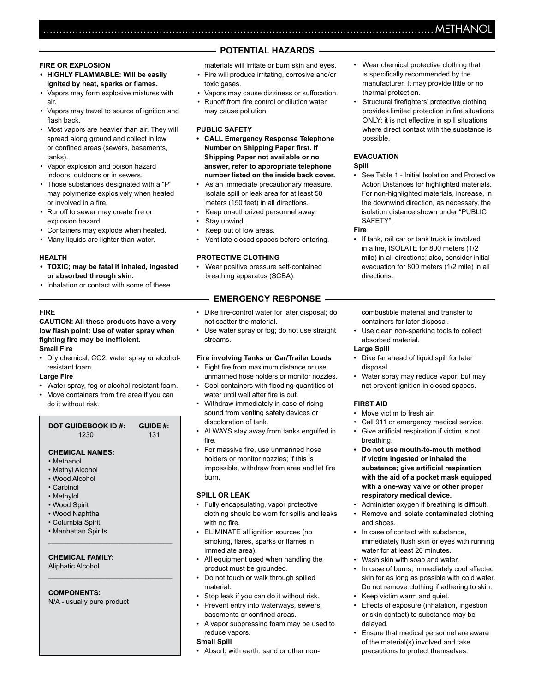## ......................................................................................................................... methanol

## **POTENTIAL HAZARDS**

## **fire or explosion**

- **• HIGHLY FLAMMABLE: Will be easily ignited by heat, sparks or flames.**
- Vapors may form explosive mixtures with air.
- Vapors may travel to source of ignition and flash back.
- Most vapors are heavier than air. They will spread along ground and collect in low or confined areas (sewers, basements, tanks).
- Vapor explosion and poison hazard indoors, outdoors or in sewers.
- Those substances designated with a "P" may polymerize explosively when heated or involved in a fire.
- Runoff to sewer may create fire or explosion hazard.
- Containers may explode when heated.
- Many liquids are lighter than water.

#### **health**

- **• TOXIC; may be fatal if inhaled, ingested or absorbed through skin.**
- Inhalation or contact with some of these

#### **FIRE**

#### **CAUTION: All these products have a very low flash point: Use of water spray when fighting fire may be inefficient. Small Fire**

• Dry chemical, CO2, water spray or alcoholresistant foam.

#### **Large Fire**

- Water spray, fog or alcohol-resistant foam.
- Move containers from fire area if you can do it without risk.

| DOT GUIDEBOOK ID #:<br>1230 | <b>GUIDE #:</b><br>131 |
|-----------------------------|------------------------|
| <b>CHEMICAL NAMES:</b>      |                        |
| • Methanol                  |                        |
| • Methyl Alcohol            |                        |
| • Wood Alcohol              |                        |
| • Carbinol                  |                        |
| • Methylol                  |                        |
| • Wood Spirit               |                        |
| • Wood Naphtha              |                        |
| <b>AIII</b> AII             |                        |

**\_\_\_\_\_\_\_\_\_\_\_\_\_\_\_\_\_\_\_\_\_\_\_\_\_\_\_\_\_\_\_\_**

**\_\_\_\_\_\_\_\_\_\_\_\_\_\_\_\_\_\_\_\_\_\_\_\_\_\_\_\_\_\_\_\_**

- Columbia Spirit
- Manhattan Spirits

## **CHEMICAL FAMILY:**

Aliphatic Alcohol

#### **Components:**

N/A - usually pure product

materials will irritate or burn skin and eyes. • Fire will produce irritating, corrosive and/or

- toxic gases.
- Vapors may cause dizziness or suffocation.
- Runoff from fire control or dilution water may cause pollution.

#### **PUBLIC SAFETY**

- **• CALL Emergency Response Telephone Number on Shipping Paper first. If Shipping Paper not available or no answer, refer to appropriate telephone number listed on the inside back cover.**
- As an immediate precautionary measure, isolate spill or leak area for at least 50 meters (150 feet) in all directions.
- Keep unauthorized personnel away.
- Stay upwind.
- Keep out of low areas.
- Ventilate closed spaces before entering.

## **PROTECTIVE CLOTHING**

• Wear positive pressure self-contained breathing apparatus (SCBA).

## **EMERGENCY response**

- Dike fire-control water for later disposal; do not scatter the material.
- Use water spray or fog; do not use straight streams.

#### **Fire involving Tanks or Car/Trailer Loads**

- Fight fire from maximum distance or use unmanned hose holders or monitor nozzles.
- Cool containers with flooding quantities of water until well after fire is out.
- Withdraw immediately in case of rising sound from venting safety devices or discoloration of tank.
- ALWAYS stay away from tanks engulfed in fire.
- For massive fire, use unmanned hose holders or monitor nozzles; if this is impossible, withdraw from area and let fire burn.

#### **SPILL OR LEAK**

- Fully encapsulating, vapor protective clothing should be worn for spills and leaks with no fire.
- ELIMINATE all ignition sources (no smoking, flares, sparks or flames in immediate area).
- All equipment used when handling the product must be grounded.
- Do not touch or walk through spilled material.
- Stop leak if you can do it without risk.
- Prevent entry into waterways, sewers, basements or confined areas.
- A vapor suppressing foam may be used to reduce vapors.

#### **Small Spill**

• Absorb with earth, sand or other non-

- Wear chemical protective clothing that is specifically recommended by the manufacturer. It may provide little or no thermal protection.
- Structural firefighters' protective clothing provides limited protection in fire situations ONLY; it is not effective in spill situations where direct contact with the substance is possible.

## **EVACUATION**

**Spill**

• See Table 1 - Initial Isolation and Protective Action Distances for highlighted materials. For non-highlighted materials, increase, in the downwind direction, as necessary, the isolation distance shown under "PUBLIC SAFETY".

#### **Fire**

• If tank, rail car or tank truck is involved in a fire, ISOLATE for 800 meters (1/2 mile) in all directions; also, consider initial evacuation for 800 meters (1/2 mile) in all directions.

combustible material and transfer to containers for later disposal.

Use clean non-sparking tools to collect absorbed material.

#### **Large Spill**

- Dike far ahead of liquid spill for later disposal.
- Water spray may reduce vapor; but may not prevent ignition in closed spaces.

- Move victim to fresh air.
- Call 911 or emergency medical service.
- Give artificial respiration if victim is not breathing.
- **• Do not use mouth-to-mouth method if victim ingested or inhaled the substance; give artificial respiration with the aid of a pocket mask equipped with a one-way valve or other proper respiratory medical device.**
- Administer oxygen if breathing is difficult.
- Remove and isolate contaminated clothing and shoes.
- In case of contact with substance, immediately flush skin or eyes with running water for at least 20 minutes.
- Wash skin with soap and water.
- In case of burns, immediately cool affected skin for as long as possible with cold water. Do not remove clothing if adhering to skin.
- Keep victim warm and quiet.
- Effects of exposure (inhalation, ingestion or skin contact) to substance may be delayed.
- Ensure that medical personnel are aware of the material(s) involved and take precautions to protect themselves.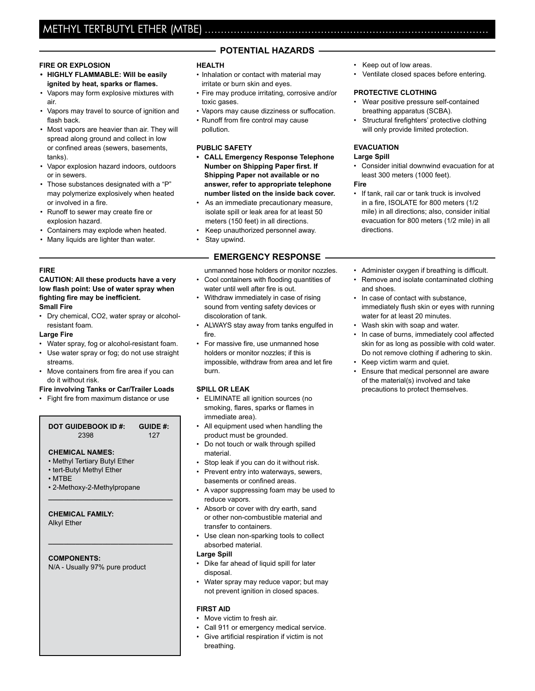#### **fire or explosion**

- **• HIGHLY FLAMMABLE: Will be easily ignited by heat, sparks or flames.**
- Vapors may form explosive mixtures with air.
- Vapors may travel to source of ignition and flash back.
- Most vapors are heavier than air. They will spread along ground and collect in low or confined areas (sewers, basements, tanks).
- Vapor explosion hazard indoors, outdoors or in sewers.
- Those substances designated with a "P" may polymerize explosively when heated or involved in a fire.
- Runoff to sewer may create fire or explosion hazard.
- Containers may explode when heated.
- Many liquids are lighter than water.

## **FIRE**

#### **CAUTION: All these products have a very low flash point: Use of water spray when fighting fire may be inefficient. Small Fire**

• Dry chemical, CO2, water spray or alcoholresistant foam.

### **Large Fire**

- Water spray, fog or alcohol-resistant foam.
- Use water spray or fog; do not use straight streams.
- Move containers from fire area if you can do it without risk.
- **Fire involving Tanks or Car/Trailer Loads**
- Fight fire from maximum distance or use

## **DOT GUIDEBOOK ID #: GUIDE #:** 2398 127

**\_\_\_\_\_\_\_\_\_\_\_\_\_\_\_\_\_\_\_\_\_\_\_\_\_\_\_\_\_\_\_\_**

**\_\_\_\_\_\_\_\_\_\_\_\_\_\_\_\_\_\_\_\_\_\_\_\_\_\_\_\_\_\_\_\_**

#### **Chemical NAMEs:**

- Methyl Tertiary Butyl Ether
- tert-Butyl Methyl Ether
- MTBE
- 2-Methoxy-2-Methylpropane

### **CHEMICAL FAMILY:**

Alkyl Ether

## **Components:**

N/A - Usually 97% pure product

## **POTENTIAL HAZARDS**

#### **health**

- Inhalation or contact with material may irritate or burn skin and eyes.
- Fire may produce irritating, corrosive and/or toxic gases.
- Vapors may cause dizziness or suffocation.
- Runoff from fire control may cause pollution.

## **PUBLIC SAFETY**

- **• CALL Emergency Response Telephone Number on Shipping Paper first. If Shipping Paper not available or no answer, refer to appropriate telephone number listed on the inside back cover.**
- As an immediate precautionary measure, isolate spill or leak area for at least 50 meters (150 feet) in all directions.
- Keep unauthorized personnel away.
- Stay upwind.

## **EMERGENCY response**

unmanned hose holders or monitor nozzles.

- Cool containers with flooding quantities of water until well after fire is out.
- Withdraw immediately in case of rising sound from venting safety devices or discoloration of tank.
- ALWAYS stay away from tanks engulfed in fire.
- For massive fire, use unmanned hose holders or monitor nozzles; if this is impossible, withdraw from area and let fire burn.

## **SPILL OR LEAK**

- ELIMINATE all ignition sources (no smoking, flares, sparks or flames in immediate area).
- All equipment used when handling the product must be grounded.
- Do not touch or walk through spilled material.
- Stop leak if you can do it without risk.
- Prevent entry into waterways, sewers, basements or confined areas.
- A vapor suppressing foam may be used to reduce vapors.
- Absorb or cover with dry earth, sand or other non-combustible material and transfer to containers.
- Use clean non-sparking tools to collect absorbed material.

#### **Large Spill**

- Dike far ahead of liquid spill for later disposal.
- Water spray may reduce vapor; but may not prevent ignition in closed spaces.

## **FIRST AID**

- Move victim to fresh air.
- Call 911 or emergency medical service.
- Give artificial respiration if victim is not breathing.
- Keep out of low areas.
- Ventilate closed spaces before entering.

## **PROTECTIVE CLOTHING**

- Wear positive pressure self-contained breathing apparatus (SCBA).
- Structural firefighters' protective clothing will only provide limited protection.

## **EVACUATION**

### **Large Spill**

• Consider initial downwind evacuation for at least 300 meters (1000 feet).

#### **Fire**

- If tank, rail car or tank truck is involved in a fire, ISOLATE for 800 meters (1/2 mile) in all directions; also, consider initial evacuation for 800 meters (1/2 mile) in all directions.
- Administer oxygen if breathing is difficult.
- Remove and isolate contaminated clothing and shoes.
- In case of contact with substance, immediately flush skin or eyes with running water for at least 20 minutes.
- Wash skin with soap and water.
- In case of burns, immediately cool affected skin for as long as possible with cold water. Do not remove clothing if adhering to skin.
- Keep victim warm and quiet.
- Ensure that medical personnel are aware of the material(s) involved and take precautions to protect themselves.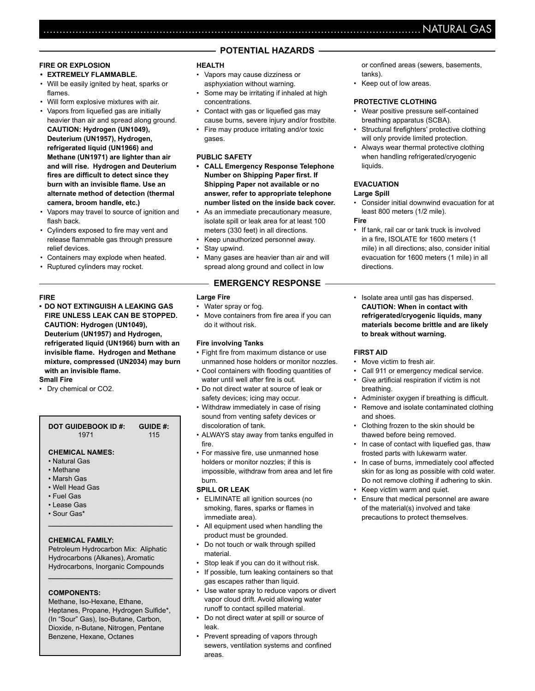# ..................................................................................................................... Natural Gas

## **POTENTIAL HAZARDS**

## **fire or explosion**

- **• EXTREMELY FLAMMABLE.**
- Will be easily ignited by heat, sparks or flames.
- Will form explosive mixtures with air.
- Vapors from liquefied gas are initially heavier than air and spread along ground. **CAUTION: Hydrogen (UN1049), Deuterium (UN1957), Hydrogen, refrigerated liquid (UN1966) and Methane (UN1971) are lighter than air and will rise. Hydrogen and Deuterium fires are difficult to detect since they burn with an invisible flame. Use an alternate method of detection (thermal camera, broom handle, etc.)**
- Vapors may travel to source of ignition and flash back.
- Cylinders exposed to fire may vent and release flammable gas through pressure relief devices.
- Containers may explode when heated.
- Ruptured cylinders may rocket.

#### **FIRE**

**• DO NOT EXTINGUISH A LEAKING GAS FIRE UNLESS LEAK CAN BE STOPPED. CAUTION: Hydrogen (UN1049), Deuterium (UN1957) and Hydrogen, refrigerated liquid (UN1966) burn with an invisible flame. Hydrogen and Methane mixture, compressed (UN2034) may burn with an invisible flame.**

#### **Small Fire**

• Dry chemical or CO2.

## **DOT GUIDEBOOK ID #: GUIDE #:** 1971 115

## **Chemical NAMEs:**

- Natural Gas
- Methane
- Marsh Gas
- Well Head Gas
- Fuel Gas
- Lease Gas
- Sour Gas\*

#### **CHEMICAL FAMILY:**

Petroleum Hydrocarbon Mix: Aliphatic Hydrocarbons (Alkanes), Aromatic Hydrocarbons, Inorganic Compounds

**\_\_\_\_\_\_\_\_\_\_\_\_\_\_\_\_\_\_\_\_\_\_\_\_\_\_\_\_\_\_\_\_**

**\_\_\_\_\_\_\_\_\_\_\_\_\_\_\_\_\_\_\_\_\_\_\_\_\_\_\_\_\_\_\_\_**

#### **Components:**

Methane, Iso-Hexane, Ethane, Heptanes, Propane, Hydrogen Sulfide\*, (In "Sour" Gas), Iso-Butane, Carbon, Dioxide, n-Butane, Nitrogen, Pentane Benzene, Hexane, Octanes

#### **health**

- Vapors may cause dizziness or asphyxiation without warning.
- Some may be irritating if inhaled at high concentrations.
- Contact with gas or liquefied gas may cause burns, severe injury and/or frostbite.
- Fire may produce irritating and/or toxic gases.

## **PUBLIC SAFETY**

- **• CALL Emergency Response Telephone Number on Shipping Paper first. If Shipping Paper not available or no answer, refer to appropriate telephone number listed on the inside back cover.**
- As an immediate precautionary measure, isolate spill or leak area for at least 100 meters (330 feet) in all directions.
- Keep unauthorized personnel away.
- Stay upwind.
- Many gases are heavier than air and will spread along ground and collect in low

## **EMERGENCY response**

#### **Large Fire**

- Water spray or fog.
- Move containers from fire area if you can do it without risk.

#### **Fire involving Tanks**

- Fight fire from maximum distance or use unmanned hose holders or monitor nozzles.
- Cool containers with flooding quantities of water until well after fire is out.
- Do not direct water at source of leak or safety devices; icing may occur.
- Withdraw immediately in case of rising sound from venting safety devices or discoloration of tank.
- ALWAYS stay away from tanks engulfed in fire.
- For massive fire, use unmanned hose holders or monitor nozzles; if this is impossible, withdraw from area and let fire burn.

#### **SPILL OR LEAK**

- ELIMINATE all ignition sources (no smoking, flares, sparks or flames in immediate area).
- All equipment used when handling the product must be grounded.
- Do not touch or walk through spilled material.
- Stop leak if you can do it without risk.
- If possible, turn leaking containers so that gas escapes rather than liquid.
- Use water spray to reduce vapors or divert vapor cloud drift. Avoid allowing water runoff to contact spilled material.
- Do not direct water at spill or source of leak.
- Prevent spreading of vapors through sewers, ventilation systems and confined areas.

or confined areas (sewers, basements, tanks).

Keep out of low areas.

#### **PROTECTIVE CLOTHING**

- Wear positive pressure self-contained breathing apparatus (SCBA).
- Structural firefighters' protective clothing will only provide limited protection.
- Always wear thermal protective clothing when handling refrigerated/cryogenic liquids.

#### **EVACUATION**

#### **Large Spill**

• Consider initial downwind evacuation for at least 800 meters (1/2 mile).

#### **Fire**

- If tank, rail car or tank truck is involved in a fire, ISOLATE for 1600 meters (1 mile) in all directions; also, consider initial evacuation for 1600 meters (1 mile) in all directions.
- Isolate area until gas has dispersed. **CAUTION: When in contact with refrigerated/cryogenic liquids, many materials become brittle and are likely to break without warning.**

- Move victim to fresh air.
- Call 911 or emergency medical service.
- Give artificial respiration if victim is not breathing.
- Administer oxygen if breathing is difficult.
- Remove and isolate contaminated clothing and shoes.
- Clothing frozen to the skin should be thawed before being removed.
- In case of contact with liquefied gas, thaw frosted parts with lukewarm water.
- In case of burns, immediately cool affected skin for as long as possible with cold water. Do not remove clothing if adhering to skin.
- Keep victim warm and quiet.
- Ensure that medical personnel are aware of the material(s) involved and take precautions to protect themselves.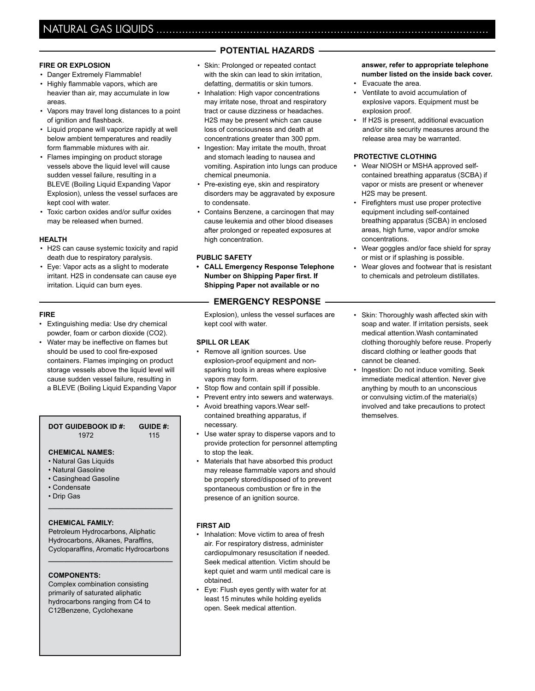## **fire or explosion**

- Danger Extremely Flammable!
- Highly flammable vapors, which are heavier than air, may accumulate in low areas.
- Vapors may travel long distances to a point of ignition and flashback.
- Liquid propane will vaporize rapidly at well below ambient temperatures and readily form flammable mixtures with air.
- Flames impinging on product storage vessels above the liquid level will cause sudden vessel failure, resulting in a BLEVE (Boiling Liquid Expanding Vapor Explosion), unless the vessel surfaces are kept cool with water.
- Toxic carbon oxides and/or sulfur oxides may be released when burned.

#### **health**

- H2S can cause systemic toxicity and rapid death due to respiratory paralysis.
- Eye: Vapor acts as a slight to moderate irritant. H2S in condensate can cause eye irritation. Liquid can burn eyes.

#### **FIRE**

- Extinguishing media: Use dry chemical powder, foam or carbon dioxide (CO2).
- Water may be ineffective on flames but should be used to cool fire-exposed containers. Flames impinging on product storage vessels above the liquid level will cause sudden vessel failure, resulting in a BLEVE (Boiling Liquid Expanding Vapor

## **DOT GUIDEBOOK ID #: GUIDE #:** 1972 115

#### **Chemical NAMEs:**

- Natural Gas Liquids
- Natural Gasoline
- Casinghead Gasoline
- Condensate
- Drip Gas

#### **CHEMICAL FAMILY:**

Petroleum Hydrocarbons, Aliphatic Hydrocarbons, Alkanes, Paraffins, Cycloparaffins, Aromatic Hydrocarbons

**\_\_\_\_\_\_\_\_\_\_\_\_\_\_\_\_\_\_\_\_\_\_\_\_\_\_\_\_\_\_\_\_**

**\_\_\_\_\_\_\_\_\_\_\_\_\_\_\_\_\_\_\_\_\_\_\_\_\_\_\_\_\_\_\_\_**

#### **Components:**

Complex combination consisting primarily of saturated aliphatic hydrocarbons ranging from C4 to C12Benzene, Cyclohexane

- Skin: Prolonged or repeated contact with the skin can lead to skin irritation, defatting, dermatitis or skin tumors.
- Inhalation: High vapor concentrations may irritate nose, throat and respiratory tract or cause dizziness or headaches. H2S may be present which can cause loss of consciousness and death at concentrations greater than 300 ppm.
- Ingestion: May irritate the mouth, throat and stomach leading to nausea and vomiting. Aspiration into lungs can produce chemical pneumonia.
- Pre-existing eye, skin and respiratory disorders may be aggravated by exposure to condensate.
- Contains Benzene, a carcinogen that may cause leukemia and other blood diseases after prolonged or repeated exposures at high concentration.

#### **PUBLIC SAFETY**

**• CALL Emergency Response Telephone Number on Shipping Paper first. If Shipping Paper not available or no** 

## **EMERGENCY response**

Explosion), unless the vessel surfaces are kept cool with water.

## **SPILL OR LEAK**

- Remove all ignition sources. Use explosion-proof equipment and nonsparking tools in areas where explosive vapors may form.
- Stop flow and contain spill if possible.
- Prevent entry into sewers and waterways.
- Avoid breathing vapors.Wear selfcontained breathing apparatus, if necessary.
- Use water spray to disperse vapors and to provide protection for personnel attempting to stop the leak.
- Materials that have absorbed this product may release flammable vapors and should be properly stored/disposed of to prevent spontaneous combustion or fire in the presence of an ignition source.

#### **FIRST AID**

- Inhalation: Move victim to area of fresh air. For respiratory distress, administer cardiopulmonary resuscitation if needed. Seek medical attention. Victim should be kept quiet and warm until medical care is obtained.
- Eye: Flush eyes gently with water for at least 15 minutes while holding eyelids open. Seek medical attention.

#### **answer, refer to appropriate telephone number listed on the inside back cover.** • Evacuate the area.

- Ventilate to avoid accumulation of explosive vapors. Equipment must be explosion proof.
- If H2S is present, additional evacuation and/or site security measures around the release area may be warranted.

#### **PROTECTIVE CLOTHING**

- Wear NIOSH or MSHA approved selfcontained breathing apparatus (SCBA) if vapor or mists are present or whenever H2S may be present.
- Firefighters must use proper protective equipment including self-contained breathing apparatus (SCBA) in enclosed areas, high fume, vapor and/or smoke concentrations.
- Wear goggles and/or face shield for spray or mist or if splashing is possible.
- Wear gloves and footwear that is resistant to chemicals and petroleum distillates.
- Skin: Thoroughly wash affected skin with soap and water. If irritation persists, seek medical attention.Wash contaminated clothing thoroughly before reuse. Properly discard clothing or leather goods that cannot be cleaned.
- Ingestion: Do not induce vomiting. Seek immediate medical attention. Never give anything by mouth to an unconscious or convulsing victim.of the material(s) involved and take precautions to protect themselves.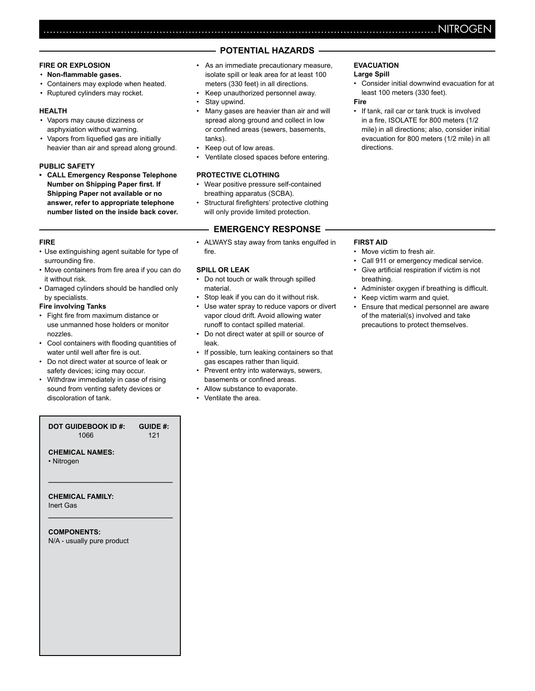## ..........................................................................................................................nitrogen

## **POTENTIAL HAZARDS**

## **fire or explosion**

- **Non-flammable gases.**
- Containers may explode when heated.
- Ruptured cylinders may rocket.

## **health**

- Vapors may cause dizziness or asphyxiation without warning.
- Vapors from liquefied gas are initially heavier than air and spread along ground.

#### **PUBLIC SAFETY**

**• CALL Emergency Response Telephone Number on Shipping Paper first. If Shipping Paper not available or no answer, refer to appropriate telephone number listed on the inside back cover.**

#### **FIRE**

- Use extinguishing agent suitable for type of surrounding fire.
- Move containers from fire area if you can do it without risk.
- Damaged cylinders should be handled only by specialists.

**Fire involving Tanks**

- Fight fire from maximum distance or use unmanned hose holders or monitor nozzles.
- Cool containers with flooding quantities of water until well after fire is out.
- Do not direct water at source of leak or safety devices; icing may occur.
- Withdraw immediately in case of rising sound from venting safety devices or discoloration of tank.

## **DOT GUIDEBOOK ID #: GUIDE #:** 1066 121 **Chemical NAMEs:**

**\_\_\_\_\_\_\_\_\_\_\_\_\_\_\_\_\_\_\_\_\_\_\_\_\_\_\_\_\_\_\_\_**

**\_\_\_\_\_\_\_\_\_\_\_\_\_\_\_\_\_\_\_\_\_\_\_\_\_\_\_\_\_\_\_\_**

• Nitrogen

**CHEMICAL FAMILY:** Inert Gas

#### **Components:**

N/A - usually pure product

- As an immediate precautionary measure, isolate spill or leak area for at least 100 meters (330 feet) in all directions.
- Keep unauthorized personnel away.
- Stay upwind.
- Many gases are heavier than air and will spread along ground and collect in low or confined areas (sewers, basements, tanks).
- Keep out of low areas.
- Ventilate closed spaces before entering.

#### **PROTECTIVE CLOTHING**

- Wear positive pressure self-contained breathing apparatus (SCBA).
- Structural firefighters' protective clothing will only provide limited protection.

## **EMERGENCY response**

• ALWAYS stay away from tanks engulfed in fire.

## **SPILL OR LEAK**

- Do not touch or walk through spilled material.
- Stop leak if you can do it without risk.
- Use water spray to reduce vapors or divert vapor cloud drift. Avoid allowing water runoff to contact spilled material.
- Do not direct water at spill or source of leak.
- If possible, turn leaking containers so that gas escapes rather than liquid.
- Prevent entry into waterways, sewers, basements or confined areas.
- Allow substance to evaporate.
- Ventilate the area.

## **EVACUATION**

#### **Large Spill**

• Consider initial downwind evacuation for at least 100 meters (330 feet).

#### **Fire**

• If tank, rail car or tank truck is involved in a fire, ISOLATE for 800 meters (1/2 mile) in all directions; also, consider initial evacuation for 800 meters (1/2 mile) in all directions.

- Move victim to fresh air.
- Call 911 or emergency medical service.
- Give artificial respiration if victim is not breathing.
- Administer oxygen if breathing is difficult.
- Keep victim warm and quiet.
- Ensure that medical personnel are aware of the material(s) involved and take precautions to protect themselves.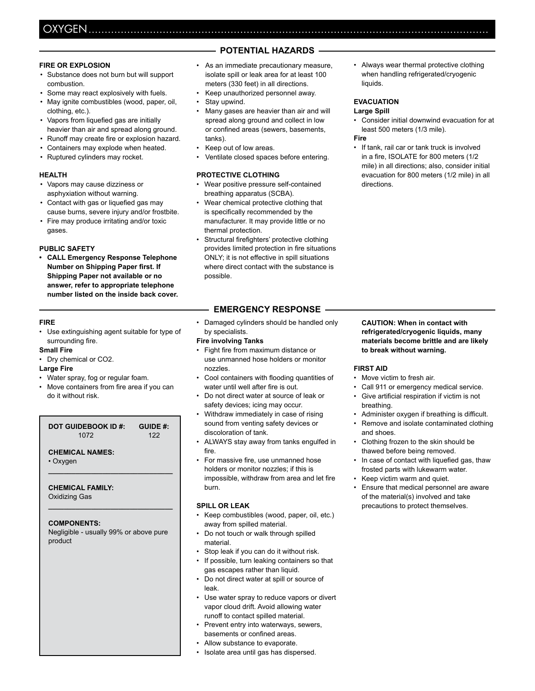#### **fire or explosion**

- Substance does not burn but will support combustion.
- Some may react explosively with fuels.
- May ignite combustibles (wood, paper, oil, clothing, etc.).
- Vapors from liquefied gas are initially heavier than air and spread along ground.
- Runoff may create fire or explosion hazard.
- Containers may explode when heated.
- Ruptured cylinders may rocket.

#### **health**

- Vapors may cause dizziness or asphyxiation without warning.
- Contact with gas or liquefied gas may cause burns, severe injury and/or frostbite.
- Fire may produce irritating and/or toxic gases.

#### **PUBLIC SAFETY**

**• CALL Emergency Response Telephone Number on Shipping Paper first. If Shipping Paper not available or no answer, refer to appropriate telephone number listed on the inside back cover.**

#### **FIRE**

Use extinguishing agent suitable for type of surrounding fire.

#### **Small Fire**

• Dry chemical or CO2.

#### **Large Fire**

- Water spray, fog or regular foam.
- Move containers from fire area if you can do it without risk.

#### **DOT GUIDEBOOK ID #: GUIDE #:** 1072 122

**\_\_\_\_\_\_\_\_\_\_\_\_\_\_\_\_\_\_\_\_\_\_\_\_\_\_\_\_\_\_\_\_**

**\_\_\_\_\_\_\_\_\_\_\_\_\_\_\_\_\_\_\_\_\_\_\_\_\_\_\_\_\_\_\_\_**

**Chemical NAMEs:**

• Oxygen

#### **CHEMICAL FAMILY:**

Oxidizing Gas

#### **Components:**

Negligible - usually 99% or above pure product

- As an immediate precautionary measure, isolate spill or leak area for at least 100 meters (330 feet) in all directions.
- Keep unauthorized personnel away.
- Stay upwind.
- Many gases are heavier than air and will spread along ground and collect in low or confined areas (sewers, basements, tanks).
- Keep out of low areas.
- Ventilate closed spaces before entering.

#### **PROTECTIVE CLOTHING**

- Wear positive pressure self-contained breathing apparatus (SCBA).
- Wear chemical protective clothing that is specifically recommended by the manufacturer. It may provide little or no thermal protection.
- Structural firefighters' protective clothing provides limited protection in fire situations ONLY; it is not effective in spill situations where direct contact with the substance is possible.

## **EMERGENCY response**

• Damaged cylinders should be handled only by specialists.

#### **Fire involving Tanks**

- Fight fire from maximum distance or use unmanned hose holders or monitor nozzles.
- Cool containers with flooding quantities of water until well after fire is out.
- Do not direct water at source of leak or safety devices; icing may occur.
- Withdraw immediately in case of rising sound from venting safety devices or discoloration of tank.
- ALWAYS stay away from tanks engulfed in fire.
- For massive fire, use unmanned hose holders or monitor nozzles; if this is impossible, withdraw from area and let fire burn.

#### **SPILL OR LEAK**

- Keep combustibles (wood, paper, oil, etc.) away from spilled material.
- Do not touch or walk through spilled material.
- Stop leak if you can do it without risk.
- If possible, turn leaking containers so that gas escapes rather than liquid.
- Do not direct water at spill or source of leak.
- Use water spray to reduce vapors or divert vapor cloud drift. Avoid allowing water runoff to contact spilled material.
- Prevent entry into waterways, sewers, basements or confined areas.
- Allow substance to evaporate.
- Isolate area until gas has dispersed.

• Always wear thermal protective clothing when handling refrigerated/cryogenic liquids.

## **EVACUATION**

#### **Large Spill**

• Consider initial downwind evacuation for at least 500 meters (1/3 mile).

#### **Fire**

If tank, rail car or tank truck is involved in a fire, ISOLATE for 800 meters (1/2 mile) in all directions; also, consider initial evacuation for 800 meters (1/2 mile) in all directions.

**CAUTION: When in contact with refrigerated/cryogenic liquids, many materials become brittle and are likely to break without warning.**

- Move victim to fresh air.
- Call 911 or emergency medical service.
- Give artificial respiration if victim is not breathing.
- Administer oxygen if breathing is difficult.
- Remove and isolate contaminated clothing and shoes.
- Clothing frozen to the skin should be thawed before being removed.
- In case of contact with liquefied gas, thaw frosted parts with lukewarm water.
- Keep victim warm and quiet.
- Ensure that medical personnel are aware of the material(s) involved and take precautions to protect themselves.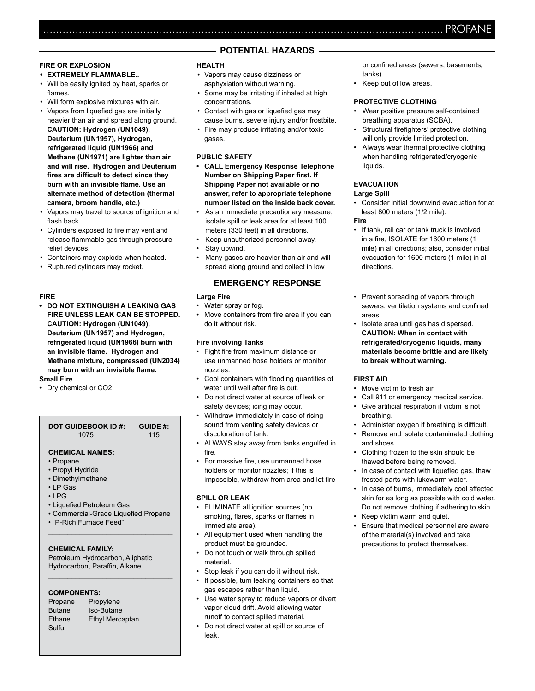## ............................................................................................................................ Propane

## **POTENTIAL HAZARDS**

## **fire or explosion**

- **• EXTREMELY FLAMMABLE..**
- Will be easily ignited by heat, sparks or flames.
- Will form explosive mixtures with air.
- Vapors from liquefied gas are initially heavier than air and spread along ground. **CAUTION: Hydrogen (UN1049), Deuterium (UN1957), Hydrogen, refrigerated liquid (UN1966) and Methane (UN1971) are lighter than air and will rise. Hydrogen and Deuterium fires are difficult to detect since they burn with an invisible flame. Use an alternate method of detection (thermal camera, broom handle, etc.)**
- Vapors may travel to source of ignition and flash back.
- Cylinders exposed to fire may vent and release flammable gas through pressure relief devices.
- Containers may explode when heated.
- Ruptured cylinders may rocket.

#### **FIRE**

**• DO NOT EXTINGUISH A LEAKING GAS FIRE UNLESS LEAK CAN BE STOPPED. CAUTION: Hydrogen (UN1049), Deuterium (UN1957) and Hydrogen, refrigerated liquid (UN1966) burn with an invisible flame. Hydrogen and Methane mixture, compressed (UN2034) may burn with an invisible flame.**

#### **Small Fire**

• Dry chemical or CO2.

## **DOT GUIDEBOOK ID #: GUIDE #:** 1075 115

## **Chemical NAMEs:**

- Propane
- Propyl Hydride
- Dimethylmethane
- LP Gas
- LPG
- Liquefied Petroleum Gas
- Commercial-Grade Liquefied Propane

**\_\_\_\_\_\_\_\_\_\_\_\_\_\_\_\_\_\_\_\_\_\_\_\_\_\_\_\_\_\_\_\_**

**\_\_\_\_\_\_\_\_\_\_\_\_\_\_\_\_\_\_\_\_\_\_\_\_\_\_\_\_\_\_\_\_**

• "P-Rich Furnace Feed"

#### **CHEMICAL FAMILY:**

Petroleum Hydrocarbon, Aliphatic Hydrocarbon, Paraffin, Alkane

#### **Components:**

| Propane       | Propylene       |
|---------------|-----------------|
| <b>Butane</b> | Iso-Butane      |
| Ethane        | Ethyl Mercaptan |
| Sulfur        |                 |

#### **health**

- Vapors may cause dizziness or asphyxiation without warning.
- Some may be irritating if inhaled at high concentrations.
- Contact with gas or liquefied gas may cause burns, severe injury and/or frostbite.
- Fire may produce irritating and/or toxic gases.

#### **PUBLIC SAFETY**

- **• CALL Emergency Response Telephone Number on Shipping Paper first. If Shipping Paper not available or no answer, refer to appropriate telephone number listed on the inside back cover.**
- As an immediate precautionary measure, isolate spill or leak area for at least 100 meters (330 feet) in all directions.
- Keep unauthorized personnel away.
- Stay upwind.
- Many gases are heavier than air and will spread along ground and collect in low

## **EMERGENCY response**

#### **Large Fire**

- Water spray or fog.
- Move containers from fire area if you can do it without risk.

#### **Fire involving Tanks**

- Fight fire from maximum distance or use unmanned hose holders or monitor nozzles.
- Cool containers with flooding quantities of water until well after fire is out.
- Do not direct water at source of leak or safety devices; icing may occur.
- Withdraw immediately in case of rising sound from venting safety devices or discoloration of tank.
- ALWAYS stay away from tanks engulfed in fire.
- For massive fire, use unmanned hose holders or monitor nozzles; if this is impossible, withdraw from area and let fire

#### **SPILL OR LEAK**

- ELIMINATE all ignition sources (no smoking, flares, sparks or flames in immediate area).
- All equipment used when handling the product must be grounded.
- Do not touch or walk through spilled material.
- Stop leak if you can do it without risk.
- If possible, turn leaking containers so that gas escapes rather than liquid.
- Use water spray to reduce vapors or divert vapor cloud drift. Avoid allowing water runoff to contact spilled material.
- Do not direct water at spill or source of leak.

or confined areas (sewers, basements, tanks).

• Keep out of low areas.

#### **PROTECTIVE CLOTHING**

- Wear positive pressure self-contained breathing apparatus (SCBA).
- Structural firefighters' protective clothing will only provide limited protection.
- Always wear thermal protective clothing when handling refrigerated/cryogenic liquids.

#### **EVACUATION**

#### **Large Spill**

• Consider initial downwind evacuation for at least 800 meters (1/2 mile).

#### **Fire**

- If tank, rail car or tank truck is involved in a fire, ISOLATE for 1600 meters (1 mile) in all directions; also, consider initial evacuation for 1600 meters (1 mile) in all directions.
- Prevent spreading of vapors through sewers, ventilation systems and confined areas.
- Isolate area until gas has dispersed. **CAUTION: When in contact with refrigerated/cryogenic liquids, many materials become brittle and are likely to break without warning.**

- Move victim to fresh air.
- Call 911 or emergency medical service.
- Give artificial respiration if victim is not breathing.
- Administer oxygen if breathing is difficult.
- Remove and isolate contaminated clothing and shoes.
- Clothing frozen to the skin should be thawed before being removed.
- In case of contact with liquefied gas, thaw frosted parts with lukewarm water.
- In case of burns, immediately cool affected skin for as long as possible with cold water. Do not remove clothing if adhering to skin.
- Keep victim warm and quiet.
- Ensure that medical personnel are aware of the material(s) involved and take precautions to protect themselves.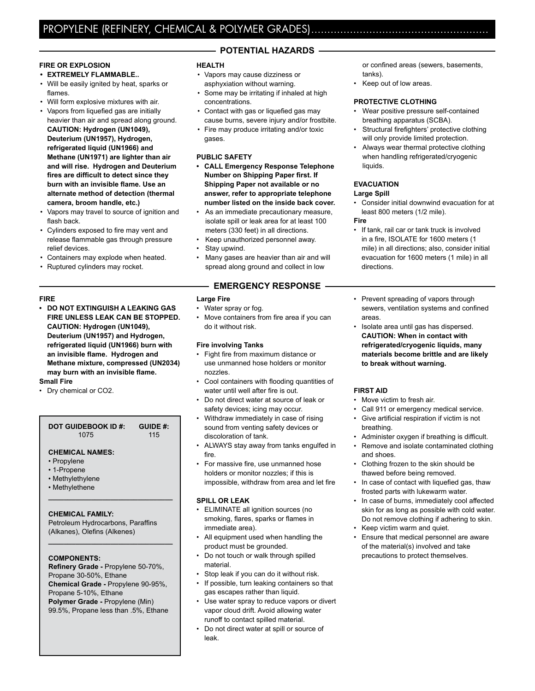## **fire or explosion**

- **• EXTREMELY FLAMMABLE..**
- Will be easily ignited by heat, sparks or flames.
- Will form explosive mixtures with air.
- Vapors from liquefied gas are initially heavier than air and spread along ground. **CAUTION: Hydrogen (UN1049), Deuterium (UN1957), Hydrogen, refrigerated liquid (UN1966) and Methane (UN1971) are lighter than air and will rise. Hydrogen and Deuterium fires are difficult to detect since they burn with an invisible flame. Use an alternate method of detection (thermal camera, broom handle, etc.)**
- Vapors may travel to source of ignition and flash back.
- Cylinders exposed to fire may vent and release flammable gas through pressure relief devices.
- Containers may explode when heated.
- Ruptured cylinders may rocket.

## **FIRE**

- **• DO NOT EXTINGUISH A LEAKING GAS FIRE UNLESS LEAK CAN BE STOPPED. CAUTION: Hydrogen (UN1049), Deuterium (UN1957) and Hydrogen, refrigerated liquid (UN1966) burn with an invisible flame. Hydrogen and Methane mixture, compressed (UN2034) may burn with an invisible flame. Small Fire**
- 
- Dry chemical or CO2.

#### **DOT GUIDEBOOK ID #: GUIDE #:** 1075 115

## **Chemical NAMEs:**

- Propylene
- 1-Propene
- Methylethylene
- Methylethene

## **CHEMICAL FAMILY:**

Petroleum Hydrocarbons, Paraffins (Alkanes), Olefins (Alkenes)

**\_\_\_\_\_\_\_\_\_\_\_\_\_\_\_\_\_\_\_\_\_\_\_\_\_\_\_\_\_\_\_\_**

**\_\_\_\_\_\_\_\_\_\_\_\_\_\_\_\_\_\_\_\_\_\_\_\_\_\_\_\_\_\_\_\_**

## **Components:**

**Refinery Grade -** Propylene 50-70%, Propane 30-50%, Ethane **Chemical Grade -** Propylene 90-95%, Propane 5-10%, Ethane **Polymer Grade -** Propylene (Min) 99.5%, Propane less than .5%, Ethane

## **POTENTIAL HAZARDS**

## **health**

- Vapors may cause dizziness or asphyxiation without warning.
- Some may be irritating if inhaled at high concentrations.
- Contact with gas or liquefied gas may cause burns, severe injury and/or frostbite.
- Fire may produce irritating and/or toxic gases.

## **PUBLIC SAFETY**

- **• CALL Emergency Response Telephone Number on Shipping Paper first. If Shipping Paper not available or no answer, refer to appropriate telephone number listed on the inside back cover.**
- As an immediate precautionary measure, isolate spill or leak area for at least 100 meters (330 feet) in all directions.
- Keep unauthorized personnel away.
- Stay upwind.
- Many gases are heavier than air and will spread along ground and collect in low

## **EMERGENCY response**

#### **Large Fire**

- Water spray or fog.
- Move containers from fire area if you can do it without risk.

## **Fire involving Tanks**

- Fight fire from maximum distance or use unmanned hose holders or monitor nozzles.
- Cool containers with flooding quantities of water until well after fire is out.
- Do not direct water at source of leak or safety devices; icing may occur.
- Withdraw immediately in case of rising sound from venting safety devices or discoloration of tank.
- ALWAYS stay away from tanks engulfed in fire.
- For massive fire, use unmanned hose holders or monitor nozzles; if this is impossible, withdraw from area and let fire

## **SPILL OR LEAK**

- ELIMINATE all ignition sources (no smoking, flares, sparks or flames in immediate area).
- All equipment used when handling the product must be grounded.
- Do not touch or walk through spilled material.
- Stop leak if you can do it without risk.
- If possible, turn leaking containers so that gas escapes rather than liquid.
- Use water spray to reduce vapors or divert vapor cloud drift. Avoid allowing water runoff to contact spilled material.
- Do not direct water at spill or source of leak.

or confined areas (sewers, basements, tanks).

Keep out of low areas.

## **PROTECTIVE CLOTHING**

- Wear positive pressure self-contained breathing apparatus (SCBA).
- Structural firefighters' protective clothing will only provide limited protection.
- Always wear thermal protective clothing when handling refrigerated/cryogenic liquids.

## **EVACUATION**

## **Large Spill**

• Consider initial downwind evacuation for at least 800 meters (1/2 mile).

#### **Fire**

- If tank, rail car or tank truck is involved in a fire, ISOLATE for 1600 meters (1 mile) in all directions; also, consider initial evacuation for 1600 meters (1 mile) in all directions.
- Prevent spreading of vapors through sewers, ventilation systems and confined areas.
- Isolate area until gas has dispersed. **CAUTION: When in contact with refrigerated/cryogenic liquids, many materials become brittle and are likely to break without warning.**

- Move victim to fresh air.
- Call 911 or emergency medical service.
- Give artificial respiration if victim is not breathing.
- Administer oxygen if breathing is difficult.
- Remove and isolate contaminated clothing and shoes.
- Clothing frozen to the skin should be thawed before being removed.
- In case of contact with liquefied gas, thaw frosted parts with lukewarm water.
- In case of burns, immediately cool affected skin for as long as possible with cold water. Do not remove clothing if adhering to skin.
- Keep victim warm and quiet.
- Ensure that medical personnel are aware of the material(s) involved and take precautions to protect themselves.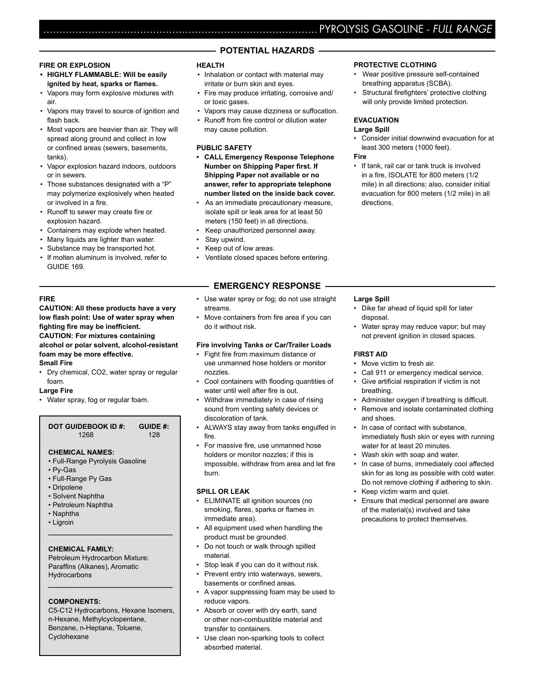#### **fire or explosion**

- **• HIGHLY FLAMMABLE: Will be easily ignited by heat, sparks or flames.**
- Vapors may form explosive mixtures with air.
- Vapors may travel to source of ignition and flash back.
- Most vapors are heavier than air. They will spread along ground and collect in low or confined areas (sewers, basements, tanks).
- Vapor explosion hazard indoors, outdoors or in sewers.
- Those substances designated with a "P" may polymerize explosively when heated or involved in a fire.
- Runoff to sewer may create fire or explosion hazard.
- Containers may explode when heated.
- Many liquids are lighter than water.
- Substance may be transported hot.
- If molten aluminum is involved, refer to GUIDE 169.

## **POTENTIAL HAZARDS**

## **health**

- Inhalation or contact with material may irritate or burn skin and eyes.
- Fire may produce irritating, corrosive and/ or toxic gases.
- Vapors may cause dizziness or suffocation.
- Runoff from fire control or dilution water may cause pollution.

#### **PUBLIC SAFETY**

- **• CALL Emergency Response Telephone Number on Shipping Paper first. If Shipping Paper not available or no answer, refer to appropriate telephone number listed on the inside back cover.**
- As an immediate precautionary measure, isolate spill or leak area for at least 50 meters (150 feet) in all directions.
- Keep unauthorized personnel away.
- Stay upwind.

streams.

nozzles.

fire.

burn.

**SPILL OR LEAK**

material.

reduce vapors.

immediate area).

do it without risk.

- Keep out of low areas.
- Ventilate closed spaces before entering.

• Move containers from fire area if you can

**EMERGENCY response**

**Fire involving Tanks or Car/Trailer Loads** • Fight fire from maximum distance or use unmanned hose holders or monitor

• Cool containers with flooding quantities of

• ALWAYS stay away from tanks engulfed in

• For massive fire, use unmanned hose holders or monitor nozzles; if this is impossible, withdraw from area and let fire

• ELIMINATE all ignition sources (no smoking, flares, sparks or flames in

• All equipment used when handling the product must be grounded. • Do not touch or walk through spilled

Stop leak if you can do it without risk. Prevent entry into waterways, sewers, basements or confined areas.

water until well after fire is out. • Withdraw immediately in case of rising sound from venting safety devices or

discoloration of tank.

#### **FIRE**

## **CAUTION: All these products have a very low flash point: Use of water spray when fighting fire may be inefficient. CAUTION: For mixtures containing alcohol or polar solvent, alcohol-resistant foam may be more effective.**

#### **Small Fire**

• Dry chemical, CO2, water spray or regular foam.

#### **Large Fire**

• Water spray, fog or regular foam.

## **DOT GUIDEBOOK ID #: GUIDE #:** 1268 128

#### **Chemical NAMEs:**

- Full-Range Pyrolysis Gasoline
- Py-Gas
- Full-Range Py Gas
- Dripolene
- Solvent Naphtha
- Petroleum Naphtha
- Naphtha
- Ligroin

#### **CHEMICAL FAMILY:**

Petroleum Hydrocarbon Mixture: Paraffins (Alkanes), Aromatic **Hydrocarbons** 

#### **Components:**

C5-C12 Hydrocarbons, Hexane Isomers, n-Hexane, Methylcyclopentane, Benzene, n-Heptane, Toluene, Cyclohexane

**\_\_\_\_\_\_\_\_\_\_\_\_\_\_\_\_\_\_\_\_\_\_\_\_\_\_\_\_\_\_\_\_**

**\_\_\_\_\_\_\_\_\_\_\_\_\_\_\_\_\_\_\_\_\_\_\_\_\_\_\_\_\_\_\_\_**

## evacuation for 800 meters (1/2 mile) in all

#### • Use water spray or fog; do not use straight **Large Spill**

- Dike far ahead of liquid spill for later disposal.
- Water spray may reduce vapor; but may not prevent ignition in closed spaces.

#### **FIRST AID**

• Move victim to fresh air.

**PROTECTIVE CLOTHING**

**EVACUATION Large Spill**

directions.

**Fire**

• Wear positive pressure self-contained breathing apparatus (SCBA).

Structural firefighters' protective clothing will only provide limited protection.

• Consider initial downwind evacuation for at

If tank, rail car or tank truck is involved in a fire, ISOLATE for 800 meters (1/2 mile) in all directions; also, consider initial

least 300 meters (1000 feet).

- Call 911 or emergency medical service.
- Give artificial respiration if victim is not breathing.
- Administer oxygen if breathing is difficult.
- Remove and isolate contaminated clothing and shoes.
- In case of contact with substance, immediately flush skin or eyes with running water for at least 20 minutes.
- Wash skin with soap and water.
- In case of burns, immediately cool affected skin for as long as possible with cold water. Do not remove clothing if adhering to skin.
- Keep victim warm and quiet. • Ensure that medical personnel are aware
- of the material(s) involved and take precautions to protect themselves.

• Absorb or cover with dry earth, sand or other non-combustible material and transfer to containers.

• A vapor suppressing foam may be used to

• Use clean non-sparking tools to collect absorbed material.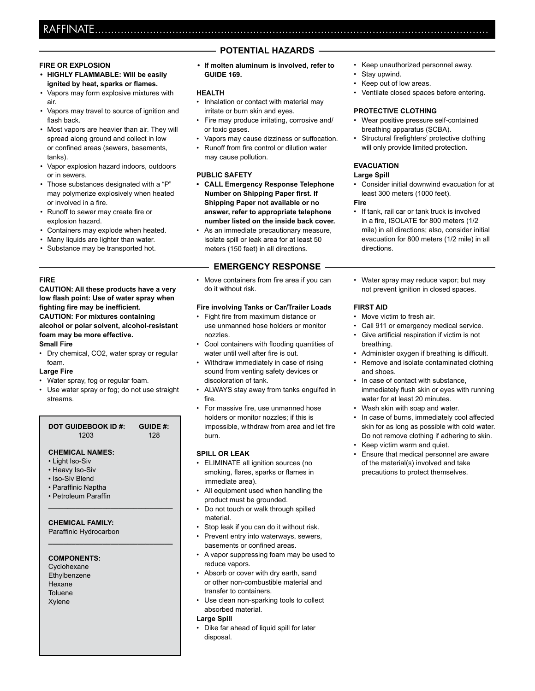## RAFFINATE..........................................................................................................................

#### **fire or explosion**

- **• HIGHLY FLAMMABLE: Will be easily ignited by heat, sparks or flames.**
- Vapors may form explosive mixtures with air.
- Vapors may travel to source of ignition and flash back.
- Most vapors are heavier than air. They will spread along ground and collect in low or confined areas (sewers, basements, tanks).
- Vapor explosion hazard indoors, outdoors or in sewers.
- Those substances designated with a "P" may polymerize explosively when heated or involved in a fire.
- Runoff to sewer may create fire or explosion hazard.
- Containers may explode when heated.
- Many liquids are lighter than water.
- Substance may be transported hot.

#### **FIRE**

**CAUTION: All these products have a very low flash point: Use of water spray when fighting fire may be inefficient. CAUTION: For mixtures containing alcohol or polar solvent, alcohol-resistant foam may be more effective. Small Fire**

• Dry chemical, CO2, water spray or regular foam.

#### **Large Fire**

- Water spray, fog or regular foam.
- Use water spray or fog; do not use straight streams.

## **DOT GUIDEBOOK ID #: GUIDE #:** 1203 128

**\_\_\_\_\_\_\_\_\_\_\_\_\_\_\_\_\_\_\_\_\_\_\_\_\_\_\_\_\_\_\_\_**

**\_\_\_\_\_\_\_\_\_\_\_\_\_\_\_\_\_\_\_\_\_\_\_\_\_\_\_\_\_\_\_\_**

## **Chemical NAMEs:**

- Light Iso-Siv
- Heavy Iso-Siv
- Iso-Siv Blend
- Paraffinic Naptha
- Petroleum Paraffin

#### **CHEMICAL FAMILY:**

Paraffinic Hydrocarbon

#### **Components:**

Cyclohexane Ethylbenzene Hexane **Toluene** Xylene

**• If molten aluminum is involved, refer to GUIDE 169.**

**POTENTIAL HAZARDS**

#### **health**

- Inhalation or contact with material may irritate or burn skin and eyes.
- Fire may produce irritating, corrosive and/ or toxic gases.
- Vapors may cause dizziness or suffocation.
- Runoff from fire control or dilution water may cause pollution.

#### **PUBLIC SAFETY**

- **• CALL Emergency Response Telephone Number on Shipping Paper first. If Shipping Paper not available or no answer, refer to appropriate telephone number listed on the inside back cover.**
- As an immediate precautionary measure, isolate spill or leak area for at least 50 meters (150 feet) in all directions.

## **EMERGENCY response**

• Move containers from fire area if you can do it without risk.

#### **Fire involving Tanks or Car/Trailer Loads**

- Fight fire from maximum distance or use unmanned hose holders or monitor nozzles.
- Cool containers with flooding quantities of water until well after fire is out.
- Withdraw immediately in case of rising sound from venting safety devices or discoloration of tank.
- ALWAYS stay away from tanks engulfed in fire.
- For massive fire, use unmanned hose holders or monitor nozzles; if this is impossible, withdraw from area and let fire burn.

#### **SPILL OR LEAK**

- ELIMINATE all ignition sources (no smoking, flares, sparks or flames in immediate area).
- All equipment used when handling the product must be grounded.
- Do not touch or walk through spilled material.
- Stop leak if you can do it without risk.
- Prevent entry into waterways, sewers, basements or confined areas.
- A vapor suppressing foam may be used to reduce vapors.
- Absorb or cover with dry earth, sand or other non-combustible material and transfer to containers.
- Use clean non-sparking tools to collect absorbed material.

#### **Large Spill**

• Dike far ahead of liquid spill for later disposal.

- Keep unauthorized personnel away.
- Stav upwind.
- Keep out of low areas.
- Ventilate closed spaces before entering.

#### **PROTECTIVE CLOTHING**

- Wear positive pressure self-contained breathing apparatus (SCBA).
- Structural firefighters' protective clothing will only provide limited protection.

#### **EVACUATION**

#### **Large Spill**

• Consider initial downwind evacuation for at least 300 meters (1000 feet).

#### **Fire**

- If tank, rail car or tank truck is involved in a fire, ISOLATE for 800 meters (1/2 mile) in all directions; also, consider initial evacuation for 800 meters (1/2 mile) in all directions.
- Water spray may reduce vapor; but may not prevent ignition in closed spaces.

- Move victim to fresh air.
- Call 911 or emergency medical service.
- Give artificial respiration if victim is not breathing.
- Administer oxygen if breathing is difficult.
- Remove and isolate contaminated clothing and shoes.
- In case of contact with substance, immediately flush skin or eyes with running water for at least 20 minutes.
- Wash skin with soap and water.
- In case of burns, immediately cool affected skin for as long as possible with cold water. Do not remove clothing if adhering to skin.
- Keep victim warm and quiet.
- Ensure that medical personnel are aware of the material(s) involved and take precautions to protect themselves.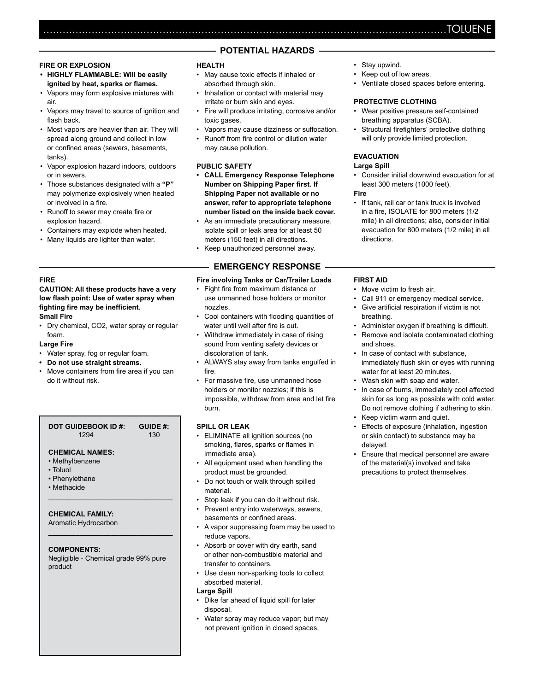## .............................................................................................................................TOLUENE

## **POTENTIAL HAZARDS**

## **fire or explosion**

- **• HIGHLY FLAMMABLE: Will be easily ignited by heat, sparks or flames.**
- Vapors may form explosive mixtures with air.
- Vapors may travel to source of ignition and flash back.
- Most vapors are heavier than air. They will spread along ground and collect in low or confined areas (sewers, basements, tanks).
- Vapor explosion hazard indoors, outdoors or in sewers.
- Those substances designated with a **"P"** may polymerize explosively when heated or involved in a fire.
- Runoff to sewer may create fire or explosion hazard.
- Containers may explode when heated.
- Many liquids are lighter than water.

**FIRE CAUTION: All these products have a very low flash point: Use of water spray when fighting fire may be inefficient. Small Fire**

• Dry chemical, CO2, water spray or regular foam.

#### **Large Fire**

- Water spray, fog or regular foam.
- **• Do not use straight streams.**
- Move containers from fire area if you can do it without risk.

## **DOT GUIDEBOOK ID #: GUIDE #:** 1294 130

#### **Chemical NAMEs:**

- Methylbenzene
- Toluol
- Phenylethane
- Methacide

#### **CHEMICAL FAMILY:**

Aromatic Hydrocarbon

#### **Components:**

Negligible - Chemical grade 99% pure product

**\_\_\_\_\_\_\_\_\_\_\_\_\_\_\_\_\_\_\_\_\_\_\_\_\_\_\_\_\_\_\_\_**

**\_\_\_\_\_\_\_\_\_\_\_\_\_\_\_\_\_\_\_\_\_\_\_\_\_\_\_\_\_\_\_\_**

#### **health**

- May cause toxic effects if inhaled or absorbed through skin.
- Inhalation or contact with material may irritate or burn skin and eyes.
- Fire will produce irritating, corrosive and/or toxic gases.
- Vapors may cause dizziness or suffocation.
- Runoff from fire control or dilution water may cause pollution.

#### **PUBLIC SAFETY**

- **• CALL Emergency Response Telephone Number on Shipping Paper first. If Shipping Paper not available or no answer, refer to appropriate telephone number listed on the inside back cover.**
- As an immediate precautionary measure, isolate spill or leak area for at least 50 meters (150 feet) in all directions.
- Keep unauthorized personnel away.

## **EMERGENCY response**

#### **Fire involving Tanks or Car/Trailer Loads**

- Fight fire from maximum distance or use unmanned hose holders or monitor nozzles.
- Cool containers with flooding quantities of water until well after fire is out.
- Withdraw immediately in case of rising sound from venting safety devices or discoloration of tank.
- ALWAYS stay away from tanks engulfed in fire.
- For massive fire, use unmanned hose holders or monitor nozzles; if this is impossible, withdraw from area and let fire burn.

#### **SPILL OR LEAK**

- ELIMINATE all ignition sources (no smoking, flares, sparks or flames in immediate area).
- All equipment used when handling the product must be grounded.
- Do not touch or walk through spilled material.
- Stop leak if you can do it without risk.
- Prevent entry into waterways, sewers, basements or confined areas.
- A vapor suppressing foam may be used to reduce vapors.
- Absorb or cover with dry earth, sand or other non-combustible material and transfer to containers.
- Use clean non-sparking tools to collect absorbed material.
- **Large Spill**
- Dike far ahead of liquid spill for later disposal.
- Water spray may reduce vapor; but may not prevent ignition in closed spaces.

#### • Stay upwind.

- Keep out of low areas.
- Ventilate closed spaces before entering.

## **PROTECTIVE CLOTHING**

- Wear positive pressure self-contained breathing apparatus (SCBA).
- Structural firefighters' protective clothing will only provide limited protection.

#### **EVACUATION**

#### **Large Spill**

• Consider initial downwind evacuation for at least 300 meters (1000 feet).

#### **Fire**

• If tank, rail car or tank truck is involved in a fire, ISOLATE for 800 meters (1/2 mile) in all directions; also, consider initial evacuation for 800 meters (1/2 mile) in all directions.

- Move victim to fresh air.
- Call 911 or emergency medical service.
- Give artificial respiration if victim is not breathing.
- Administer oxygen if breathing is difficult.
- Remove and isolate contaminated clothing and shoes.
- In case of contact with substance, immediately flush skin or eyes with running water for at least 20 minutes.
- Wash skin with soap and water.
- In case of burns, immediately cool affected skin for as long as possible with cold water. Do not remove clothing if adhering to skin.
- Keep victim warm and quiet.
- Effects of exposure (inhalation, ingestion or skin contact) to substance may be delayed.
- Ensure that medical personnel are aware of the material(s) involved and take precautions to protect themselves.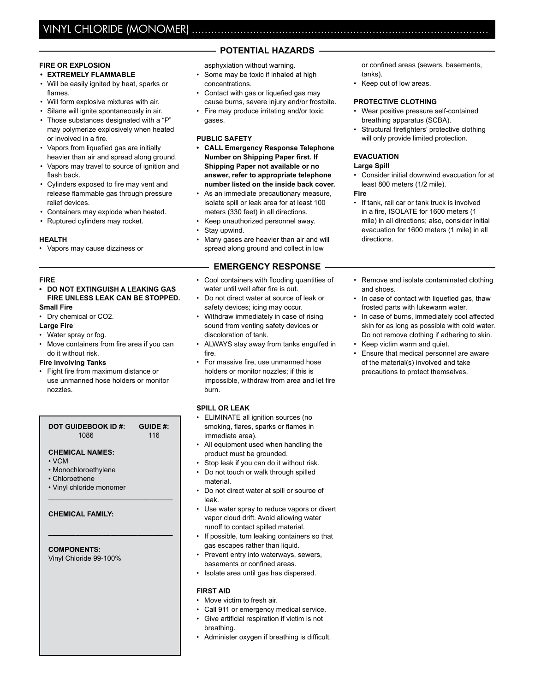## **fire or explosion**

- **• EXTREMELY FLAMMABLE**
- Will be easily ignited by heat, sparks or flames.
- Will form explosive mixtures with air.
- Silane will ignite spontaneously in air.
- Those substances designated with a "P" may polymerize explosively when heated or involved in a fire.
- Vapors from liquefied gas are initially heavier than air and spread along ground.
- Vapors may travel to source of ignition and flash back.
- Cylinders exposed to fire may vent and release flammable gas through pressure relief devices.
- Containers may explode when heated.
- Ruptured cylinders may rocket.

#### **health**

• Vapors may cause dizziness or

#### **FIRE**

- **• DO NOT EXTINGUISH A LEAKING GAS FIRE UNLESS LEAK CAN BE STOPPED. Small Fire**
- Dry chemical or CO2.
- **Large Fire**
- Water spray or fog.
- Move containers from fire area if you can do it without risk.

#### **Fire involving Tanks**

• Fight fire from maximum distance or use unmanned hose holders or monitor nozzles.

#### **DOT GUIDEBOOK ID #: GUIDE #:** 1086 116

**\_\_\_\_\_\_\_\_\_\_\_\_\_\_\_\_\_\_\_\_\_\_\_\_\_\_\_\_\_\_\_\_**

**\_\_\_\_\_\_\_\_\_\_\_\_\_\_\_\_\_\_\_\_\_\_\_\_\_\_\_\_\_\_\_\_**

#### **Chemical NAMEs:**

- VCM
- Monochloroethylene
- Chloroethene
- Vinyl chloride monomer

## **CHEMICAL FAMILY:**

#### **Components:** Vinyl Chloride 99-100%

asphyxiation without warning.

- Some may be toxic if inhaled at high concentrations.
- Contact with gas or liquefied gas may
- Fire may produce irritating and/or toxic gases.

#### **PUBLIC SAFETY**

- **Number on Shipping Paper first. If Shipping Paper not available or no answer, refer to appropriate telephone number listed on the inside back cover.**
- isolate spill or leak area for at least 100 meters (330 feet) in all directions.
- Keep unauthorized personnel away.
- Stay upwind.
- Many gases are heavier than air and will spread along ground and collect in low

## **EMERGENCY response**

- Cool containers with flooding quantities of water until well after fire is out.
- Do not direct water at source of leak or safety devices; icing may occur.
- Withdraw immediately in case of rising sound from venting safety devices or discoloration of tank.
- ALWAYS stay away from tanks engulfed in fire.
- For massive fire, use unmanned hose holders or monitor nozzles; if this is impossible, withdraw from area and let fire burn.

#### **SPILL OR LEAK**

- ELIMINATE all ignition sources (no smoking, flares, sparks or flames in immediate area).
- All equipment used when handling the product must be grounded.
- Stop leak if you can do it without risk.
- Do not touch or walk through spilled material.
- Do not direct water at spill or source of leak.
- Use water spray to reduce vapors or divert vapor cloud drift. Avoid allowing water runoff to contact spilled material.
- If possible, turn leaking containers so that gas escapes rather than liquid.
- Prevent entry into waterways, sewers, basements or confined areas.
- Isolate area until gas has dispersed.

## **FIRST AID**

- Move victim to fresh air.
- Call 911 or emergency medical service.
- Give artificial respiration if victim is not breathing.
- Administer oxygen if breathing is difficult.

or confined areas (sewers, basements, tanks).

Keep out of low areas.

#### **PROTECTIVE CLOTHING**

- Wear positive pressure self-contained breathing apparatus (SCBA).
- Structural firefighters' protective clothing will only provide limited protection.

## **EVACUATION**

#### **Large Spill**

• Consider initial downwind evacuation for at least 800 meters (1/2 mile).

#### **Fire**

- If tank, rail car or tank truck is involved in a fire, ISOLATE for 1600 meters (1 mile) in all directions; also, consider initial evacuation for 1600 meters (1 mile) in all directions.
- Remove and isolate contaminated clothing and shoes.
- In case of contact with liquefied gas, thaw frosted parts with lukewarm water.
- In case of burns, immediately cool affected skin for as long as possible with cold water. Do not remove clothing if adhering to skin.
- Keep victim warm and quiet.
- Ensure that medical personnel are aware of the material(s) involved and take precautions to protect themselves.

- cause burns, severe injury and/or frostbite.
- 

- **• CALL Emergency Response Telephone**
- As an immediate precautionary measure,
- 
-